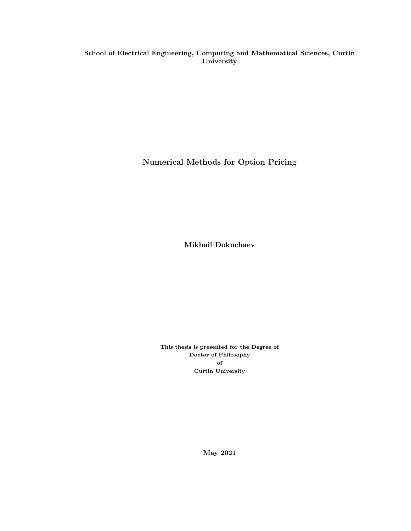School of Electrical Engineering, Computing and Mathematical Sciences, Curtin University

Numerical Methods for Option Pricing

Mikhail Dokuchaev

This thesis is presented for the Degree of Doctor of Philosophy of Curtin University

May 2021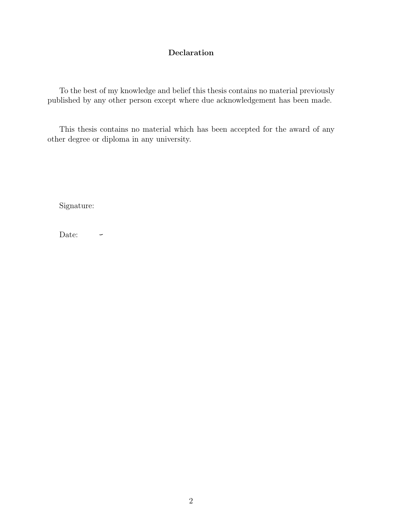#### Declaration

To the best of my knowledge and belief this thesis contains no material previously published by any other person except where due acknowledgement has been made.

This thesis contains no material which has been accepted for the award of any other degree or diploma in any university.

Signature:

Date:  $\overline{\phantom{m}}$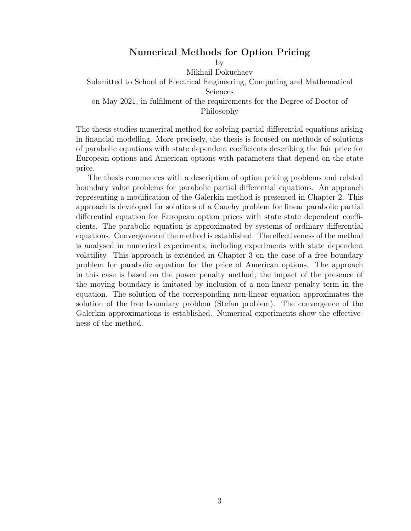#### Numerical Methods for Option Pricing

by Mikhail Dokuchaev Submitted to School of Electrical Engineering, Computing and Mathematical Sciences on May 2021, in fulfilment of the requirements for the Degree of Doctor of Philosophy

The thesis studies numerical method for solving partial differential equations arising in financial modelling. More precisely, the thesis is focused on methods of solutions of parabolic equations with state dependent coefficients describing the fair price for European options and American options with parameters that depend on the state price.

The thesis commences with a description of option pricing problems and related boundary value problems for parabolic partial differential equations. An approach representing a modification of the Galerkin method is presented in Chapter 2. This approach is developed for solutions of a Cauchy problem for linear parabolic partial differential equation for European option prices with state state dependent coefficients. The parabolic equation is approximated by systems of ordinary differential equations. Convergence of the method is established. The effectiveness of the method is analysed in numerical experiments, including experiments with state dependent volatility. This approach is extended in Chapter 3 on the case of a free boundary problem for parabolic equation for the price of American options. The approach in this case is based on the power penalty method; the impact of the presence of the moving boundary is imitated by inclusion of a non-linear penalty term in the equation. The solution of the corresponding non-linear equation approximates the solution of the free boundary problem (Stefan problem). The convergence of the Galerkin approximations is established. Numerical experiments show the effectiveness of the method.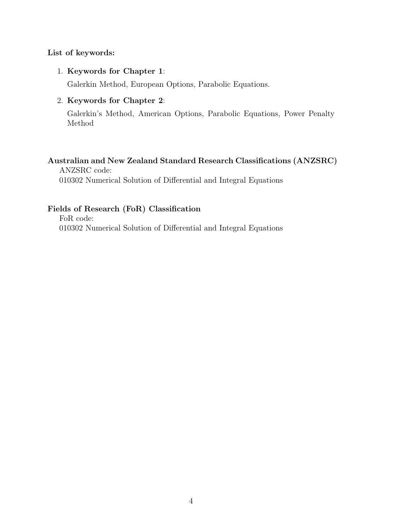#### List of keywords:

#### 1. Keywords for Chapter 1:

Galerkin Method, European Options, Parabolic Equations.

#### 2. Keywords for Chapter 2:

Galerkin's Method, American Options, Parabolic Equations, Power Penalty Method

#### Australian and New Zealand Standard Research Classifications (ANZSRC)

ANZSRC code: 010302 Numerical Solution of Differential and Integral Equations

#### Fields of Research (FoR) Classification

FoR code: 010302 Numerical Solution of Differential and Integral Equations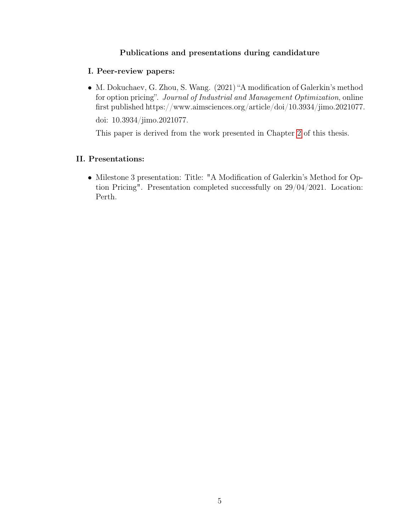#### Publications and presentations during candidature

#### I. Peer-review papers:

∙ M. Dokuchaev, G. Zhou, S. Wang. (2021) "A modification of Galerkin's method for option pricing". Journal of Industrial and Management Optimization, online first published https://www.aimsciences.org/article/doi/10.3934/jimo.2021077.

doi: 10.3934/jimo.2021077.

This paper is derived from the work presented in Chapter [2](#page-23-0) of this thesis.

#### II. Presentations:

∙ Milestone 3 presentation: Title: "A Modification of Galerkin's Method for Option Pricing". Presentation completed successfully on 29/04/2021. Location: Perth.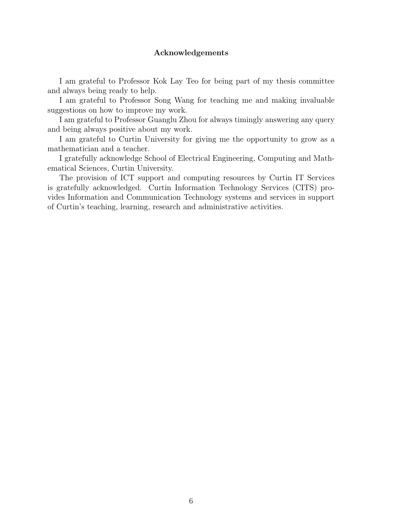#### Acknowledgements

I am grateful to Professor Kok Lay Teo for being part of my thesis committee and always being ready to help.

I am grateful to Professor Song Wang for teaching me and making invaluable suggestions on how to improve my work.

I am grateful to Professor Guanglu Zhou for always timingly answering any query and being always positive about my work.

I am grateful to Curtin University for giving me the opportunity to grow as a mathematician and a teacher.

I gratefully acknowledge School of Electrical Engineering, Computing and Mathematical Sciences, Curtin University.

The provision of ICT support and computing resources by Curtin IT Services is gratefully acknowledged. Curtin Information Technology Services (CITS) provides Information and Communication Technology systems and services in support of Curtin's teaching, learning, research and administrative activities.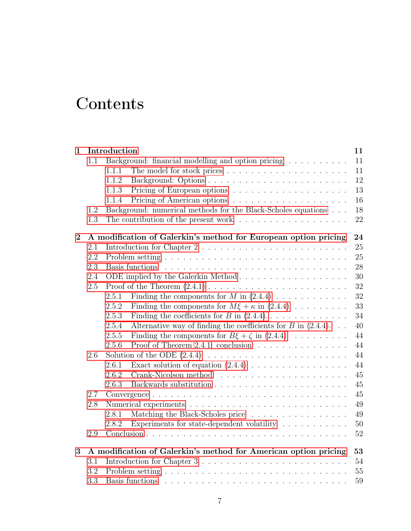# **Contents**

| $\mathbf{1}$   |     | Introduction                                                                         | 11     |
|----------------|-----|--------------------------------------------------------------------------------------|--------|
|                | 1.1 | Background: financial modelling and option pricing                                   | 11     |
|                |     | 1.1.1                                                                                | 11     |
|                |     | 1.1.2                                                                                | 12     |
|                |     | 1.1.3                                                                                | 13     |
|                |     | 1.1.4                                                                                | 16     |
|                | 1.2 | Background: numerical methods for the Black-Scholes equations                        | 18     |
|                | 1.3 | The contribution of the present work $\dots \dots \dots \dots \dots \dots$           | 22     |
| $\overline{2}$ |     | A modification of Galerkin's method for European option pricing                      | 24     |
|                | 2.1 | Introduction for Chapter $2 \ldots \ldots \ldots \ldots \ldots \ldots \ldots \ldots$ | 25     |
|                | 2.2 |                                                                                      | 25     |
|                | 2.3 |                                                                                      | 28     |
|                | 2.4 | ODE implied by the Galerkin Method                                                   | 30     |
|                | 2.5 |                                                                                      | 32     |
|                |     | Finding the components for $M$ in $(2.4.4)$<br>2.5.1                                 | 32     |
|                |     | Finding the components for $M\xi + \kappa$ in (2.4.4)<br>2.5.2                       | 33     |
|                |     | Finding the coefficients for B in $(2.4.4)$<br>2.5.3                                 | 34     |
|                |     | Alternative way of finding the coefficients for $B$ in (2.4.4)<br>2.5.4              | 40     |
|                |     | Finding the components for $B\xi + \zeta$ in $(2.4.4)$<br>2.5.5                      | 44     |
|                |     | Proof of Theorem 2.4.1: conclusion<br>2.5.6                                          | 44     |
|                | 2.6 |                                                                                      | 44     |
|                |     | Exact solution of equation $(2.4.4)$<br>2.6.1                                        | 44     |
|                |     | 2.6.2                                                                                | 45     |
|                |     | 2.6.3                                                                                | 45     |
|                | 2.7 |                                                                                      | 45     |
|                | 2.8 |                                                                                      | 49     |
|                |     | Matching the Black-Scholes price<br>2.8.1                                            | 49     |
|                |     | Experiments for state-dependent volatility $\ldots \ldots \ldots$<br>2.8.2           | $50\,$ |
|                | 2.9 |                                                                                      | $52\,$ |
| 3              |     | A modification of Galerkin's method for American option pricing                      | 53     |
|                | 3.1 |                                                                                      | 54     |
|                | 3.2 |                                                                                      | 55     |
|                | 3.3 |                                                                                      | 59     |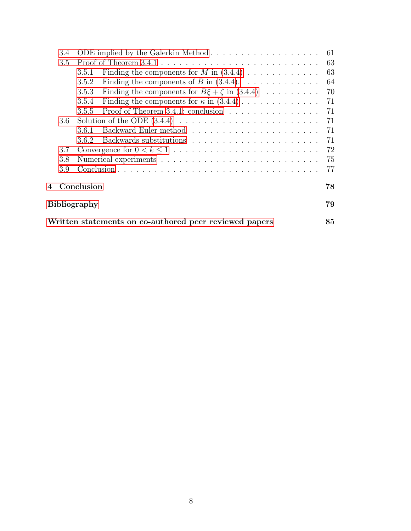| 3.4                 | ODE implied by the Galerkin Method                                               | -61  |  |  |
|---------------------|----------------------------------------------------------------------------------|------|--|--|
| 3.5                 |                                                                                  | 63   |  |  |
|                     | Finding the components for M in $(3.4.4)$<br>3.5.1                               | 63   |  |  |
|                     | Finding the components of B in $(3.4.4)$ .<br>3.5.2                              | 64   |  |  |
|                     | Finding the components for $B\xi + \zeta$ in $(3.4.4)$<br>3.5.3                  | 70   |  |  |
|                     | Finding the components for $\kappa$ in $(3.4.4)$<br>3.5.4                        | - 71 |  |  |
|                     | Proof of Theorem 3.4.1: conclusion $\ldots \ldots \ldots \ldots \ldots$<br>3.5.5 | -71  |  |  |
| $3.6\,$             |                                                                                  | - 71 |  |  |
|                     | 3.6.1                                                                            | - 71 |  |  |
|                     | 3.6.2                                                                            | 71   |  |  |
| 3.7                 |                                                                                  |      |  |  |
| 3.8                 |                                                                                  | 75   |  |  |
| 3.9                 |                                                                                  | 77   |  |  |
|                     | Conclusion                                                                       | 78   |  |  |
| <b>Bibliography</b> |                                                                                  |      |  |  |
|                     | Written statements on co-authored peer reviewed papers                           | 85   |  |  |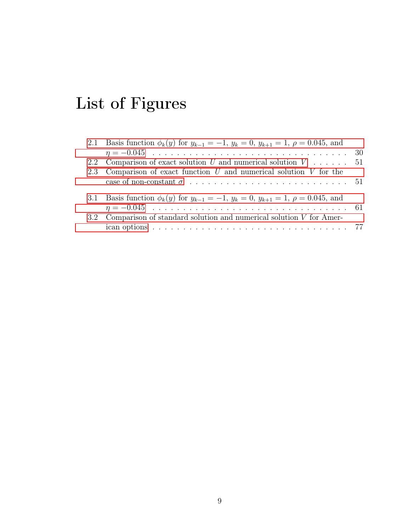# List of Figures

| 2.1 Basis function $\phi_k(y)$ for $y_{k-1} = -1$ , $y_k = 0$ , $y_{k+1} = 1$ , $\rho = 0.045$ , and      |  |
|-----------------------------------------------------------------------------------------------------------|--|
|                                                                                                           |  |
| 2.2 Comparison of exact solution U and numerical solution $V \dots \dots \dots 51$                        |  |
| 2.3 Comparison of exact function $U$ and numerical solution $V$ for the                                   |  |
|                                                                                                           |  |
| 3.1 Basis function $\phi_k(y)$ for $y_{k-1} = -1$ , $y_k = 0$ , $y_{k+1} = 1$ , $\rho = 0.045$ , and      |  |
| 3.2 Comparison of standard solution and numerical solution $V$ for Amer-                                  |  |
| ican options $\ldots \ldots \ldots \ldots \ldots \ldots \ldots \ldots \ldots \ldots \ldots \ldots \ldots$ |  |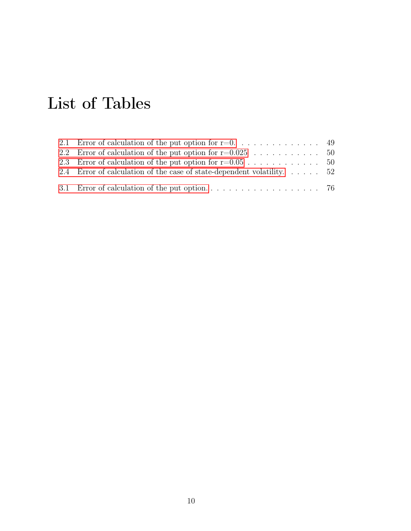# List of Tables

| 2.4 Error of calculation of the case of state-dependent volatility 52 |  |
|-----------------------------------------------------------------------|--|
|                                                                       |  |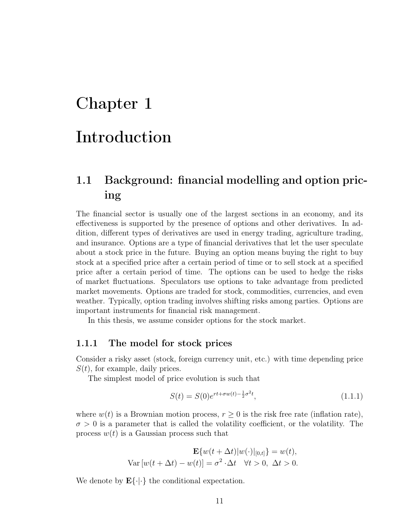# <span id="page-10-0"></span>Chapter 1

# Introduction

# <span id="page-10-1"></span>1.1 Background: financial modelling and option pricing

The financial sector is usually one of the largest sections in an economy, and its effectiveness is supported by the presence of options and other derivatives. In addition, different types of derivatives are used in energy trading, agriculture trading, and insurance. Options are a type of financial derivatives that let the user speculate about a stock price in the future. Buying an option means buying the right to buy stock at a specified price after a certain period of time or to sell stock at a specified price after a certain period of time. The options can be used to hedge the risks of market fluctuations. Speculators use options to take advantage from predicted market movements. Options are traded for stock, commodities, currencies, and even weather. Typically, option trading involves shifting risks among parties. Options are important instruments for financial risk management.

In this thesis, we assume consider options for the stock market.

#### <span id="page-10-2"></span>1.1.1 The model for stock prices

Consider a risky asset (stock, foreign currency unit, etc.) with time depending price  $S(t)$ , for example, daily prices.

The simplest model of price evolution is such that

<span id="page-10-3"></span>
$$
S(t) = S(0)e^{rt + \sigma w(t) - \frac{1}{2}\sigma^2 t},
$$
\n(1.1.1)

where  $w(t)$  is a Brownian motion process,  $r \geq 0$  is the risk free rate (inflation rate),  $\sigma > 0$  is a parameter that is called the volatility coefficient, or the volatility. The process  $w(t)$  is a Gaussian process such that

$$
\mathbf{E}\{w(t + \Delta t)|w(\cdot)|_{[0,t]}\} = w(t),
$$
  
Var  $[w(t + \Delta t) - w(t)] = \sigma^2 \cdot \Delta t \quad \forall t > 0, \ \Delta t > 0.$ 

We denote by  $\mathbf{E}\{\cdot|\cdot\}$  the conditional expectation.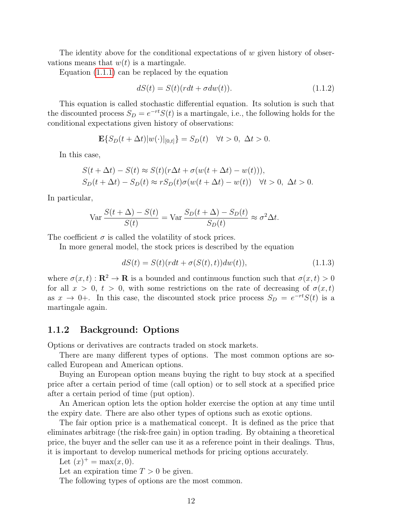The identity above for the conditional expectations of  $w$  given history of observations means that  $w(t)$  is a martingale.

Equation [\(1.1.1\)](#page-10-3) can be replaced by the equation

<span id="page-11-1"></span>
$$
dS(t) = S(t)(rdt + \sigma dw(t)).
$$
\n(1.1.2)

This equation is called stochastic differential equation. Its solution is such that the discounted process  $S_D = e^{-rt}S(t)$  is a martingale, i.e., the following holds for the conditional expectations given history of observations:

$$
\mathbf{E}\{S_D(t+\Delta t)|w(\cdot)|_{[0,t]}\}=S_D(t) \quad \forall t>0, \ \Delta t>0.
$$

In this case,

$$
S(t + \Delta t) - S(t) \approx S(t)(r\Delta t + \sigma(w(t + \Delta t) - w(t))),
$$
  
\n
$$
S_D(t + \Delta t) - S_D(t) \approx rS_D(t)\sigma(w(t + \Delta t) - w(t)) \quad \forall t > 0, \ \Delta t > 0.
$$

In particular,

$$
\text{Var}\,\frac{S(t+\Delta)-S(t)}{S(t)} = \text{Var}\,\frac{S_D(t+\Delta)-S_D(t)}{S_D(t)} \approx \sigma^2 \Delta t.
$$

The coefficient  $\sigma$  is called the volatility of stock prices.

In more general model, the stock prices is described by the equation

$$
dS(t) = S(t)(rdt + \sigma(S(t), t))dw(t)),
$$
\n(1.1.3)

where  $\sigma(x, t) : \mathbf{R}^2 \to \mathbf{R}$  is a bounded and continuous function such that  $\sigma(x, t) > 0$ for all  $x > 0$ ,  $t > 0$ , with some restrictions on the rate of decreasing of  $\sigma(x, t)$ as  $x \to 0+$ . In this case, the discounted stock price process  $S_D = e^{-rt}S(t)$  is a martingale again.

#### <span id="page-11-0"></span>1.1.2 Background: Options

Options or derivatives are contracts traded on stock markets.

There are many different types of options. The most common options are socalled European and American options.

Buying an European option means buying the right to buy stock at a specified price after a certain period of time (call option) or to sell stock at a specified price after a certain period of time (put option).

An American option lets the option holder exercise the option at any time until the expiry date. There are also other types of options such as exotic options.

The fair option price is a mathematical concept. It is defined as the price that eliminates arbitrage (the risk-free gain) in option trading. By obtaining a theoretical price, the buyer and the seller can use it as a reference point in their dealings. Thus, it is important to develop numerical methods for pricing options accurately.

Let  $(x)^+ = \max(x, 0)$ .

Let an expiration time  $T > 0$  be given.

The following types of options are the most common.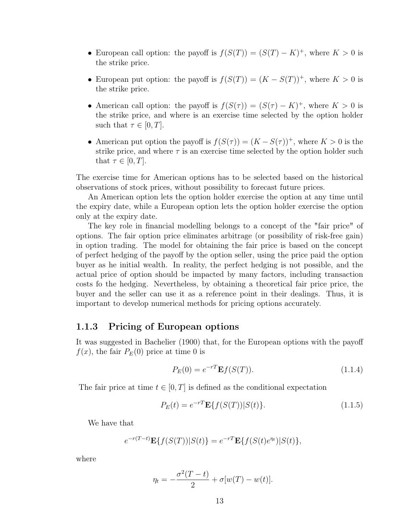- European call option: the payoff is  $f(S(T)) = (S(T) K)^+$ , where  $K > 0$  is the strike price.
- European put option: the payoff is  $f(S(T)) = (K S(T))^{+}$ , where  $K > 0$  is the strike price.
- American call option: the payoff is  $f(S(\tau)) = (S(\tau) K)^+$ , where  $K > 0$  is the strike price, and where is an exercise time selected by the option holder such that  $\tau \in [0, T]$ .
- American put option the payoff is  $f(S(\tau)) = (K S(\tau))^+$ , where  $K > 0$  is the strike price, and where  $\tau$  is an exercise time selected by the option holder such that  $\tau \in [0, T]$ .

The exercise time for American options has to be selected based on the historical observations of stock prices, without possibility to forecast future prices.

An American option lets the option holder exercise the option at any time until the expiry date, while a European option lets the option holder exercise the option only at the expiry date.

The key role in financial modelling belongs to a concept of the "fair price" of options. The fair option price eliminates arbitrage (or possibility of risk-free gain) in option trading. The model for obtaining the fair price is based on the concept of perfect hedging of the payoff by the option seller, using the price paid the option buyer as he initial wealth. In reality, the perfect hedging is not possible, and the actual price of option should be impacted by many factors, including transaction costs fo the hedging. Nevertheless, by obtaining a theoretical fair price price, the buyer and the seller can use it as a reference point in their dealings. Thus, it is important to develop numerical methods for pricing options accurately.

#### <span id="page-12-0"></span>1.1.3 Pricing of European options

It was suggested in Bachelier (1900) that, for the European options with the payoff  $f(x)$ , the fair  $P_E(0)$  price at time 0 is

<span id="page-12-1"></span>
$$
P_E(0) = e^{-rT} \mathbf{E} f(S(T)).
$$
\n(1.1.4)

The fair price at time  $t \in [0, T]$  is defined as the conditional expectation

$$
P_E(t) = e^{-rT} \mathbf{E} \{ f(S(T)) | S(t) \}.
$$
\n(1.1.5)

We have that

$$
e^{-r(T-t)}\mathbf{E}\{f(S(T))|S(t)\} = e^{-rT}\mathbf{E}\{f(S(t)e^{\eta_t})|S(t)\},\
$$

where

$$
\eta_t = -\frac{\sigma^2(T-t)}{2} + \sigma[w(T) - w(t)].
$$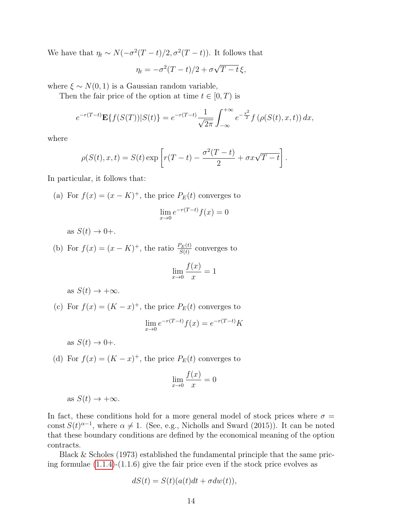We have that  $\eta_t \sim N(-\sigma^2(T-t)/2, \sigma^2(T-t))$ . It follows that

$$
\eta_t = -\sigma^2 (T - t)/2 + \sigma \sqrt{T - t} \xi,
$$

where  $\xi \sim N(0, 1)$  is a Gaussian random variable,

Then the fair price of the option at time  $t \in [0, T)$  is

$$
e^{-r(T-t)} \mathbf{E}\{f(S(T))|S(t)\} = e^{-r(T-t)} \frac{1}{\sqrt{2\pi}} \int_{-\infty}^{+\infty} e^{-\frac{x^2}{2}} f\left(\rho(S(t), x, t)\right) dx,
$$

where

$$
\rho(S(t), x, t) = S(t) \exp\left[r(T-t) - \frac{\sigma^2(T-t)}{2} + \sigma x \sqrt{T-t}\right].
$$

In particular, it follows that:

(a) For  $f(x) = (x - K)^{+}$ , the price  $P_E(t)$  converges to

$$
\lim_{x \to 0} e^{-r(T-t)} f(x) = 0
$$

as  $S(t) \rightarrow 0+$ .

(b) For  $f(x) = (x - K)^+$ , the ratio  $\frac{P_E(t)}{S(t)}$  converges to

$$
\lim_{x \to 0} \frac{f(x)}{x} = 1
$$

as  $S(t) \rightarrow +\infty$ .

(c) For  $f(x) = (K - x)^{+}$ , the price  $P_E(t)$  converges to

$$
\lim_{x \to 0} e^{-r(T-t)} f(x) = e^{-r(T-t)} K
$$

as  $S(t) \rightarrow 0+$ .

(d) For  $f(x) = (K - x)^{+}$ , the price  $P_E(t)$  converges to

$$
\lim_{x \to 0} \frac{f(x)}{x} = 0
$$

as  $S(t) \rightarrow +\infty$ .

In fact, these conditions hold for a more general model of stock prices where  $\sigma =$ const  $S(t)^{\alpha-1}$ , where  $\alpha \neq 1$ . (See, e.g., Nicholls and Sward (2015)). It can be noted that these boundary conditions are defined by the economical meaning of the option contracts.

Black & Scholes (1973) established the fundamental principle that the same pricing formulae [\(1.1.4\)](#page-12-1)-(1.1.6) give the fair price even if the stock price evolves as

$$
dS(t) = S(t)(a(t)dt + \sigma dw(t)),
$$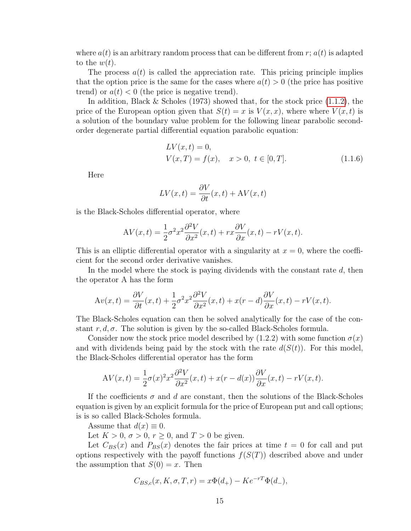where  $a(t)$  is an arbitrary random process that can be different from r;  $a(t)$  is adapted to the  $w(t)$ .

The process  $a(t)$  is called the appreciation rate. This pricing principle implies that the option price is the same for the cases where  $a(t) > 0$  (the price has positive trend) or  $a(t) < 0$  (the price is negative trend).

In addition, Black & Scholes (1973) showed that, for the stock price  $(1.1.2)$ , the price of the European option given that  $S(t) = x$  is  $V(x, x)$ , where where  $V(x, t)$  is a solution of the boundary value problem for the following linear parabolic secondorder degenerate partial differential equation parabolic equation:

$$
LV(x,t) = 0,V(x,T) = f(x), \quad x > 0, \ t \in [0,T].
$$
 (1.1.6)

Here

$$
LV(x,t) = \frac{\partial V}{\partial t}(x,t) + AV(x,t)
$$

is the Black-Scholes differential operator, where

$$
AV(x,t) = \frac{1}{2}\sigma^2 x^2 \frac{\partial^2 V}{\partial x^2}(x,t) + rx \frac{\partial V}{\partial x}(x,t) - rV(x,t).
$$

This is an elliptic differential operator with a singularity at  $x = 0$ , where the coefficient for the second order derivative vanishes.

In the model where the stock is paying dividends with the constant rate  $d$ , then the operator A has the form

$$
Av(x,t) = \frac{\partial V}{\partial t}(x,t) + \frac{1}{2}\sigma^2 x^2 \frac{\partial^2 V}{\partial x^2}(x,t) + x(r-d)\frac{\partial V}{\partial x}(x,t) - rV(x,t).
$$

The Black-Scholes equation can then be solved analytically for the case of the constant  $r, d, \sigma$ . The solution is given by the so-called Black-Scholes formula.

Consider now the stock price model described by  $(1.2.2)$  with some function  $\sigma(x)$ and with dividends being paid by the stock with the rate  $d(S(t))$ . For this model, the Black-Scholes differential operator has the form

$$
AV(x,t) = \frac{1}{2}\sigma(x)^2 x^2 \frac{\partial^2 V}{\partial x^2}(x,t) + x(r - d(x)) \frac{\partial V}{\partial x}(x,t) - rV(x,t).
$$

If the coefficients  $\sigma$  and  $d$  are constant, then the solutions of the Black-Scholes equation is given by an explicit formula for the price of European put and call options; is is so called Black-Scholes formula.

Assume that  $d(x) \equiv 0$ .

Let  $K > 0$ ,  $\sigma > 0$ ,  $r \geq 0$ , and  $T > 0$  be given.

Let  $C_{BS}(x)$  and  $P_{BS}(x)$  denotes the fair prices at time  $t = 0$  for call and put options respectively with the payoff functions  $f(S(T))$  described above and under the assumption that  $S(0) = x$ . Then

$$
C_{BS,c}(x, K, \sigma, T, r) = x\Phi(d_+) - Ke^{-rT}\Phi(d_-),
$$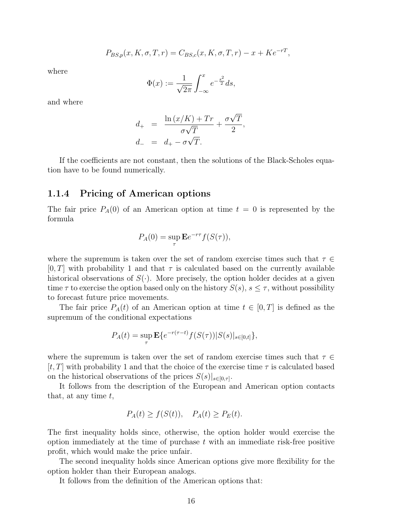$$
P_{BS,p}(x, K, \sigma, T, r) = C_{BS,c}(x, K, \sigma, T, r) - x + Ke^{-rT},
$$

where

$$
\Phi(x) := \frac{1}{\sqrt{2\pi}} \int_{-\infty}^{x} e^{-\frac{s^2}{2}} ds,
$$

and where

$$
d_{+} = \frac{\ln(x/K) + Tr}{\sigma\sqrt{T}} + \frac{\sigma\sqrt{T}}{2},
$$
  

$$
d_{-} = d_{+} - \sigma\sqrt{T}.
$$

If the coefficients are not constant, then the solutions of the Black-Scholes equation have to be found numerically.

#### <span id="page-15-0"></span>1.1.4 Pricing of American options

The fair price  $P_A(0)$  of an American option at time  $t = 0$  is represented by the formula

$$
P_A(0) = \sup_{\tau} \mathbf{E} e^{-r\tau} f(S(\tau)),
$$

where the supremum is taken over the set of random exercise times such that  $\tau \in$  $[0, T]$  with probability 1 and that  $\tau$  is calculated based on the currently available historical observations of  $S(\cdot)$ . More precisely, the option holder decides at a given time  $\tau$  to exercise the option based only on the history  $S(s), s \leq \tau$ , without possibility to forecast future price movements.

The fair price  $P_A(t)$  of an American option at time  $t \in [0, T]$  is defined as the supremum of the conditional expectations

$$
P_A(t) = \sup_{\tau} \mathbf{E} \{ e^{-r(\tau - t)} f(S(\tau)) |S(s)|_{s \in [0, t]} \},
$$

where the supremum is taken over the set of random exercise times such that  $\tau \in$  $[t, T]$  with probability 1 and that the choice of the exercise time  $\tau$  is calculated based on the historical observations of the prices  $S(s)|_{s\in[0,\tau]}.$ 

It follows from the description of the European and American option contacts that, at any time  $t$ ,

$$
P_A(t) \ge f(S(t)), \quad P_A(t) \ge P_E(t).
$$

The first inequality holds since, otherwise, the option holder would exercise the option immediately at the time of purchase  $t$  with an immediate risk-free positive profit, which would make the price unfair.

The second inequality holds since American options give more flexibility for the option holder than their European analogs.

It follows from the definition of the American options that: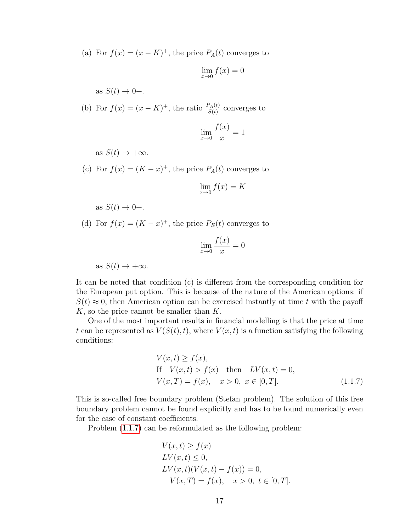(a) For  $f(x) = (x - K)^{+}$ , the price  $P_A(t)$  converges to

$$
\lim_{x \to 0} f(x) = 0
$$

as  $S(t) \rightarrow 0+$ .

(b) For  $f(x) = (x - K)^+$ , the ratio  $\frac{P_A(t)}{S(t)}$  converges to

$$
\lim_{x \to 0} \frac{f(x)}{x} = 1
$$

as  $S(t) \rightarrow +\infty$ .

(c) For  $f(x) = (K - x)^{+}$ , the price  $P_A(t)$  converges to

$$
\lim_{x \to 0} f(x) = K
$$

as  $S(t) \rightarrow 0+$ .

(d) For  $f(x) = (K - x)^{+}$ , the price  $P_E(t)$  converges to

$$
\lim_{x \to 0} \frac{f(x)}{x} = 0
$$

as  $S(t) \rightarrow +\infty$ .

It can be noted that condition (c) is different from the corresponding condition for the European put option. This is because of the nature of the American options: if  $S(t) \approx 0$ , then American option can be exercised instantly at time t with the payoff  $K$ , so the price cannot be smaller than  $K$ .

One of the most important results in financial modelling is that the price at time t can be represented as  $V(S(t), t)$ , where  $V(x, t)$  is a function satisfying the following conditions:

<span id="page-16-0"></span>
$$
V(x,t) \ge f(x),
$$
  
\nIf  $V(x,t) > f(x)$  then  $LV(x,t) = 0,$   
\n $V(x,T) = f(x), \quad x > 0, \quad x \in [0,T].$  (1.1.7)

This is so-called free boundary problem (Stefan problem). The solution of this free boundary problem cannot be found explicitly and has to be found numerically even for the case of constant coefficients.

Problem [\(1.1.7\)](#page-16-0) can be reformulated as the following problem:

$$
V(x,t) \ge f(x)
$$
  
\n
$$
LV(x,t) \le 0,
$$
  
\n
$$
LV(x,t)(V(x,t) - f(x)) = 0,
$$
  
\n
$$
V(x,T) = f(x), \quad x > 0, \ t \in [0,T].
$$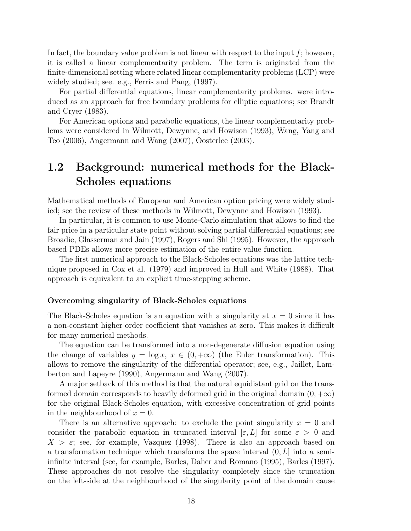In fact, the boundary value problem is not linear with respect to the input  $f$ ; however, it is called a linear complementarity problem. The term is originated from the finite-dimensional setting where related linear complementarity problems (LCP) were widely studied; see. e.g., Ferris and Pang, (1997).

For partial differential equations, linear complementarity problems. were introduced as an approach for free boundary problems for elliptic equations; see Brandt and Cryer (1983).

For American options and parabolic equations, the linear complementarity problems were considered in Wilmott, Dewynne, and Howison (1993), Wang, Yang and Teo (2006), Angermann and Wang (2007), Oosterlee (2003).

## <span id="page-17-0"></span>1.2 Background: numerical methods for the Black-Scholes equations

Mathematical methods of European and American option pricing were widely studied; see the review of these methods in Wilmott, Dewynne and Howison (1993).

In particular, it is common to use Monte-Carlo simulation that allows to find the fair price in a particular state point without solving partial differential equations; see Broadie, Glasserman and Jain (1997), Rogers and Shi (1995). However, the approach based PDEs allows more precise estimation of the entire value function.

The first numerical approach to the Black-Scholes equations was the lattice technique proposed in Cox et al. (1979) and improved in Hull and White (1988). That approach is equivalent to an explicit time-stepping scheme.

#### Overcoming singularity of Black-Scholes equations

The Black-Scholes equation is an equation with a singularity at  $x = 0$  since it has a non-constant higher order coefficient that vanishes at zero. This makes it difficult for many numerical methods.

The equation can be transformed into a non-degenerate diffusion equation using the change of variables  $y = \log x$ ,  $x \in (0, +\infty)$  (the Euler transformation). This allows to remove the singularity of the differential operator; see, e.g., Jaillet, Lamberton and Lapeyre (1990), Angermann and Wang (2007).

A major setback of this method is that the natural equidistant grid on the transformed domain corresponds to heavily deformed grid in the original domain  $(0, +\infty)$ for the original Black-Scholes equation, with excessive concentration of grid points in the neighbourhood of  $x = 0$ .

There is an alternative approach: to exclude the point singularity  $x = 0$  and consider the parabolic equation in truncated interval  $[\varepsilon, L]$  for some  $\varepsilon > 0$  and  $X > \varepsilon$ ; see, for example, Vazquez (1998). There is also an approach based on a transformation technique which transforms the space interval  $(0, L]$  into a semiinfinite interval (see, for example, Barles, Daher and Romano (1995), Barles (1997). These approaches do not resolve the singularity completely since the truncation on the left-side at the neighbourhood of the singularity point of the domain cause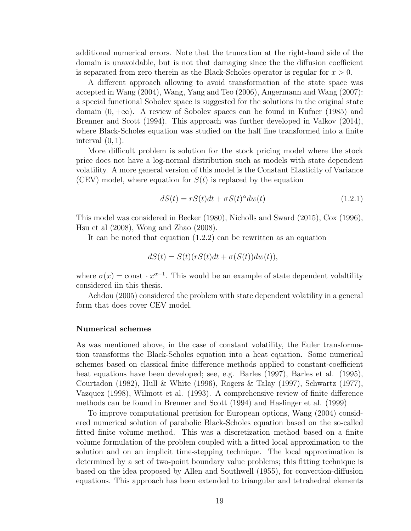additional numerical errors. Note that the truncation at the right-hand side of the domain is unavoidable, but is not that damaging since the the diffusion coefficient is separated from zero therein as the Black-Scholes operator is regular for  $x > 0$ .

A different approach allowing to avoid transformation of the state space was accepted in Wang (2004), Wang, Yang and Teo (2006), Angermann and Wang (2007): a special functional Sobolev space is suggested for the solutions in the original state domain  $(0, +\infty)$ . A review of Sobolev spaces can be found in Kufner (1985) and Brenner and Scott (1994). This approach was further developed in Valkov (2014), where Black-Scholes equation was studied on the half line transformed into a finite interval  $(0, 1)$ .

More difficult problem is solution for the stock pricing model where the stock price does not have a log-normal distribution such as models with state dependent volatility. A more general version of this model is the Constant Elasticity of Variance (CEV) model, where equation for  $S(t)$  is replaced by the equation

$$
dS(t) = rS(t)dt + \sigma S(t)^{\alpha}dw(t)
$$
\n(1.2.1)

This model was considered in Becker (1980), Nicholls and Sward (2015), Cox (1996), Hsu et al (2008), Wong and Zhao (2008).

It can be noted that equation (1.2.2) can be rewritten as an equation

$$
dS(t) = S(t)(rS(t)dt + \sigma(S(t))dw(t)),
$$

where  $\sigma(x) = \text{const} \cdot x^{\alpha-1}$ . This would be an example of state dependent volaltility considered iin this thesis.

Achdou (2005) considered the problem with state dependent volatility in a general form that does cover CEV model.

#### Numerical schemes

As was mentioned above, in the case of constant volatility, the Euler transformation transforms the Black-Scholes equation into a heat equation. Some numerical schemes based on classical finite difference methods applied to constant-coefficient heat equations have been developed; see, e.g. Barles (1997), Barles et al. (1995), Courtadon (1982), Hull & White (1996), Rogers & Talay (1997), Schwartz (1977), Vazquez (1998), Wilmott et al. (1993). A comprehensive review of finite difference methods can be found in Brenner and Scott (1994) and Haslinger et al. (1999)

To improve computational precision for European options, Wang (2004) considered numerical solution of parabolic Black-Scholes equation based on the so-called fitted finite volume method. This was a discretization method based on a finite volume formulation of the problem coupled with a fitted local approximation to the solution and on an implicit time-stepping technique. The local approximation is determined by a set of two-point boundary value problems; this fitting technique is based on the idea proposed by Allen and Southwell (1955), for convection-diffusion equations. This approach has been extended to triangular and tetrahedral elements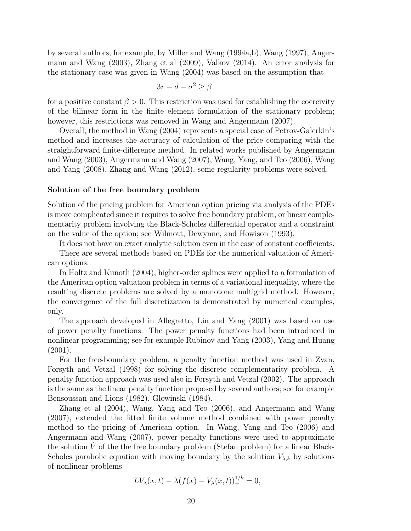by several authors; for example, by Miller and Wang (1994a,b), Wang (1997), Angermann and Wang (2003), Zhang et al (2009), Valkov (2014). An error analysis for the stationary case was given in Wang (2004) was based on the assumption that

$$
3r - d - \sigma^2 \ge \beta
$$

for a positive constant  $\beta > 0$ . This restriction was used for establishing the coercivity of the bilinear form in the finite element formulation of the stationary problem; however, this restrictions was removed in Wang and Angermann (2007).

Overall, the method in Wang (2004) represents a special case of Petrov-Galerkin's method and increases the accuracy of calculation of the price comparing with the straightforward finite-difference method. In related works published by Angermann and Wang (2003), Angermann and Wang (2007), Wang, Yang, and Teo (2006), Wang and Yang (2008), Zhang and Wang (2012), some regularity problems were solved.

#### Solution of the free boundary problem

Solution of the pricing problem for American option pricing via analysis of the PDEs is more complicated since it requires to solve free boundary problem, or linear complementarity problem involving the Black-Scholes differential operator and a constraint on the value of the option; see Wilmott, Dewynne, and Howison (1993).

It does not have an exact analytic solution even in the case of constant coefficients.

There are several methods based on PDEs for the numerical valuation of American options.

In Holtz and Kunoth (2004), higher-order splines were applied to a formulation of the American option valuation problem in terms of a variational inequality, where the resulting discrete problems are solved by a monotone multigrid method. However, the convergence of the full discretization is demonstrated by numerical examples, only.

The approach developed in Allegretto, Lin and Yang (2001) was based on use of power penalty functions. The power penalty functions had been introduced in nonlinear programming; see for example Rubinov and Yang (2003), Yang and Huang (2001).

For the free-boundary problem, a penalty function method was used in Zvan, Forsyth and Vetzal (1998) for solving the discrete complementarity problem. A penalty function approach was used also in Forsyth and Vetzal (2002). The approach is the same as the linear penalty function proposed by several authors; see for example Bensoussan and Lions (1982), Glowinski (1984).

Zhang et al (2004), Wang, Yang and Teo (2006), and Angermann and Wang (2007), extended the fitted finite volume method combined with power penalty method to the pricing of American option. In Wang, Yang and Teo (2006) and Angermann and Wang (2007), power penalty functions were used to approximate the solution  $V$  of the the free boundary problem (Stefan problem) for a linear Black-Scholes parabolic equation with moving boundary by the solution  $V_{\lambda,k}$  by solutions of nonlinear problems

<span id="page-19-0"></span>
$$
LV_{\lambda}(x,t) - \lambda (f(x) - V_{\lambda}(x,t))_{+}^{1/k} = 0,
$$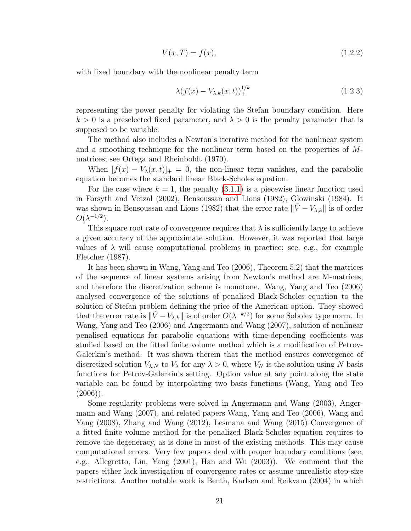$$
V(x,T) = f(x),\tag{1.2.2}
$$

with fixed boundary with the nonlinear penalty term

$$
\lambda(f(x) - V_{\lambda,k}(x,t))_{+}^{1/k} \tag{1.2.3}
$$

representing the power penalty for violating the Stefan boundary condition. Here  $k > 0$  is a preselected fixed parameter, and  $\lambda > 0$  is the penalty parameter that is supposed to be variable.

The method also includes a Newton's iterative method for the nonlinear system and a smoothing technique for the nonlinear term based on the properties of  $M$ matrices; see Ortega and Rheinboldt (1970).

When  $[f(x) - V_{\lambda}(x, t)]_{+} = 0$ , the non-linear term vanishes, and the parabolic equation becomes the standard linear Black-Scholes equation.

For the case where  $k = 1$ , the penalty [\(3.1.1\)](#page-53-1) is a piecewise linear function used in Forsyth and Vetzal (2002), Bensoussan and Lions (1982), Glowinski (1984). It was shown in Bensoussan and Lions (1982) that the error rate  $\|\tilde{V} - V_{\lambda,k}\|$  is of order  $O(\lambda^{-1/2})$ .

This square root rate of convergence requires that  $\lambda$  is sufficiently large to achieve a given accuracy of the approximate solution. However, it was reported that large values of  $\lambda$  will cause computational problems in practice; see, e.g., for example Fletcher (1987).

It has been shown in Wang, Yang and Teo (2006), Theorem 5.2) that the matrices of the sequence of linear systems arising from Newton's method are M-matrices, and therefore the discretization scheme is monotone. Wang, Yang and Teo (2006) analysed convergence of the solutions of penalised Black-Scholes equation to the solution of Stefan problem defining the price of the American option. They showed that the error rate is  $\|\tilde{V} - V_{\lambda,k}\|$  is of order  $O(\lambda^{-k/2})$  for some Sobolev type norm. In Wang, Yang and Teo (2006) and Angermann and Wang (2007), solution of nonlinear penalised equations for parabolic equations with time-depending coefficients was studied based on the fitted finite volume method which is a modification of Petrov-Galerkin's method. It was shown therein that the method ensures convergence of discretized solution  $V_{\lambda,N}$  to  $V_{\lambda}$  for any  $\lambda > 0$ , where  $V_N$  is the solution using N basis functions for Petrov-Galerkin's setting. Option value at any point along the state variable can be found by interpolating two basis functions (Wang, Yang and Teo  $(2006)$ ).

Some regularity problems were solved in Angermann and Wang (2003), Angermann and Wang (2007), and related papers Wang, Yang and Teo (2006), Wang and Yang (2008), Zhang and Wang (2012), Lesmana and Wang (2015) Convergence of a fitted finite volume method for the penalized Black-Scholes equation requires to remove the degeneracy, as is done in most of the existing methods. This may cause computational errors. Very few papers deal with proper boundary conditions (see, e.g., Allegretto, Lin, Yang (2001), Han and Wu (2003)). We comment that the papers either lack investigation of convergence rates or assume unrealistic step-size restrictions. Another notable work is Benth, Karlsen and Reikvam (2004) in which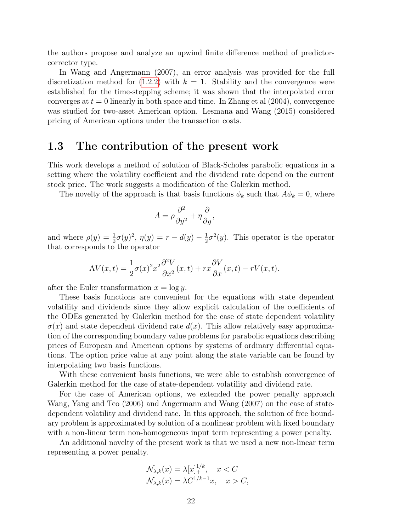the authors propose and analyze an upwind finite difference method of predictorcorrector type.

In Wang and Angermann (2007), an error analysis was provided for the full discretization method for  $(1.2.2)$  with  $k = 1$ . Stability and the convergence were established for the time-stepping scheme; it was shown that the interpolated error converges at  $t = 0$  linearly in both space and time. In Zhang et al  $(2004)$ , convergence was studied for two-asset American option. Lesmana and Wang (2015) considered pricing of American options under the transaction costs.

### <span id="page-21-0"></span>1.3 The contribution of the present work

This work develops a method of solution of Black-Scholes parabolic equations in a setting where the volatility coefficient and the dividend rate depend on the current stock price. The work suggests a modification of the Galerkin method.

The novelty of the approach is that basis functions  $\phi_k$  such that  $A\phi_k = 0$ , where

$$
A = \rho \frac{\partial^2}{\partial y^2} + \eta \frac{\partial}{\partial y},
$$

and where  $\rho(y) = \frac{1}{2}\sigma(y)^2$ ,  $\eta(y) = r - d(y) - \frac{1}{2}$  $\frac{1}{2}\sigma^2(y)$ . This operator is the operator that corresponds to the operator

$$
AV(x,t) = \frac{1}{2}\sigma(x)^2 x^2 \frac{\partial^2 V}{\partial x^2}(x,t) + rx \frac{\partial V}{\partial x}(x,t) - rV(x,t).
$$

after the Euler transformation  $x = \log y$ .

These basis functions are convenient for the equations with state dependent volatility and dividends since they allow explicit calculation of the coefficients of the ODEs generated by Galerkin method for the case of state dependent volatility  $\sigma(x)$  and state dependent dividend rate  $d(x)$ . This allow relatively easy approximation of the corresponding boundary value problems for parabolic equations describing prices of European and American options by systems of ordinary differential equations. The option price value at any point along the state variable can be found by interpolating two basis functions.

With these convenient basis functions, we were able to establish convergence of Galerkin method for the case of state-dependent volatility and dividend rate.

For the case of American options, we extended the power penalty approach Wang, Yang and Teo (2006) and Angermann and Wang (2007) on the case of statedependent volatility and dividend rate. In this approach, the solution of free boundary problem is approximated by solution of a nonlinear problem with fixed boundary with a non-linear term non-homogeneous input term representing a power penalty.

An additional novelty of the present work is that we used a new non-linear term representing a power penalty.

$$
\mathcal{N}_{\lambda,k}(x) = \lambda [x]_{+}^{1/k}, \quad x < C
$$
  

$$
\mathcal{N}_{\lambda,k}(x) = \lambda C^{1/k-1}x, \quad x > C,
$$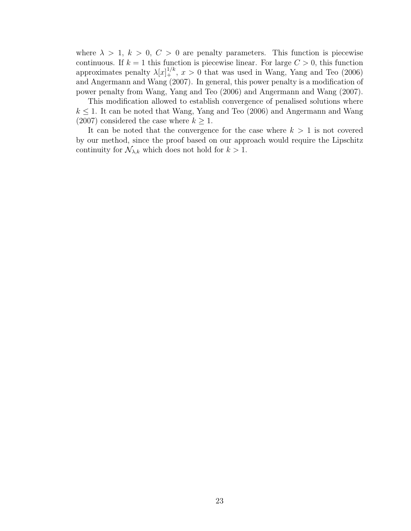where  $\lambda > 1, k > 0, C > 0$  are penalty parameters. This function is piecewise continuous. If  $k = 1$  this function is piecewise linear. For large  $C > 0$ , this function approximates penalty  $\lambda[x]_+^{1/k}$ ,  $x > 0$  that was used in Wang, Yang and Teo (2006) and Angermann and Wang (2007). In general, this power penalty is a modification of power penalty from Wang, Yang and Teo (2006) and Angermann and Wang (2007).

This modification allowed to establish convergence of penalised solutions where  $k \leq 1$ . It can be noted that Wang, Yang and Teo (2006) and Angermann and Wang (2007) considered the case where  $k \geq 1$ .

It can be noted that the convergence for the case where  $k > 1$  is not covered by our method, since the proof based on our approach would require the Lipschitz continuity for  $\mathcal{N}_{\lambda,k}$  which does not hold for  $k > 1$ .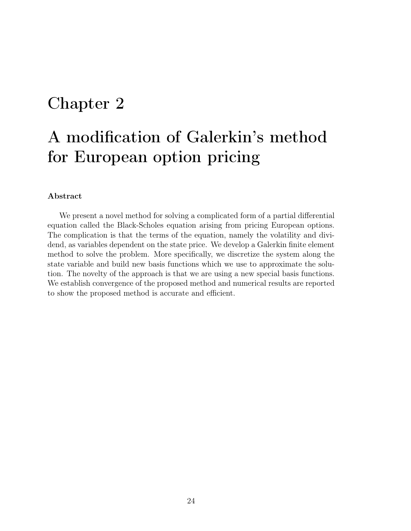# <span id="page-23-0"></span>Chapter 2

# A modification of Galerkin's method for European option pricing

#### Abstract

We present a novel method for solving a complicated form of a partial differential equation called the Black-Scholes equation arising from pricing European options. The complication is that the terms of the equation, namely the volatility and dividend, as variables dependent on the state price. We develop a Galerkin finite element method to solve the problem. More specifically, we discretize the system along the state variable and build new basis functions which we use to approximate the solution. The novelty of the approach is that we are using a new special basis functions. We establish convergence of the proposed method and numerical results are reported to show the proposed method is accurate and efficient.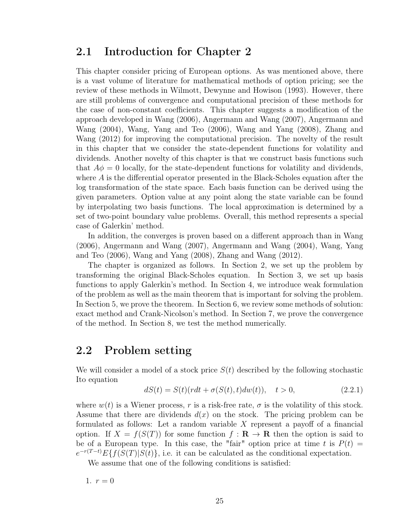### <span id="page-24-0"></span>2.1 Introduction for Chapter 2

This chapter consider pricing of European options. As was mentioned above, there is a vast volume of literature for mathematical methods of option pricing; see the review of these methods in Wilmott, Dewynne and Howison (1993). However, there are still problems of convergence and computational precision of these methods for the case of non-constant coefficients. This chapter suggests a modification of the approach developed in Wang (2006), Angermann and Wang (2007), Angermann and Wang (2004), Wang, Yang and Teo (2006), Wang and Yang (2008), Zhang and Wang (2012) for improving the computational precision. The novelty of the result in this chapter that we consider the state-dependent functions for volatility and dividends. Another novelty of this chapter is that we construct basis functions such that  $A\phi = 0$  locally, for the state-dependent functions for volatility and dividends, where  $A$  is the differential operator presented in the Black-Scholes equation after the log transformation of the state space. Each basis function can be derived using the given parameters. Option value at any point along the state variable can be found by interpolating two basis functions. The local approximation is determined by a set of two-point boundary value problems. Overall, this method represents a special case of Galerkin' method.

In addition, the converges is proven based on a different approach than in Wang (2006), Angermann and Wang (2007), Angermann and Wang (2004), Wang, Yang and Teo (2006), Wang and Yang (2008), Zhang and Wang (2012).

The chapter is organized as follows. In Section 2, we set up the problem by transforming the original Black-Scholes equation. In Section 3, we set up basis functions to apply Galerkin's method. In Section 4, we introduce weak formulation of the problem as well as the main theorem that is important for solving the problem. In Section 5, we prove the theorem. In Section 6, we review some methods of solution: exact method and Crank-Nicolson's method. In Section 7, we prove the convergence of the method. In Section 8, we test the method numerically.

## <span id="page-24-1"></span>2.2 Problem setting

We will consider a model of a stock price  $S(t)$  described by the following stochastic Ito equation

$$
dS(t) = S(t)(rdt + \sigma(S(t), t)dw(t)), \quad t > 0,
$$
\n(2.2.1)

where  $w(t)$  is a Wiener process, r is a risk-free rate,  $\sigma$  is the volatility of this stock. Assume that there are dividends  $d(x)$  on the stock. The pricing problem can be formulated as follows: Let a random variable  $X$  represent a payoff of a financial option. If  $X = f(S(T))$  for some function  $f: \mathbf{R} \to \mathbf{R}$  then the option is said to be of a European type. In this case, the "fair" option price at time t is  $P(t) =$  $e^{-r(T-t)}E\{f(S(T)|S(t)\},$  i.e. it can be calculated as the conditional expectation.

We assume that one of the following conditions is satisfied:

1.  $r = 0$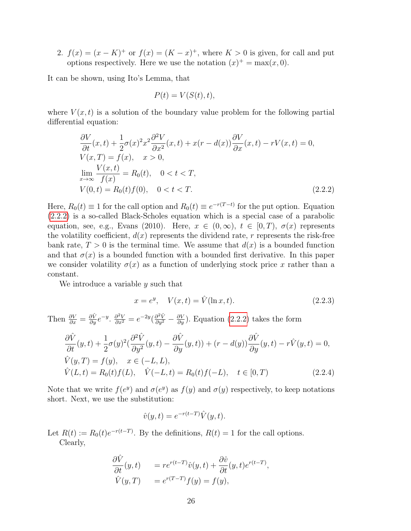2.  $f(x) = (x - K)^+$  or  $f(x) = (K - x)^+$ , where  $K > 0$  is given, for call and put options respectively. Here we use the notation  $(x)^{+} = \max(x, 0)$ .

It can be shown, using Ito's Lemma, that

$$
P(t) = V(S(t), t),
$$

where  $V(x, t)$  is a solution of the boundary value problem for the following partial differential equation:

<span id="page-25-0"></span>
$$
\frac{\partial V}{\partial t}(x,t) + \frac{1}{2}\sigma(x)^2 x^2 \frac{\partial^2 V}{\partial x^2}(x,t) + x(r - d(x)) \frac{\partial V}{\partial x}(x,t) - rV(x,t) = 0,
$$
  
\n
$$
V(x,T) = f(x), \quad x > 0,
$$
  
\n
$$
\lim_{x \to \infty} \frac{V(x,t)}{f(x)} = R_0(t), \quad 0 < t < T,
$$
  
\n
$$
V(0,t) = R_0(t)f(0), \quad 0 < t < T.
$$
\n(2.2.2)

Here,  $R_0(t) \equiv 1$  for the call option and  $R_0(t) \equiv e^{-r(T-t)}$  for the put option. Equation [\(2.2.2\)](#page-25-0) is a so-called Black-Scholes equation which is a special case of a parabolic equation, see, e.g., Evans (2010). Here,  $x \in (0,\infty), t \in [0,T), \sigma(x)$  represents the volatility coefficient,  $d(x)$  represents the dividend rate, r represents the risk-free bank rate,  $T > 0$  is the terminal time. We assume that  $d(x)$  is a bounded function and that  $\sigma(x)$  is a bounded function with a bounded first derivative. In this paper we consider volatility  $\sigma(x)$  as a function of underlying stock price x rather than a constant.

We introduce a variable  $y$  such that

$$
x = e^y, \quad V(x, t) = \hat{V}(\ln x, t). \tag{2.2.3}
$$

Then  $\frac{\partial V}{\partial x} = \frac{\partial \hat{V}}{\partial y} e^{-y}$ .  $\frac{\partial^2 V}{\partial x^2} = e^{-2y} (\frac{\partial^2 \hat{V}}{\partial y^2} - \frac{\partial V}{\partial y})$ . Equation [\(2.2.2\)](#page-25-0) takes the form

<span id="page-25-1"></span>
$$
\frac{\partial \hat{V}}{\partial t}(y,t) + \frac{1}{2}\sigma(y)^2(\frac{\partial^2 \hat{V}}{\partial y^2}(y,t) - \frac{\partial \hat{V}}{\partial y}(y,t)) + (r - d(y))\frac{\partial \hat{V}}{\partial y}(y,t) - r\hat{V}(y,t) = 0,\n\hat{V}(y,T) = f(y), \quad x \in (-L, L),\n\hat{V}(L,t) = R_0(t)f(L), \quad \hat{V}(-L,t) = R_0(t)f(-L), \quad t \in [0, T)
$$
\n(2.2.4)

Note that we write  $f(e^y)$  and  $\sigma(e^y)$  as  $f(y)$  and  $\sigma(y)$  respectively, to keep notations short. Next, we use the substitution:

$$
\hat{v}(y,t) = e^{-r(t-T)}\hat{V}(y,t).
$$

Let  $R(t) := R_0(t)e^{-r(t-T)}$ . By the definitions,  $R(t) = 1$  for the call options. Clearly,

$$
\frac{\partial \hat{V}}{\partial t}(y,t) = r e^{r(t-T)} \hat{v}(y,t) + \frac{\partial \hat{v}}{\partial t}(y,t) e^{r(t-T)}, \n\hat{V}(y,T) = e^{r(T-T)} f(y) = f(y),
$$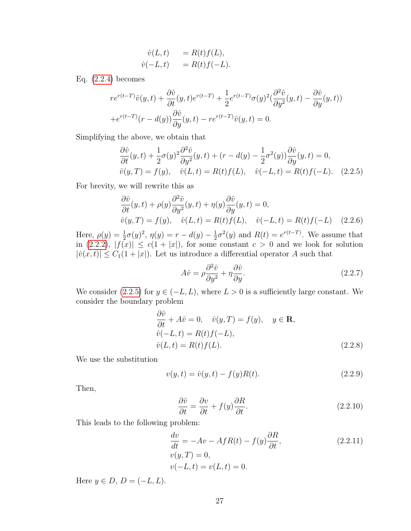$$
\begin{aligned}\n\hat{v}(L,t) &= R(t)f(L), \\
\hat{v}(-L,t) &= R(t)f(-L).\n\end{aligned}
$$

Eq. [\(2.2.4\)](#page-25-1) becomes

$$
re^{r(t-T)}\hat{v}(y,t) + \frac{\partial \hat{v}}{\partial t}(y,t)e^{r(t-T)} + \frac{1}{2}e^{r(t-T)}\sigma(y)^2(\frac{\partial^2 \hat{v}}{\partial y^2}(y,t) - \frac{\partial \hat{v}}{\partial y}(y,t))
$$
  
+ 
$$
e^{r(t-T)}(r-d(y))\frac{\partial \hat{v}}{\partial y}(y,t) - re^{r(t-T)}\hat{v}(y,t) = 0.
$$

Simplifying the above, we obtain that

<span id="page-26-0"></span>
$$
\frac{\partial \hat{v}}{\partial t}(y,t) + \frac{1}{2}\sigma(y)^2 \frac{\partial^2 \hat{v}}{\partial y^2}(y,t) + (r - d(y) - \frac{1}{2}\sigma^2(y))\frac{\partial \hat{v}}{\partial y}(y,t) = 0,
$$
  

$$
\hat{v}(y,T) = f(y), \quad \hat{v}(L,t) = R(t)f(L), \quad \hat{v}(-L,t) = R(t)f(-L). \quad (2.2.5)
$$

For brevity, we will rewrite this as

$$
\frac{\partial \hat{v}}{\partial t}(y,t) + \rho(y)\frac{\partial^2 \hat{v}}{\partial y^2}(y,t) + \eta(y)\frac{\partial \hat{v}}{\partial y}(y,t) = 0,\n\hat{v}(y,T) = f(y), \quad \hat{v}(L,t) = R(t)f(L), \quad \hat{v}(-L,t) = R(t)f(-L) \quad (2.2.6)
$$

Here,  $\rho(y) = \frac{1}{2}\sigma(y)^2$ ,  $\eta(y) = r - d(y) - \frac{1}{2}$  $\frac{1}{2}\sigma^2(y)$  and  $R(t) = e^{r(t-T)}$ . We assume that in  $(2.2.2), |f(x)| \le c(1+|x|)$  $(2.2.2), |f(x)| \le c(1+|x|)$ , for some constant  $c > 0$  and we look for solution  $|\hat{v}(x, t)| \leq C_1(1 + |x|)$ . Let us introduce a differential operator A such that

$$
A\hat{v} = \rho \frac{\partial^2 \hat{v}}{\partial y^2} + \eta \frac{\partial \hat{v}}{\partial y}.
$$
\n(2.2.7)

We consider [\(2.2.5\)](#page-26-0) for  $y \in (-L, L)$ , where  $L > 0$  is a sufficiently large constant. We consider the boundary problem

$$
\frac{\partial \hat{v}}{\partial t} + A\hat{v} = 0, \quad \hat{v}(y, T) = f(y), \quad y \in \mathbf{R},
$$
  
\n
$$
\hat{v}(-L, t) = R(t)f(-L),
$$
  
\n
$$
\hat{v}(L, t) = R(t)f(L).
$$
\n(2.2.8)

We use the substitution

$$
v(y,t) = \hat{v}(y,t) - f(y)R(t).
$$
\n(2.2.9)

Then,

$$
\frac{\partial \hat{v}}{\partial t} = \frac{\partial v}{\partial t} + f(y)\frac{\partial R}{\partial t}.
$$
\n(2.2.10)

This leads to the following problem:

<span id="page-26-1"></span>
$$
\frac{dv}{dt} = -Av - AfR(t) - f(y)\frac{\partial R}{\partial t},
$$
\n
$$
v(y, T) = 0,
$$
\n
$$
v(-L, t) = v(L, t) = 0.
$$
\n(2.2.11)

Here  $y \in D$ ,  $D = (-L, L)$ .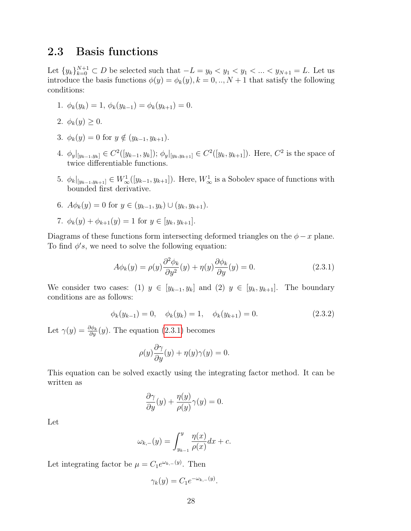### <span id="page-27-0"></span>2.3 Basis functions

Let  $\{y_k\}_{k=0}^{N+1} \subset D$  be selected such that  $-L = y_0 < y_1 < y_1 < ... < y_{N+1} = L$ . Let us introduce the basis functions  $\phi(y) = \phi_k(y), k = 0, ..., N + 1$  that satisfy the following conditions:

- 1.  $\phi_k(y_k) = 1, \, \phi_k(y_{k-1}) = \phi_k(y_{k+1}) = 0.$
- 2.  $\phi_k(y) \geq 0$ .
- 3.  $\phi_k(y) = 0$  for  $y \notin (y_{k-1}, y_{k+1})$ .
- 4.  $\phi_y|_{[y_{k-1},y_k]} \in C^2([y_{k-1},y_k])$ ;  $\phi_y|_{[y_k,y_{k+1}]} \in C^2([y_k,y_{k+1}])$ . Here,  $C^2$  is the space of twice differentiable functions.
- 5.  $\phi_k|_{[y_{k-1},y_{k+1}]}\in W^1_\infty([y_{k-1},y_{k+1}])$ . Here,  $W^1_\infty$  is a Sobolev space of functions with bounded first derivative.
- 6.  $A\phi_k(y) = 0$  for  $y \in (y_{k-1}, y_k) \cup (y_k, y_{k+1}).$
- 7.  $\phi_k(y) + \phi_{k+1}(y) = 1$  for  $y \in [y_k, y_{k+1}].$

Diagrams of these functions form intersecting deformed triangles on the  $\phi - x$  plane. To find  $\phi's$ , we need to solve the following equation:

<span id="page-27-1"></span>
$$
A\phi_k(y) = \rho(y)\frac{\partial^2 \phi_k}{\partial y^2}(y) + \eta(y)\frac{\partial \phi_k}{\partial y}(y) = 0.
$$
\n(2.3.1)

We consider two cases: (1)  $y \in [y_{k-1}, y_k]$  and (2)  $y \in [y_k, y_{k+1}]$ . The boundary conditions are as follows:

<span id="page-27-2"></span>
$$
\phi_k(y_{k-1}) = 0, \quad \phi_k(y_k) = 1, \quad \phi_k(y_{k+1}) = 0.
$$
\n(2.3.2)

Let  $\gamma(y) = \frac{\partial \phi_k}{\partial y}(y)$ . The equation [\(2.3.1\)](#page-27-1) becomes

$$
\rho(y)\frac{\partial \gamma}{\partial y}(y) + \eta(y)\gamma(y) = 0.
$$

This equation can be solved exactly using the integrating factor method. It can be written as

$$
\frac{\partial \gamma}{\partial y}(y) + \frac{\eta(y)}{\rho(y)}\gamma(y) = 0.
$$

Let

$$
\omega_{k,-}(y) = \int_{y_{k-1}}^{y} \frac{\eta(x)}{\rho(x)} dx + c.
$$

Let integrating factor be  $\mu = C_1 e^{\omega_{k,-}(y)}$ . Then

$$
\gamma_k(y) = C_1 e^{-\omega_{k,-}(y)}.
$$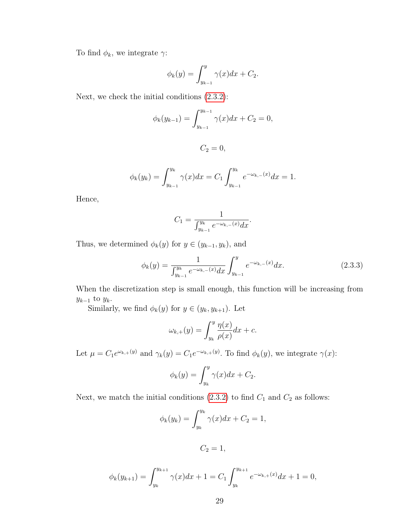To find  $\phi_k$ , we integrate  $\gamma$ :

$$
\phi_k(y) = \int_{y_{k-1}}^y \gamma(x) dx + C_2.
$$

Next, we check the initial conditions [\(2.3.2\)](#page-27-2):

$$
\phi_k(y_{k-1}) = \int_{y_{k-1}}^{y_{k-1}} \gamma(x) dx + C_2 = 0,
$$

$$
C_2=0,
$$

$$
\phi_k(y_k) = \int_{y_{k-1}}^{y_k} \gamma(x) dx = C_1 \int_{y_{k-1}}^{y_k} e^{-\omega_{k,-}(x)} dx = 1.
$$

Hence,

$$
C_1 = \frac{1}{\int_{y_{k-1}}^{y_k} e^{-\omega_{k,-}(x)} dx}.
$$

Thus, we determined  $\phi_k(y)$  for  $y \in (y_{k-1}, y_k)$ , and

$$
\phi_k(y) = \frac{1}{\int_{y_{k-1}}^{y_k} e^{-\omega_{k,-}(x)} dx} \int_{y_{k-1}}^{y} e^{-\omega_{k,-}(x)} dx.
$$
\n(2.3.3)

When the discretization step is small enough, this function will be increasing from  $y_{k-1}$  to  $y_k$ .

Similarly, we find  $\phi_k(y)$  for  $y \in (y_k, y_{k+1})$ . Let

$$
\omega_{k,+}(y) = \int_{y_k}^{y} \frac{\eta(x)}{\rho(x)} dx + c.
$$

Let  $\mu = C_1 e^{\omega_{k,+}(y)}$  and  $\gamma_k(y) = C_1 e^{-\omega_{k,+}(y)}$ . To find  $\phi_k(y)$ , we integrate  $\gamma(x)$ :

$$
\phi_k(y) = \int_{y_k}^y \gamma(x) dx + C_2.
$$

Next, we match the initial conditions [\(2.3.2\)](#page-27-2) to find  $C_1$  and  $C_2$  as follows:

$$
\phi_k(y_k) = \int_{y_k}^{y_k} \gamma(x) dx + C_2 = 1,
$$

$$
C_2=1,
$$

$$
\phi_k(y_{k+1}) = \int_{y_k}^{y_{k+1}} \gamma(x) dx + 1 = C_1 \int_{y_k}^{y_{k+1}} e^{-\omega_{k,+}(x)} dx + 1 = 0,
$$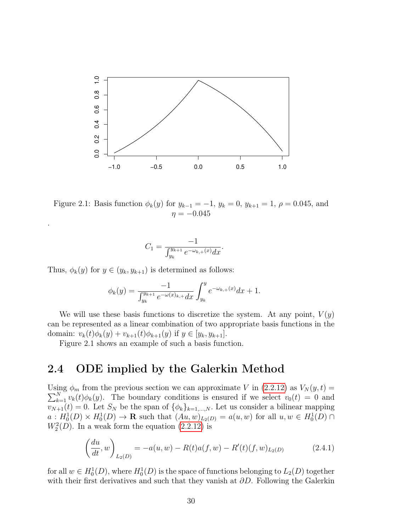<span id="page-29-1"></span>

Figure 2.1: Basis function  $\phi_k(y)$  for  $y_{k-1} = -1$ ,  $y_k = 0$ ,  $y_{k+1} = 1$ ,  $\rho = 0.045$ , and  $\eta = -0.045$ 

$$
C_1 = \frac{-1}{\int_{y_k}^{y_{k+1}} e^{-\omega_{k,+}(x)} dx}.
$$

Thus,  $\phi_k(y)$  for  $y \in (y_k, y_{k+1})$  is determined as follows:

.

$$
\phi_k(y) = \frac{-1}{\int_{y_k}^{y_{k+1}} e^{-\omega(x)_{k+1}} dx} \int_{y_k}^{y} e^{-\omega_{k,+}(x)} dx + 1.
$$

We will use these basis functions to discretize the system. At any point,  $V(y)$ can be represented as a linear combination of two appropriate basis functions in the domain:  $v_k(t)\phi_k(y) + v_{k+1}(t)\phi_{k+1}(y)$  if  $y \in [y_k, y_{k+1}].$ 

Figure 2.1 shows an example of such a basis function.

### <span id="page-29-0"></span>2.4 ODE implied by the Galerkin Method

Using  $\phi_m$  from the previous section we can approximate V in [\(2.2.12\)](#page-26-1) as  $V_N(y,t) =$  $\sum_{k=1}^{N} v_k(t) \phi_k(y)$ . The boundary conditions is ensured if we select  $v_0(t) = 0$  and  $v_{N+1}(t) = 0$ . Let  $S_N$  be the span of  $\{\phi_k\}_{k=1,\dots,N}$ . Let us consider a bilinear mapping  $a: H_0^1(D) \times H_0^1(D) \to \mathbf{R}$  such that  $(Au, w)_{L_2(D)} = a(u, w)$  for all  $u, w \in H_0^1(D) \cap$  $W_2^2(D)$ . In a weak form the equation  $(2.2.12)$  is

$$
\left(\frac{du}{dt}, w\right)_{L_2(D)} = -a(u, w) - R(t)a(f, w) - R'(t)(f, w)_{L_2(D)} \tag{2.4.1}
$$

for all  $w \in H_0^1(D)$ , where  $H_0^1(D)$  is the space of functions belonging to  $L_2(D)$  together with their first derivatives and such that they vanish at  $\partial D$ . Following the Galerkin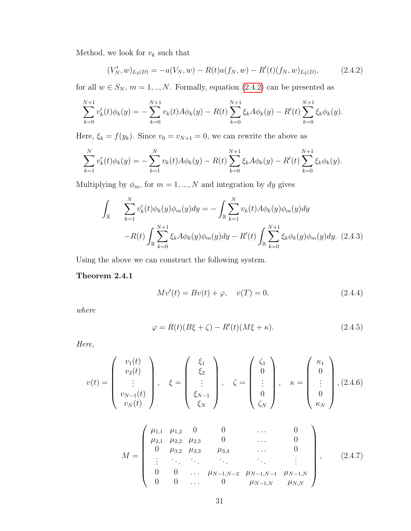Method, we look for  $\boldsymbol{v}_k$  such that

<span id="page-30-2"></span>
$$
(V'_N, w)_{L_2(D)} = -a(V_N, w) - R(t)a(f_N, w) - R'(t)(f_N, w)_{L_2(D)},
$$
\n(2.4.2)

for all  $w \in S_N$ ,  $m = 1, ..., N$ . Formally, equation [\(2.4.2\)](#page-30-2) can be presented as

$$
\sum_{k=0}^{N+1} v'_k(t)\phi_k(y) = -\sum_{k=0}^{N+1} v_k(t)A\phi_k(y) - R(t)\sum_{k=0}^{N+1} \xi_k A\phi_k(y) - R'(t)\sum_{k=0}^{N+1} \xi_k \phi_k(y).
$$

Here,  $\xi_k = f(y_k)$ . Since  $v_0 = v_{N+1} = 0$ , we can rewrite the above as

$$
\sum_{k=1}^{N} v'_k(t)\phi_k(y) = -\sum_{k=1}^{N} v_k(t)A\phi_k(y) - R(t)\sum_{k=0}^{N+1} \xi_k A\phi_k(y) - R'(t)\sum_{k=0}^{N+1} \xi_k \phi_k(y).
$$

Multiplying by  $\phi_m$ , for  $m = 1, ..., N$  and integration by dy gives

<span id="page-30-3"></span>
$$
\int_{\mathbb{R}} \sum_{k=1}^{N} v'_k(t) \phi_k(y) \phi_m(y) dy = - \int_{\mathbb{R}} \sum_{k=1}^{N} v_k(t) A \phi_k(y) \phi_m(y) dy
$$

$$
-R(t) \int_{\mathbb{R}} \sum_{k=0}^{N+1} \xi_k A \phi_k(y) \phi_m(y) dy - R'(t) \int_{\mathbb{R}} \sum_{k=0}^{N+1} \xi_k \phi_k(y) \phi_m(y) dy. \tag{2.4.3}
$$

Using the above we can construct the following system.

Theorem 2.4.1

<span id="page-30-1"></span><span id="page-30-0"></span>
$$
Mv'(t) = Bv(t) + \varphi, \quad v(T) = 0,
$$
\n(2.4.4)

where

$$
\varphi = R(t)(B\xi + \zeta) - R'(t)(M\xi + \kappa). \tag{2.4.5}
$$

Here,

$$
v(t) = \begin{pmatrix} v_1(t) \\ v_2(t) \\ \vdots \\ v_{N-1}(t) \\ v_N(t) \end{pmatrix}, \quad \xi = \begin{pmatrix} \xi_1 \\ \xi_2 \\ \vdots \\ \xi_{N-1} \\ \xi_N \end{pmatrix}, \quad \zeta = \begin{pmatrix} \zeta_1 \\ 0 \\ \vdots \\ 0 \\ \zeta_N \end{pmatrix}, \quad \kappa = \begin{pmatrix} \kappa_1 \\ 0 \\ \vdots \\ 0 \\ \kappa_N \end{pmatrix}, (2.4.6)
$$

<span id="page-30-4"></span>
$$
M = \begin{pmatrix} \mu_{1,1} & \mu_{1,2} & 0 & 0 & \dots & 0 \\ \mu_{2,1} & \mu_{2,2} & \mu_{2,3} & 0 & \dots & 0 \\ 0 & \mu_{3,2} & \mu_{3,3} & \mu_{3,4} & \dots & 0 \\ \vdots & \ddots & \ddots & \ddots & \ddots & \vdots \\ 0 & 0 & \dots & \mu_{N-1,N-2} & \mu_{N-1,N-1} & \mu_{N-1,N} \\ 0 & 0 & \dots & 0 & \mu_{N-1,N} & \mu_{N,N} \end{pmatrix},
$$
 (2.4.7)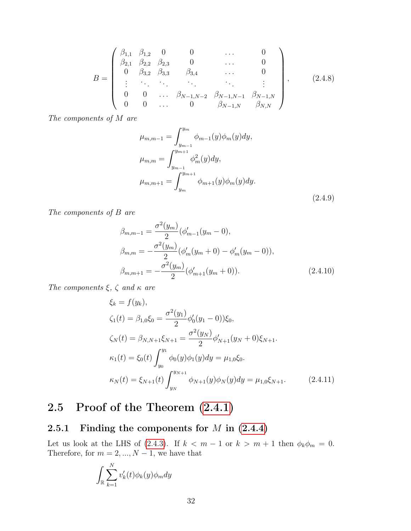$$
B = \begin{pmatrix} \beta_{1,1} & \beta_{1,2} & 0 & 0 & \cdots & 0 \\ \beta_{2,1} & \beta_{2,2} & \beta_{2,3} & 0 & \cdots & 0 \\ 0 & \beta_{3,2} & \beta_{3,3} & \beta_{3,4} & \cdots & 0 \\ \vdots & \ddots & \ddots & \ddots & \ddots & \vdots \\ 0 & 0 & \cdots & \beta_{N-1,N-2} & \beta_{N-1,N-1} & \beta_{N-1,N} \\ 0 & 0 & \cdots & 0 & \beta_{N-1,N} & \beta_{N,N} \end{pmatrix},
$$
 (2.4.8)

The components of  $M$  are

$$
\mu_{m,m-1} = \int_{y_{m-1}}^{y_m} \phi_{m-1}(y)\phi_m(y)dy,
$$
  
\n
$$
\mu_{m,m} = \int_{y_{m-1}}^{y_{m+1}} \phi_m^2(y)dy,
$$
  
\n
$$
\mu_{m,m+1} = \int_{y_m}^{y_{m+1}} \phi_{m+1}(y)\phi_m(y)dy.
$$
\n(2.4.9)

The components of  $B$  are

$$
\beta_{m,m-1} = \frac{\sigma^2(y_m)}{2} (\phi'_{m-1}(y_m - 0),
$$
  
\n
$$
\beta_{m,m} = -\frac{\sigma^2(y_m)}{2} (\phi'_{m}(y_m + 0) - \phi'_{m}(y_m - 0)),
$$
  
\n
$$
\beta_{m,m+1} = -\frac{\sigma^2(y_m)}{2} (\phi'_{m+1}(y_m + 0)).
$$
\n(2.4.10)

The components  $\xi$ ,  $\zeta$  and  $\kappa$  are

$$
\xi_k = f(y_k),
$$
  
\n
$$
\zeta_1(t) = \beta_{1,0}\xi_0 = \frac{\sigma^2(y_1)}{2}\phi_0'(y_1 - 0))\xi_0,
$$
  
\n
$$
\zeta_N(t) = \beta_{N,N+1}\xi_{N+1} = \frac{\sigma^2(y_N)}{2}\phi_{N+1}'(y_N + 0)\xi_{N+1}.
$$
  
\n
$$
\kappa_1(t) = \xi_0(t)\int_{y_0}^{y_1}\phi_0(y)\phi_1(y)dy = \mu_{1,0}\xi_0.
$$
  
\n
$$
\kappa_N(t) = \xi_{N+1}(t)\int_{y_N}^{y_{N+1}}\phi_{N+1}(y)\phi_N(y)dy = \mu_{1,0}\xi_{N+1}.
$$
\n(2.4.11)

# <span id="page-31-0"></span>2.5 Proof of the Theorem [\(2.4.1\)](#page-30-0)

## <span id="page-31-1"></span>2.5.1 Finding the components for  $M$  in  $(2.4.4)$

Let us look at the LHS of [\(2.4.3\)](#page-30-3). If  $k < m - 1$  or  $k > m + 1$  then  $\phi_k \phi_m = 0$ . Therefore, for  $m = 2, ..., N - 1$ , we have that

$$
\int_{\mathbb{R}} \sum_{k=1}^{N} v'_k(t) \phi_k(y) \phi_m dy
$$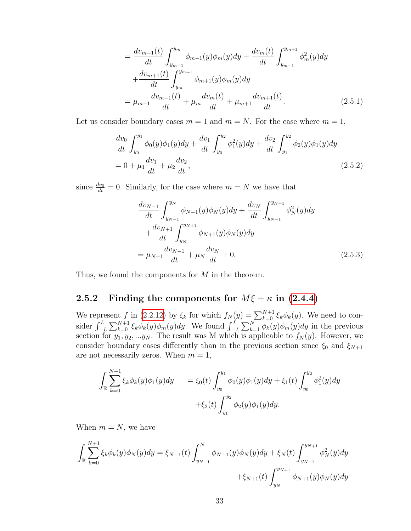$$
= \frac{dv_{m-1}(t)}{dt} \int_{y_{m-1}}^{y_m} \phi_{m-1}(y)\phi_m(y)dy + \frac{dv_m(t)}{dt} \int_{y_{m-1}}^{y_{m+1}} \phi_m^2(y)dy + \frac{dv_{m+1}(t)}{dt} \int_{y_m}^{y_{m+1}} \phi_{m+1}(y)\phi_m(y)dy = \mu_{m-1} \frac{dv_{m-1}(t)}{dt} + \mu_m \frac{dv_m(t)}{dt} + \mu_{m+1} \frac{dv_{m+1}(t)}{dt}.
$$
 (2.5.1)

Let us consider boundary cases  $m = 1$  and  $m = N$ . For the case where  $m = 1$ ,

$$
\frac{dv_0}{dt} \int_{y_0}^{y_1} \phi_0(y)\phi_1(y)dy + \frac{dv_1}{dt} \int_{y_0}^{y_2} \phi_1^2(y)dy + \frac{dv_2}{dt} \int_{y_1}^{y_2} \phi_2(y)\phi_1(y)dy
$$
  
= 0 +  $\mu_1 \frac{dv_1}{dt} + \mu_2 \frac{dv_2}{dt}$ , (2.5.2)

since  $\frac{dv_0}{dt} = 0$ . Similarly, for the case where  $m = N$  we have that

$$
\frac{dv_{N-1}}{dt} \int_{y_{N-1}}^{y_N} \phi_{N-1}(y)\phi_N(y)dy + \frac{dv_N}{dt} \int_{y_{N-1}}^{y_{N+1}} \phi_N^2(y)dy \n+ \frac{dv_{N+1}}{dt} \int_{y_N}^{y_{N+1}} \phi_{N+1}(y)\phi_N(y)dy \n= \mu_{N-1} \frac{dv_{N-1}}{dt} + \mu_N \frac{dv_N}{dt} + 0.
$$
\n(2.5.3)

Thus, we found the components for  $M$  in the theorem.

#### <span id="page-32-0"></span>2.5.2 Finding the components for  $M\xi + \kappa$  in [\(2.4.4\)](#page-30-1)

We represent f in [\(2.2.12\)](#page-26-1) by  $\xi_k$  for which  $f_N(y) = \sum_{k=0}^{N+1} \xi_k \phi_k(y)$ . We need to consider  $\int_{-L}^{L} \sum_{k=0}^{N+1} \xi_k \phi_k(y) \phi_m(y) dy$ . We found  $\int_{-L}^{L} \sum_{k=1}^{N} \phi_k(y) \phi_m(y) dy$  in the previous section for  $y_1, y_2, ... y_N$ . The result was M which is applicable to  $f_N(y)$ . However, we consider boundary cases differently than in the previous section since  $\xi_0$  and  $\xi_{N+1}$ are not necessarily zeros. When  $m = 1$ ,

$$
\int_{\mathbb{R}} \sum_{k=0}^{N+1} \xi_k \phi_k(y) \phi_1(y) dy = \xi_0(t) \int_{y_0}^{y_1} \phi_0(y) \phi_1(y) dy + \xi_1(t) \int_{y_0}^{y_2} \phi_1^2(y) dy \n+ \xi_2(t) \int_{y_1}^{y_2} \phi_2(y) \phi_1(y) dy.
$$

When  $m = N$ , we have

$$
\int_{\mathbb{R}} \sum_{k=0}^{N+1} \xi_k \phi_k(y) \phi_N(y) dy = \xi_{N-1}(t) \int_{y_{N-1}}^N \phi_{N-1}(y) \phi_N(y) dy + \xi_N(t) \int_{y_{N-1}}^{y_{N+1}} \phi_N^2(y) dy + \xi_{N+1}(t) \int_{y_N}^{y_{N+1}} \phi_{N+1}(y) \phi_N(y) dy
$$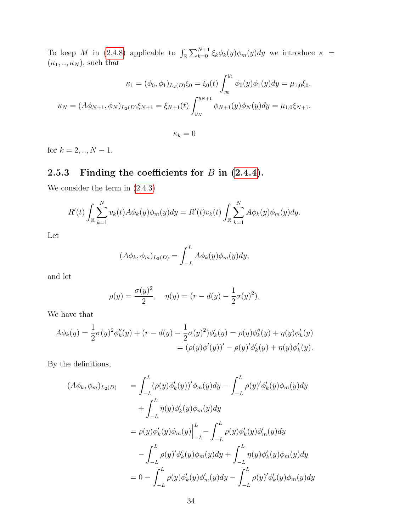To keep M in [\(2.4.8\)](#page-30-4) applicable to  $\int_{\mathbb{R}} \sum_{k=0}^{N+1} \xi_k \phi_k(y) \phi_m(y) dy$  we introduce  $\kappa$  =  $(\kappa_1, ..., \kappa_N)$ , such that

$$
\kappa_1 = (\phi_0, \phi_1)_{L_2(D)} \xi_0 = \xi_0(t) \int_{y_0}^{y_1} \phi_0(y) \phi_1(y) dy = \mu_{1,0} \xi_0.
$$
  

$$
\kappa_N = (A\phi_{N+1}, \phi_N)_{L_2(D)} \xi_{N+1} = \xi_{N+1}(t) \int_{y_N}^{y_{N+1}} \phi_{N+1}(y) \phi_N(y) dy = \mu_{1,0} \xi_{N+1}.
$$

 $\kappa_k = 0$ 

for  $k = 2, ..., N - 1$ .

## <span id="page-33-0"></span>2.5.3 Finding the coefficients for  $B$  in  $(2.4.4)$ .

We consider the term in [\(2.4.3\)](#page-30-3)

$$
R'(t)\int_{\mathbb{R}}\sum_{k=1}^{N}v_k(t)A\phi_k(y)\phi_m(y)dy = R'(t)v_k(t)\int_{\mathbb{R}}\sum_{k=1}^{N}A\phi_k(y)\phi_m(y)dy.
$$

Let

$$
(A\phi_k, \phi_m)_{L_2(D)} = \int_{-L}^{L} A\phi_k(y)\phi_m(y)dy,
$$

and let

$$
\rho(y) = \frac{\sigma(y)^2}{2}, \quad \eta(y) = (r - d(y) - \frac{1}{2}\sigma(y)^2).
$$

We have that

$$
A\phi_k(y) = \frac{1}{2}\sigma(y)^2\phi''_k(y) + (r - d(y) - \frac{1}{2}\sigma(y)^2)\phi'_k(y) = \rho(y)\phi''_k(y) + \eta(y)\phi'_k(y)
$$
  
=  $(\rho(y)\phi'(y))' - \rho(y)'\phi'_k(y) + \eta(y)\phi'_k(y).$ 

By the definitions,

$$
(A\phi_k, \phi_m)_{L_2(D)} = \int_{-L}^{L} (\rho(y)\phi'_k(y))'\phi_m(y)dy - \int_{-L}^{L} \rho(y)'\phi'_k(y)\phi_m(y)dy + \int_{-L}^{L} \eta(y)\phi'_k(y)\phi_m(y)dy = \rho(y)\phi'_k(y)\phi_m(y)\Big|_{-L}^{L} - \int_{-L}^{L} \rho(y)\phi'_k(y)\phi'_m(y)dy - \int_{-L}^{L} \rho(y)'\phi'_k(y)\phi_m(y)dy + \int_{-L}^{L} \eta(y)\phi'_k(y)\phi_m(y)dy = 0 - \int_{-L}^{L} \rho(y)\phi'_k(y)\phi'_m(y)dy - \int_{-L}^{L} \rho(y)'\phi'_k(y)\phi_m(y)dy
$$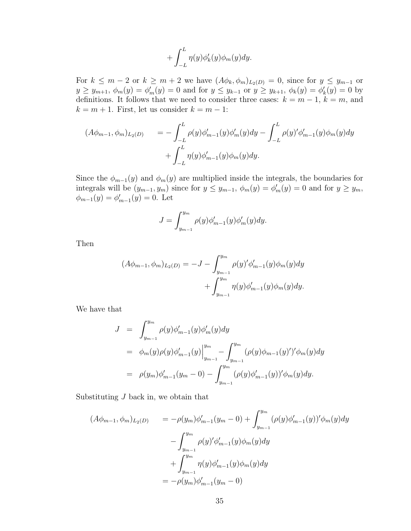$$
+\int_{-L}^{L}\eta(y)\phi_k'(y)\phi_m(y)dy.
$$

For  $k \leq m-2$  or  $k \geq m+2$  we have  $(A\phi_k, \phi_m)_{L_2(D)} = 0$ , since for  $y \leq y_{m-1}$  or  $y \ge y_{m+1}, \ \phi_m(y) = \phi'_m(y) = 0$  and for  $y \le y_{k-1}$  or  $y \ge y_{k+1}, \ \phi_k(y) = \phi'_k(y) = 0$  by definitions. It follows that we need to consider three cases:  $k = m - 1$ ,  $k = m$ , and  $k = m + 1$ . First, let us consider  $k = m - 1$ :

$$
(A\phi_{m-1}, \phi_m)_{L_2(D)} = -\int_{-L}^{L} \rho(y)\phi'_{m-1}(y)\phi'_m(y)dy - \int_{-L}^{L} \rho(y)'\phi'_{m-1}(y)\phi_m(y)dy + \int_{-L}^{L} \eta(y)\phi'_{m-1}(y)\phi_m(y)dy.
$$

Since the  $\phi_{m-1}(y)$  and  $\phi_m(y)$  are multiplied inside the integrals, the boundaries for integrals will be  $(y_{m-1}, y_m)$  since for  $y \leq y_{m-1}$ ,  $\phi_m(y) = \phi'_m(y) = 0$  and for  $y \geq y_m$ ,  $\phi_{m-1}(y) = \phi'_{m-1}(y) = 0.$  Let

$$
J = \int_{y_{m-1}}^{y_m} \rho(y) \phi'_{m-1}(y) \phi'_{m}(y) dy.
$$

Then

$$
(A\phi_{m-1}, \phi_m)_{L_2(D)} = -J - \int_{y_{m-1}}^{y_m} \rho(y)' \phi'_{m-1}(y) \phi_m(y) dy + \int_{y_{m-1}}^{y_m} \eta(y) \phi'_{m-1}(y) \phi_m(y) dy.
$$

We have that

$$
J = \int_{y_{m-1}}^{y_m} \rho(y) \phi'_{m-1}(y) \phi'_{m}(y) dy
$$
  
\n
$$
= \phi_m(y) \rho(y) \phi'_{m-1}(y) \Big|_{y_{m-1}}^{y_m} - \int_{y_{m-1}}^{y_m} (\rho(y) \phi_{m-1}(y)')' \phi_m(y) dy
$$
  
\n
$$
= \rho(y_m) \phi'_{m-1}(y_m - 0) - \int_{y_{m-1}}^{y_m} (\rho(y) \phi'_{m-1}(y))' \phi_m(y) dy.
$$

Substituting  $J$  back in, we obtain that

$$
(A\phi_{m-1}, \phi_m)_{L_2(D)} = -\rho(y_m)\phi'_{m-1}(y_m - 0) + \int_{y_{m-1}}^{y_m} (\rho(y)\phi'_{m-1}(y))'\phi_m(y)dy - \int_{y_{m-1}}^{y_m} \rho(y)'\phi'_{m-1}(y)\phi_m(y)dy + \int_{y_{m-1}}^{y_m} \eta(y)\phi'_{m-1}(y)\phi_m(y)dy = -\rho(y_m)\phi'_{m-1}(y_m - 0)
$$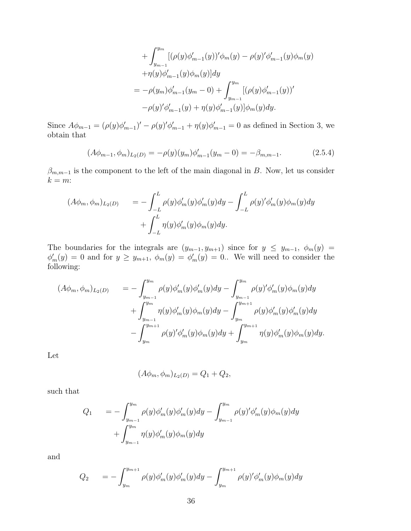+
$$
\int_{y_{m-1}}^{y_m} [(\rho(y)\phi'_{m-1}(y))'\phi_m(y) - \rho(y)'\phi'_{m-1}(y)\phi_m(y) + \eta(y)\phi'_{m-1}(y)\phi_m(y)]dy = -\rho(y_m)\phi'_{m-1}(y_m - 0) + \int_{y_{m-1}}^{y_m} [(\rho(y)\phi'_{m-1}(y))' - \rho(y)'\phi'_{m-1}(y) + \eta(y)\phi'_{m-1}(y)]\phi_m(y)dy.
$$

Since  $A\phi_{m-1} = (\rho(y)\phi'_{m-1})' - \rho(y)\phi'_{m-1} + \eta(y)\phi'_{m-1} = 0$  as defined in Section 3, we obtain that

$$
(A\phi_{m-1}, \phi_m)_{L_2(D)} = -\rho(y)(y_m)\phi'_{m-1}(y_m - 0) = -\beta_{m,m-1}.
$$
\n(2.5.4)

 $\beta_{m,m-1}$  is the component to the left of the main diagonal in B. Now, let us consider  $k = m$ :

$$
(A\phi_m, \phi_m)_{L_2(D)} = -\int_{-L}^{L} \rho(y)\phi_m'(y)\phi_m'(y)dy - \int_{-L}^{L} \rho(y)'\phi_m'(y)\phi_m(y)dy
$$

$$
+ \int_{-L}^{L} \eta(y)\phi_m'(y)\phi_m(y)dy.
$$

The boundaries for the integrals are  $(y_{m-1}, y_{m+1})$  since for  $y \leq y_{m-1}, \phi_m(y)$  $\phi'_m(y) = 0$  and for  $y \ge y_{m+1}$ ,  $\phi_m(y) = \phi'_m(y) = 0$ . We will need to consider the following:

$$
(A\phi_m, \phi_m)_{L_2(D)} = -\int_{y_{m-1}}^{y_m} \rho(y)\phi_m'(y)\phi_m'(y)dy - \int_{y_{m-1}}^{y_m} \rho(y')\phi_m'(y)\phi_m(y)dy + \int_{y_{m-1}}^{y_m} \eta(y)\phi_m'(y)\phi_m(y)dy - \int_{y_m}^{y_{m+1}} \rho(y)\phi_m'(y)\phi_m'(y)dy - \int_{y_m}^{y_{m+1}} \rho(y')\phi_m'(y)\phi_m(y)dy + \int_{y_m}^{y_{m+1}} \eta(y)\phi_m'(y)\phi_m(y)dy.
$$

Let

$$
(A\phi_m, \phi_m)_{L_2(D)} = Q_1 + Q_2,
$$

such that

$$
Q_1 = -\int_{y_{m-1}}^{y_m} \rho(y)\phi'_m(y)\phi'_m(y)dy - \int_{y_{m-1}}^{y_m} \rho(y')'\phi'_m(y)\phi_m(y)dy + \int_{y_{m-1}}^{y_m} \eta(y)\phi'_m(y)\phi_m(y)dy
$$

and

$$
Q_2 = -\int_{y_m}^{y_{m+1}} \rho(y)\phi_m'(y)\phi_m'(y)dy - \int_{y_m}^{y_{m+1}} \rho(y')'\phi_m'(y)\phi_m(y)dy
$$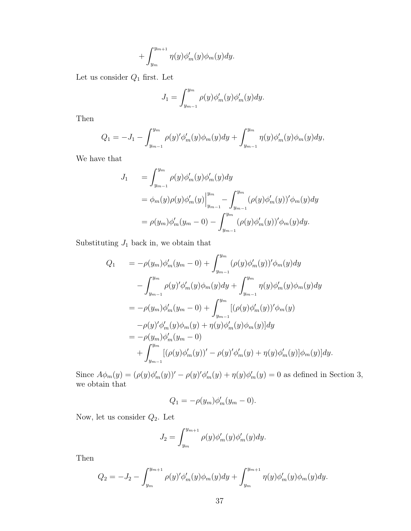$$
+\int_{y_m}^{y_{m+1}}\eta(y)\phi_m'(y)\phi_m(y)dy.
$$

Let us consider  $Q_1$  first. Let

$$
J_1 = \int_{y_{m-1}}^{y_m} \rho(y) \phi_m'(y) \phi_m'(y) dy.
$$

Then

$$
Q_1 = -J_1 - \int_{y_{m-1}}^{y_m} \rho(y)' \phi'_m(y) \phi_m(y) dy + \int_{y_{m-1}}^{y_m} \eta(y) \phi'_m(y) \phi_m(y) dy,
$$

We have that

$$
J_1 = \int_{y_{m-1}}^{y_m} \rho(y)\phi'_m(y)\phi'_m(y)dy
$$
  
=  $\phi_m(y)\rho(y)\phi'_m(y)\Big|_{y_{m-1}}^{y_m} - \int_{y_{m-1}}^{y_m} (\rho(y)\phi'_m(y))'\phi_m(y)dy$   
=  $\rho(y_m)\phi'_m(y_m - 0) - \int_{y_{m-1}}^{y_m} (\rho(y)\phi'_m(y))'\phi_m(y)dy.$ 

Substituting  $J_1$  back in, we obtain that

$$
Q_{1} = -\rho(y_{m})\phi'_{m}(y_{m} - 0) + \int_{y_{m-1}}^{y_{m}} (\rho(y)\phi'_{m}(y))'\phi_{m}(y)dy - \int_{y_{m-1}}^{y_{m}} \rho(y)'\phi'_{m}(y)\phi_{m}(y)dy + \int_{y_{m-1}}^{y_{m}} \eta(y)\phi'_{m}(y)\phi_{m}(y)dy = -\rho(y_{m})\phi'_{m}(y_{m} - 0) + \int_{y_{m-1}}^{y_{m}} [(\rho(y)\phi'_{m}(y))'\phi_{m}(y) - \rho(y)'\phi'_{m}(y)\phi_{m}(y) + \eta(y)\phi'_{m}(y)\phi_{m}(y)]dy = -\rho(y_{m})\phi'_{m}(y_{m} - 0) + \int_{y_{m-1}}^{y_{m}} [(\rho(y)\phi'_{m}(y))' - \rho(y)'\phi'_{m}(y) + \eta(y)\phi'_{m}(y)]\phi_{m}(y)]dy.
$$

Since  $A\phi_m(y) = (\rho(y)\phi_m'(y))' - \rho(y)\phi_m'(y) + \eta(y)\phi_m'(y) = 0$  as defined in Section 3, we obtain that

$$
Q_1 = -\rho(y_m)\phi_m'(y_m - 0).
$$

Now, let us consider  $\mathbb{Q}_2$  . Let

$$
J_2 = \int_{y_m}^{y_{m+1}} \rho(y) \phi_m'(y) \phi_m'(y) dy.
$$

Then

$$
Q_2 = -J_2 - \int_{y_m}^{y_{m+1}} \rho(y)' \phi_m'(y) \phi_m(y) dy + \int_{y_m}^{y_{m+1}} \eta(y) \phi_m'(y) \phi_m(y) dy.
$$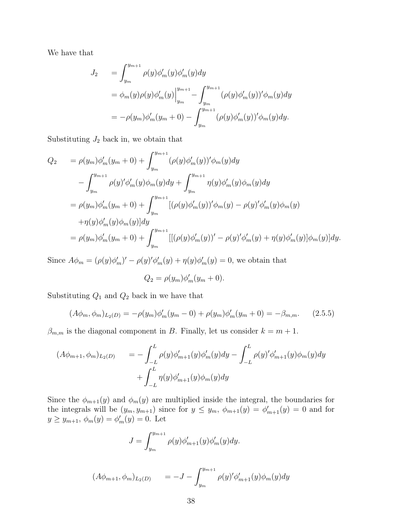We have that

$$
J_2 = \int_{y_m}^{y_{m+1}} \rho(y)\phi'_m(y)\phi'_m(y)dy
$$
  
=  $\phi_m(y)\rho(y)\phi'_m(y)\Big|_{y_m}^{y_{m+1}} - \int_{y_m}^{y_{m+1}} (\rho(y)\phi'_m(y))'\phi_m(y)dy$   
=  $-\rho(y_m)\phi'_m(y_m+0) - \int_{y_m}^{y_{m+1}} (\rho(y)\phi'_m(y))'\phi_m(y)dy.$ 

Substituting  $J_2$  back in, we obtain that

$$
Q_2 = \rho(y_m)\phi'_m(y_m + 0) + \int_{y_m}^{y_{m+1}} (\rho(y)\phi'_m(y))'\phi_m(y)dy
$$
  

$$
- \int_{y_m}^{y_{m+1}} \rho(y)'\phi'_m(y)\phi_m(y)dy + \int_{y_m}^{y_{m+1}} \eta(y)\phi'_m(y)\phi_m(y)dy
$$
  

$$
= \rho(y_m)\phi'_m(y_m + 0) + \int_{y_m}^{y_{m+1}} [(\rho(y)\phi'_m(y))'\phi_m(y) - \rho(y)'\phi'_m(y)\phi_m(y) - \eta(y)\phi'_m(y)\phi_m(y)]dy
$$
  

$$
+ \eta(y)\phi'_m(y)\phi_m(y)]dy
$$
  

$$
= \rho(y_m)\phi'_m(y_m + 0) + \int_{y_m}^{y_{m+1}} [[(\rho(y)\phi'_m(y))' - \rho(y)'\phi'_m(y) + \eta(y)\phi'_m(y)]\phi_m(y)]dy.
$$

Since  $A\phi_m = (\rho(y)\phi'_m)' - \rho(y)\phi'_m(y) + \eta(y)\phi'_m(y) = 0$ , we obtain that

$$
Q_2 = \rho(y_m)\phi_m'(y_m + 0).
$$

Substituting  $Q_1$  and  $Q_2$  back in we have that

$$
(A\phi_m, \phi_m)_{L_2(D)} = -\rho(y_m)\phi'_m(y_m - 0) + \rho(y_m)\phi'_m(y_m + 0) = -\beta_{m,m}.
$$
 (2.5.5)

 $\beta_{m,m}$  is the diagonal component in B. Finally, let us consider  $k = m + 1$ .

$$
(A\phi_{m+1}, \phi_m)_{L_2(D)} = -\int_{-L}^{L} \rho(y)\phi'_{m+1}(y)\phi'_m(y)dy - \int_{-L}^{L} \rho(y')'\phi'_{m+1}(y)\phi_m(y)dy + \int_{-L}^{L} \eta(y)\phi'_{m+1}(y)\phi_m(y)dy
$$

Since the  $\phi_{m+1}(y)$  and  $\phi_m(y)$  are multiplied inside the integral, the boundaries for the integrals will be  $(y_m, y_{m+1})$  since for  $y \leq y_m$ ,  $\phi_{m+1}(y) = \phi'_{m+1}(y) = 0$  and for  $y \ge y_{m+1}, \phi_m(y) = \phi'_m(y) = 0.$  Let

$$
J = \int_{y_m}^{y_{m+1}} \rho(y) \phi'_{m+1}(y) \phi'_m(y) dy.
$$

$$
(A\phi_{m+1}, \phi_m)_{L_2(D)} = -J - \int_{y_m}^{y_{m+1}} \rho(y)' \phi'_{m+1}(y) \phi_m(y) dy
$$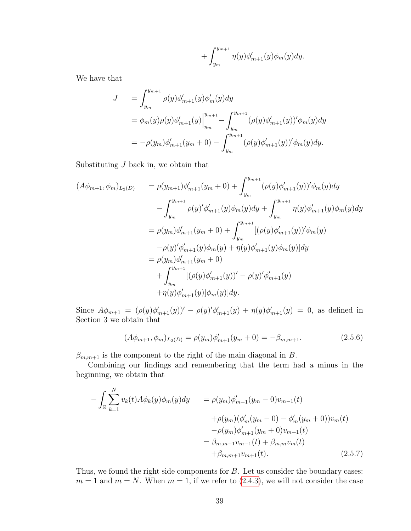$$
+\int_{y_m}^{y_{m+1}}\eta(y)\phi_{m+1}'(y)\phi_m(y)dy.
$$

We have that

$$
J = \int_{y_m}^{y_{m+1}} \rho(y)\phi'_{m+1}(y)\phi'_{m}(y)dy
$$
  
=  $\phi_m(y)\rho(y)\phi'_{m+1}(y)\Big|_{y_m}^{y_{m+1}} - \int_{y_m}^{y_{m+1}} (\rho(y)\phi'_{m+1}(y))'\phi_m(y)dy$   
=  $-\rho(y_m)\phi'_{m+1}(y_m+0) - \int_{y_m}^{y_{m+1}} (\rho(y)\phi'_{m+1}(y))'\phi_m(y)dy.$ 

Substituting  $J$  back in, we obtain that

$$
(A\phi_{m+1}, \phi_m)_{L_2(D)} = \rho(y_{m+1})\phi'_{m+1}(y_m+0) + \int_{y_m}^{y_{m+1}} (\rho(y)\phi'_{m+1}(y))'\phi_m(y)dy - \int_{y_m}^{y_{m+1}} \rho(y)'\phi'_{m+1}(y)\phi_m(y)dy + \int_{y_m}^{y_{m+1}} \eta(y)\phi'_{m+1}(y)\phi_m(y)dy = \rho(y_m)\phi'_{m+1}(y_m+0) + \int_{y_m}^{y_{m+1}} [(\rho(y)\phi'_{m+1}(y))'\phi_m(y) - \rho(y)'\phi'_{m+1}(y)\phi_m(y) + \eta(y)\phi'_{m+1}(y)\phi_m(y)]dy = \rho(y_m)\phi'_{m+1}(y_m+0) + \int_{y_m}^{y_{m+1}} [(\rho(y)\phi'_{m+1}(y))' - \rho(y)'\phi'_{m+1}(y) + \eta(y)\phi'_{m+1}(y)]\phi_m(y)]dy.
$$

Since  $A\phi_{m+1} = (\rho(y)\phi'_{m+1}(y))' - \rho(y)\phi'_{m+1}(y) + \eta(y)\phi'_{m+1}(y) = 0$ , as defined in Section 3 we obtain that

$$
(A\phi_{m+1}, \phi_m)_{L_2(D)} = \rho(y_m)\phi'_{m+1}(y_m + 0) = -\beta_{m,m+1}.
$$
\n(2.5.6)

 $\beta_{m,m+1}$  is the component to the right of the main diagonal in B.

Combining our findings and remembering that the term had a minus in the beginning, we obtain that

$$
-\int_{\mathbb{R}} \sum_{k=1}^{N} v_k(t) A\phi_k(y) \phi_m(y) dy = \rho(y_m) \phi'_{m-1}(y_m - 0) v_{m-1}(t) + \rho(y_m) (\phi'_m(y_m - 0) - \phi'_m(y_m + 0)) v_m(t) - \rho(y_m) \phi'_{m+1}(y_m + 0) v_{m+1}(t) = \beta_{m,m-1} v_{m-1}(t) + \beta_{m,m} v_m(t) + \beta_{m,m+1} v_{m+1}(t).
$$
 (2.5.7)

Thus, we found the right side components for  $B$ . Let us consider the boundary cases:  $m = 1$  and  $m = N$ . When  $m = 1$ , if we refer to [\(2.4.3\)](#page-30-0), we will not consider the case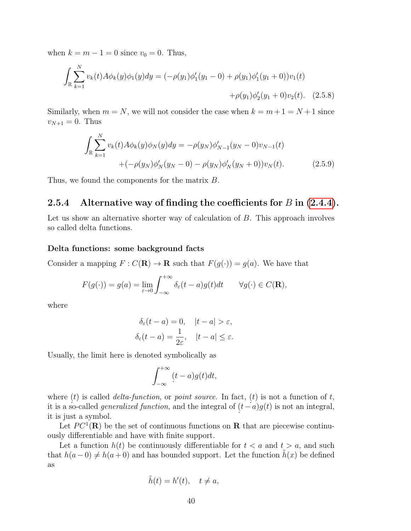when  $k = m - 1 = 0$  since  $v_0 = 0$ . Thus,

$$
\int_{\mathbb{R}} \sum_{k=1}^{N} v_k(t) A \phi_k(y) \phi_1(y) dy = (-\rho(y_1)\phi_1'(y_1 - 0) + \rho(y_1)\phi_1'(y_1 + 0))v_1(t) \n+ \rho(y_1)\phi_2'(y_1 + 0)v_2(t).
$$
 (2.5.8)

Similarly, when  $m = N$ , we will not consider the case when  $k = m + 1 = N + 1$  since  $v_{N+1} = 0$ . Thus

$$
\int_{\mathbb{R}} \sum_{k=1}^{N} v_k(t) A \phi_k(y) \phi_N(y) dy = -\rho(y_N) \phi'_{N-1}(y_N - 0) v_{N-1}(t) \n+ (-\rho(y_N) \phi'_N(y_N - 0) - \rho(y_N) \phi'_N(y_N + 0)) v_N(t).
$$
\n(2.5.9)

Thus, we found the components for the matrix  $B$ .

## 2.5.4 Alternative way of finding the coefficients for  $B$  in [\(2.4.4\)](#page-30-1).

Let us show an alternative shorter way of calculation of  $B$ . This approach involves so called delta functions.

#### Delta functions: some background facts

Consider a mapping  $F : C(\mathbf{R}) \to \mathbf{R}$  such that  $F(g(\cdot)) = g(a)$ . We have that

$$
F(g(\cdot)) = g(a) = \lim_{\varepsilon \to 0} \int_{-\infty}^{+\infty} \delta_{\varepsilon}(t-a)g(t)dt \qquad \forall g(\cdot) \in C(\mathbf{R}),
$$

where

$$
\delta_{\varepsilon}(t-a) = 0, \quad |t-a| > \varepsilon,
$$
  

$$
\delta_{\varepsilon}(t-a) = \frac{1}{2\varepsilon}, \quad |t-a| \le \varepsilon.
$$

Usually, the limit here is denoted symbolically as

$$
\int_{-\infty}^{+\infty} (t-a)g(t)dt,
$$

where  $(t)$  is called *delta-function*, or *point source*. In fact,  $(t)$  is not a function of  $t$ , it is a so-called *generalized function*, and the integral of  $(t-a)g(t)$  is not an integral, it is just a symbol.

Let  $PC^1(\mathbf{R})$  be the set of continuous functions on **R** that are piecewise continuously differentiable and have with finite support.

Let a function  $h(t)$  be continuously differentiable for  $t < a$  and  $t > a$ , and such that  $h(a-0) \neq h(a+0)$  and has bounded support. Let the function  $h(x)$  be defined as

$$
\tilde{h}(t) = h'(t), \quad t \neq a,
$$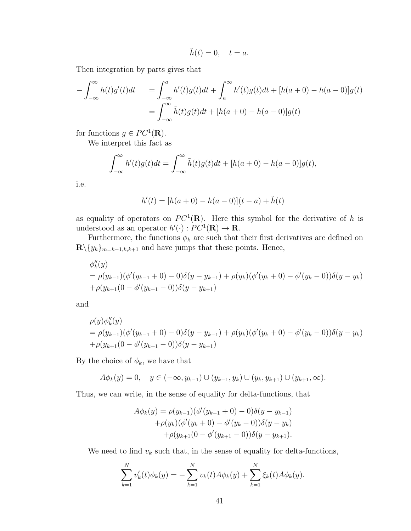$$
\tilde{h}(t) = 0, \quad t = a.
$$

Then integration by parts gives that

$$
-\int_{-\infty}^{\infty} h(t)g'(t)dt = \int_{-\infty}^{a} h'(t)g(t)dt + \int_{a}^{\infty} h'(t)g(t)dt + [h(a+0) - h(a-0)]g(t)
$$
  
= 
$$
\int_{-\infty}^{\infty} \tilde{h}(t)g(t)dt + [h(a+0) - h(a-0)]g(t)
$$

for functions  $g \in PC^1(\mathbf{R})$ .

We interpret this fact as

$$
\int_{-\infty}^{\infty} h'(t)g(t)dt = \int_{-\infty}^{\infty} \tilde{h}(t)g(t)dt + [h(a+0) - h(a-0)]g(t),
$$

i.e.

$$
h'(t) = [h(a+0) - h(a-0)](t-a) + \tilde{h}(t)
$$

as equality of operators on  $PC^1(\mathbf{R})$ . Here this symbol for the derivative of h is understood as an operator  $h'(\cdot) : PC^1(\mathbf{R}) \to \mathbf{R}$ .

Furthermore, the functions  $\phi_k$  are such that their first derivatives are defined on  $\mathbf{R}\backslash\{y_k\}_{m=k-1,k,k+1}$  and have jumps that these points. Hence,

$$
\begin{aligned} &\phi_k''(y) \\ &= \rho(y_{k-1})(\phi'(y_{k-1}+0)-0)\delta(y-y_{k-1}) + \rho(y_k)(\phi'(y_k+0)-\phi'(y_k-0))\delta(y-y_k) \\ &+ \rho(y_{k+1}(0-\phi'(y_{k+1}-0))\delta(y-y_{k+1}) \end{aligned}
$$

and

$$
\rho(y)\phi''_k(y)
$$
  
=  $\rho(y_{k-1})(\phi'(y_{k-1}+0)-0)\delta(y-y_{k-1})+\rho(y_k)(\phi'(y_k+0)-\phi'(y_k-0))\delta(y-y_k)$   
+ $\rho(y_{k+1}(0-\phi'(y_{k+1}-0))\delta(y-y_{k+1})$ 

By the choice of  $\phi_k$ , we have that

$$
A\phi_k(y) = 0, \quad y \in (-\infty, y_{k-1}) \cup (y_{k-1}, y_k) \cup (y_k, y_{k+1}) \cup (y_{k+1}, \infty).
$$

Thus, we can write, in the sense of equality for delta-functions, that

$$
A\phi_k(y) = \rho(y_{k-1})(\phi'(y_{k-1} + 0) - 0)\delta(y - y_{k-1})
$$
  
+
$$
\rho(y_k)(\phi'(y_k + 0) - \phi'(y_k - 0))\delta(y - y_k)
$$
  
+
$$
\rho(y_{k+1}(0 - \phi'(y_{k+1} - 0))\delta(y - y_{k+1}).
$$

We need to find  $v_k$  such that, in the sense of equality for delta-functions,

$$
\sum_{k=1}^{N} v'_k(t)\phi_k(y) = -\sum_{k=1}^{N} v_k(t)A\phi_k(y) + \sum_{k=1}^{N} \xi_k(t)A\phi_k(y).
$$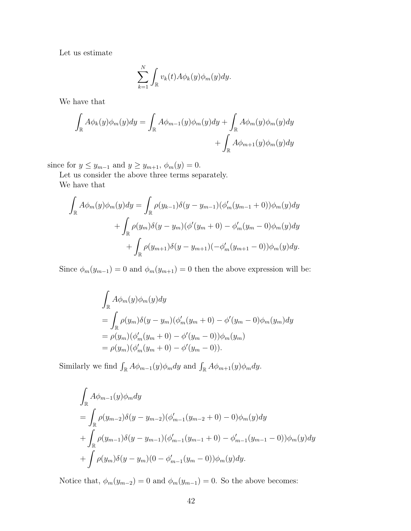Let us estimate

$$
\sum_{k=1}^N \int_{\mathbb{R}} v_k(t) A \phi_k(y) \phi_m(y) dy.
$$

We have that

$$
\int_{\mathbb{R}} A \phi_k(y) \phi_m(y) dy = \int_{\mathbb{R}} A \phi_{m-1}(y) \phi_m(y) dy + \int_{\mathbb{R}} A \phi_m(y) \phi_m(y) dy + \int_{\mathbb{R}} A \phi_{m+1}(y) \phi_m(y) dy
$$

since for  $y \leq y_{m-1}$  and  $y \geq y_{m+1}$ ,  $\phi_m(y) = 0$ .

Let us consider the above three terms separately. We have that

$$
\int_{\mathbb{R}} A\phi_m(y)\phi_m(y)dy = \int_{\mathbb{R}} \rho(y_{k-1})\delta(y - y_{m-1})(\phi'_m(y_{m-1} + 0))\phi_m(y)dy \n+ \int_{\mathbb{R}} \rho(y_m)\delta(y - y_m)(\phi'(y_m + 0) - \phi'_m(y_m - 0)\phi_m(y)dy \n+ \int_{\mathbb{R}} \rho(y_{m+1})\delta(y - y_{m+1})(-\phi'_m(y_{m+1} - 0))\phi_m(y)dy.
$$

Since  $\phi_m(y_{m-1}) = 0$  and  $\phi_m(y_{m+1}) = 0$  then the above expression will be:

$$
\int_{\mathbb{R}} A\phi_m(y)\phi_m(y)dy \n= \int_{\mathbb{R}} \rho(y_m)\delta(y - y_m)(\phi'_m(y_m + 0) - \phi'(y_m - 0)\phi_m(y_m)dy \n= \rho(y_m)(\phi'_m(y_m + 0) - \phi'(y_m - 0))\phi_m(y_m) \n= \rho(y_m)(\phi'_m(y_m + 0) - \phi'(y_m - 0)).
$$

Similarly we find  $\int_{\mathbb{R}} A \phi_{m-1}(y) \phi_m dy$  and  $\int_{\mathbb{R}} A \phi_{m+1}(y) \phi_m dy$ .

$$
\int_{\mathbb{R}} A\phi_{m-1}(y)\phi_m dy
$$
\n
$$
= \int_{\mathbb{R}} \rho(y_{m-2})\delta(y - y_{m-2})(\phi'_{m-1}(y_{m-2} + 0) - 0)\phi_m(y)dy
$$
\n
$$
+ \int_{\mathbb{R}} \rho(y_{m-1})\delta(y - y_{m-1})(\phi'_{m-1}(y_{m-1} + 0) - \phi'_{m-1}(y_{m-1} - 0))\phi_m(y)dy
$$
\n
$$
+ \int \rho(y_m)\delta(y - y_m)(0 - \phi'_{m-1}(y_m - 0))\phi_m(y)dy.
$$

Notice that,  $\phi_m(y_{m-2}) = 0$  and  $\phi_m(y_{m-1}) = 0$ . So the above becomes: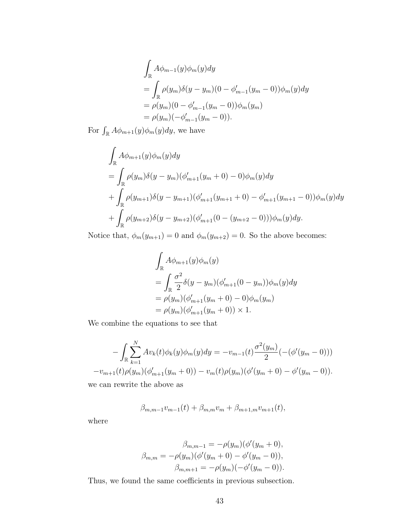$$
\int_{\mathbb{R}} A\phi_{m-1}(y)\phi_m(y)dy \n= \int_{\mathbb{R}} \rho(y_m)\delta(y - y_m)(0 - \phi'_{m-1}(y_m - 0))\phi_m(y)dy \n= \rho(y_m)(0 - \phi'_{m-1}(y_m - 0))\phi_m(y_m) \n= \rho(y_m)(-\phi'_{m-1}(y_m - 0)).
$$

For  $\int_{\mathbb{R}} A \phi_{m+1}(y) \phi_m(y) dy$ , we have

$$
\int_{\mathbb{R}} A\phi_{m+1}(y)\phi_m(y)dy
$$
\n
$$
= \int_{\mathbb{R}} \rho(y_m)\delta(y-y_m)(\phi'_{m+1}(y_m+0)-0)\phi_m(y)dy
$$
\n
$$
+ \int_{\mathbb{R}} \rho(y_{m+1})\delta(y-y_{m+1})(\phi'_{m+1}(y_{m+1}+0)-\phi'_{m+1}(y_{m+1}-0))\phi_m(y)dy
$$
\n
$$
+ \int_{\mathbb{R}} \rho(y_{m+2})\delta(y-y_{m+2})(\phi'_{m+1}(0-(y_{m+2}-0)))\phi_m(y)dy.
$$

Notice that,  $\phi_m(y_{m+1}) = 0$  and  $\phi_m(y_{m+2}) = 0$ . So the above becomes:

$$
\int_{\mathbb{R}} A\phi_{m+1}(y)\phi_m(y)
$$
\n
$$
= \int_{\mathbb{R}} \frac{\sigma^2}{2} \delta(y - y_m)(\phi'_{m+1}(0 - y_m))\phi_m(y)dy
$$
\n
$$
= \rho(y_m)(\phi'_{m+1}(y_m + 0) - 0)\phi_m(y_m)
$$
\n
$$
= \rho(y_m)(\phi'_{m+1}(y_m + 0)) \times 1.
$$

We combine the equations to see that

$$
-\int_{\mathbb{R}} \sum_{k=1}^{N} Av_k(t)\phi_k(y)\phi_m(y)dy = -v_{m-1}(t)\frac{\sigma^2(y_m)}{2}(-(\phi'(y_m-0)))
$$
  

$$
-v_{m+1}(t)\rho(y_m)(\phi'_{m+1}(y_m+0)) - v_m(t)\rho(y_m)(\phi'(y_m+0) - \phi'(y_m-0)).
$$

we can rewrite the above as

$$
\beta_{m,m-1}v_{m-1}(t) + \beta_{m,m}v_m + \beta_{m+1,m}v_{m+1}(t),
$$

where

$$
\beta_{m,m-1} = -\rho(y_m)(\phi'(y_m + 0)),
$$
  

$$
\beta_{m,m} = -\rho(y_m)(\phi'(y_m + 0) - \phi'(y_m - 0)),
$$
  

$$
\beta_{m,m+1} = -\rho(y_m)(-\phi'(y_m - 0)).
$$

Thus, we found the same coefficients in previous subsection.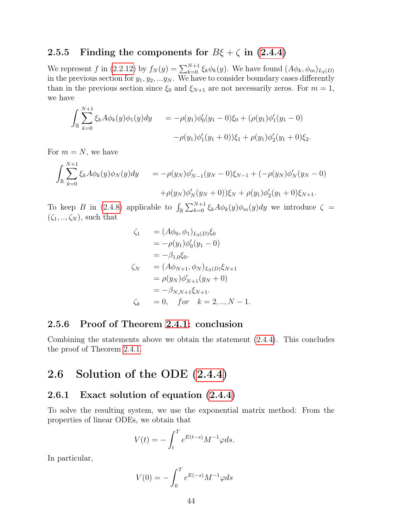#### 2.5.5 Finding the components for  $B\xi + \zeta$  in [\(2.4.4\)](#page-30-1)

We represent f in [\(2.2.12\)](#page-26-0) by  $f_N(y) = \sum_{k=0}^{N+1} \xi_k \phi_k(y)$ . We have found  $(A\phi_k, \phi_m)_{L_2(D)}$ in the previous section for  $y_1, y_2, ... y_N$ . We have to consider boundary cases differently than in the previous section since  $\xi_0$  and  $\xi_{N+1}$  are not necessarily zeros. For  $m = 1$ , we have

$$
\int_{\mathbb{R}} \sum_{k=0}^{N+1} \xi_k A \phi_k(y) \phi_1(y) dy = -\rho(y_1) \phi_0'(y_1 - 0) \xi_0 + (\rho(y_1) \phi_1'(y_1 - 0)
$$

$$
-\rho(y_1) \phi_1'(y_1 + 0) \xi_1 + \rho(y_1) \phi_2'(y_1 + 0) \xi_2.
$$

For  $m = N$ , we have

$$
\int_{\mathbb{R}} \sum_{k=0}^{N+1} \xi_k A \phi_k(y) \phi_N(y) dy = -\rho(y_N) \phi'_{N-1}(y_N - 0) \xi_{N-1} + (-\rho(y_N) \phi'_N(y_N - 0) \n+ \rho(y_N) \phi'_N(y_N + 0) \xi_N + \rho(y_1) \phi'_2(y_1 + 0) \xi_{N+1}.
$$

To keep B in [\(2.4.8\)](#page-30-2) applicable to  $\int_{\mathbb{R}} \sum_{k=0}^{N+1} \xi_k A \phi_k(y) \phi_m(y) dy$  we introduce  $\zeta =$  $(\zeta_1, ..., \zeta_N)$ , such that

$$
\zeta_1 = (A\phi_0, \phi_1)_{L_2(D)}\xi_0 \n= -\rho(y_1)\phi'_0(y_1 - 0) \n= -\beta_{1,0}\xi_0.
$$
\n
$$
\zeta_N = (A\phi_{N+1}, \phi_N)_{L_2(D)}\xi_{N+1} \n= \rho(y_N)\phi'_{N+1}(y_N + 0) \n= -\beta_{N,N+1}\xi_{N+1}.
$$
\n
$$
\zeta_k = 0, \quad \text{for} \quad k = 2, ..., N - 1.
$$

#### 2.5.6 Proof of Theorem [2.4.1:](#page-30-3) conclusion

Combining the statements above we obtain the statement [\(2.4.4\)](#page-30-1). This concludes the proof of Theorem [2.4.1.](#page-30-3)

## 2.6 Solution of the ODE [\(2.4.4\)](#page-30-1)

#### 2.6.1 Exact solution of equation [\(2.4.4\)](#page-30-1)

To solve the resulting system, we use the exponential matrix method: From the properties of linear ODEs, we obtain that

$$
V(t) = -\int_t^T e^{E(t-s)} M^{-1} \varphi ds.
$$

In particular,

$$
V(0) = -\int_0^T e^{E(-s)} M^{-1} \varphi ds
$$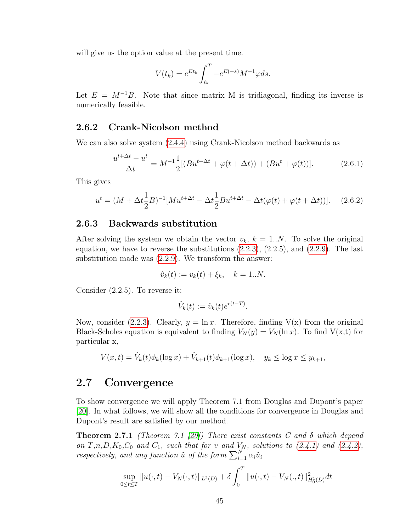will give us the option value at the present time.

$$
V(t_k) = e^{Et_k} \int_{t_k}^{T} -e^{E(-s)} M^{-1} \varphi ds.
$$

Let  $E = M^{-1}B$ . Note that since matrix M is tridiagonal, finding its inverse is numerically feasible.

#### 2.6.2 Crank-Nicolson method

We can also solve system [\(2.4.4\)](#page-30-1) using Crank-Nicolson method backwards as

$$
\frac{u^{t+\Delta t} - u^t}{\Delta t} = M^{-1} \frac{1}{2} [(Bu^{t+\Delta t} + \varphi(t+\Delta t)) + (Bu^t + \varphi(t))]. \tag{2.6.1}
$$

This gives

$$
u^{t} = (M + \Delta t \frac{1}{2}B)^{-1}[Mu^{t + \Delta t} - \Delta t \frac{1}{2}Bu^{t + \Delta t} - \Delta t(\varphi(t) + \varphi(t + \Delta t))].
$$
 (2.6.2)

#### 2.6.3 Backwards substitution

After solving the system we obtain the vector  $v_k$ ,  $k = 1..N$ . To solve the original equation, we have to reverse the substitutions  $(2.2.3)$ ,  $(2.2.5)$ , and  $(2.2.9)$ . The last substitution made was [\(2.2.9\)](#page-26-1). We transform the answer:

$$
\hat{v}_k(t) := v_k(t) + \xi_k, \quad k = 1..N.
$$

Consider (2.2.5). To reverse it:

$$
\hat{V}_k(t) := \hat{v}_k(t)e^{r(t-T)}.
$$

Now, consider [\(2.2.3\)](#page-25-0). Clearly,  $y = \ln x$ . Therefore, finding  $V(x)$  from the original Black-Scholes equation is equivalent to finding  $V_N(y) = V_N(\ln x)$ . To find  $V(x,t)$  for particular x,

$$
V(x,t) = \hat{V}_k(t)\phi_k(\log x) + \hat{V}_{k+1}(t)\phi_{k+1}(\log x), \quad y_k \le \log x \le y_{k+1},
$$

## 2.7 Convergence

To show convergence we will apply Theorem 7.1 from Douglas and Dupont's paper [\[20\]](#page-80-0). In what follows, we will show all the conditions for convergence in Douglas and Dupont's result are satisfied by our method.

**Theorem 2.7.1** (Theorem 7.1 [\[20\]](#page-80-0)) There exist constants C and  $\delta$  which depend on  $T,n,D,K_0,C_0$  and  $C_1$ , such that for v and  $V_N$ , solutions to  $(2.4.1)$  and  $(2.4.2)$ , respectively, and any function  $\tilde{u}$  of the form  $\sum_{i=1}^{N} \alpha_i \tilde{u}_i$ 

<span id="page-44-0"></span>
$$
\sup_{0 \le t \le T} ||u(\cdot, t) - V_N(\cdot, t)||_{L^2(D)} + \delta \int_0^T ||u(\cdot, t) - V_N(\cdot, t)||_{H_0^1(D)}^2 dt
$$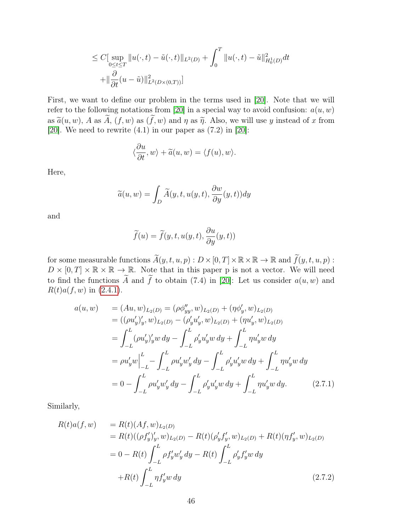$$
\leq C \left[ \sup_{0 \leq t \leq T} \| u(\cdot, t) - \tilde{u}(\cdot, t) \|_{L^2(D)} + \int_0^T \| u(\cdot, t) - \tilde{u} \|_{H_0^1(D)}^2 dt \right.
$$
  
+ 
$$
\left\| \frac{\partial}{\partial t} (u - \tilde{u}) \|_{L^2(D \times (0, T))}^2 \right]
$$

First, we want to define our problem in the terms used in [\[20\]](#page-80-0). Note that we will refer to the following notations from [\[20\]](#page-80-0) in a special way to avoid confusion:  $a(u, w)$ as  $\tilde{a}(u, w)$ , A as  $\tilde{A}$ ,  $(f, w)$  as  $(\tilde{f}, w)$  and  $\eta$  as  $\tilde{\eta}$ . Also, we will use  $y$  instead of  $x$  from [\[20\]](#page-80-0). We need to rewrite  $(4.1)$  in our paper as  $(7.2)$  in [20]:

$$
\langle \frac{\partial u}{\partial t}, w \rangle + \widetilde{a}(u, w) = \langle f(u), w \rangle.
$$

Here,

$$
\widetilde{a}(u, w) = \int_D \widetilde{A}(y, t, u(y, t), \frac{\partial w}{\partial y}(y, t)) dy
$$

and

$$
\widetilde{f}(u) = \widetilde{f}(y, t, u(y, t), \frac{\partial u}{\partial y}(y, t))
$$

for some measurable functions  $\widetilde{A}(y, t, u, p) : D \times [0, T] \times \mathbb{R} \times \mathbb{R} \to \mathbb{R}$  and  $\widetilde{f}(y, t, u, p)$ :  $D \times [0, T] \times \mathbb{R} \times \mathbb{R} \to \mathbb{R}$ . Note that in this paper p is not a vector. We will need to find the functions  $\widetilde{A}$  and  $\widetilde{f}$  to obtain (7.4) in [\[20\]](#page-80-0): Let us consider  $a(u, w)$  and  $R(t)a(f, w)$  in [\(2.4.1\)](#page-29-0).

<span id="page-45-0"></span>
$$
a(u, w) = (Au, w)_{L_2(D)} = (\rho \phi_{yy}'', w)_{L_2(D)} + (\eta \phi_y', w)_{L_2(D)}
$$
  
\n
$$
= ((\rho u_y')_y', w)_{L_2(D)} - (\rho_y' u_y', w)_{L_2(D)} + (\eta u_y', w)_{L_2(D)}
$$
  
\n
$$
= \int_{-L}^{L} (\rho u_y')_y' w dy - \int_{-L}^{L} \rho_y' u_y' w dy + \int_{-L}^{L} \eta u_y' w dy
$$
  
\n
$$
= \rho u_y' w \Big|_{-L}^{L} - \int_{-L}^{L} \rho u_y' w_y' dy - \int_{-L}^{L} \rho_y' u_y' w dy + \int_{-L}^{L} \eta u_y' w dy
$$
  
\n
$$
= 0 - \int_{-L}^{L} \rho u_y' w_y' dy - \int_{-L}^{L} \rho_y' u_y' w dy + \int_{-L}^{L} \eta u_y' w dy. \qquad (2.7.1)
$$

Similarly,

<span id="page-45-1"></span>
$$
R(t)a(f, w) = R(t)(Af, w)_{L_2(D)}
$$
  
\n
$$
= R(t)((\rho f'_y)'_y, w)_{L_2(D)} - R(t)(\rho'_y f'_y, w)_{L_2(D)} + R(t)(\eta f'_y, w)_{L_2(D)}
$$
  
\n
$$
= 0 - R(t) \int_{-L}^{L} \rho f'_y w'_y dy - R(t) \int_{-L}^{L} \rho'_y f'_y w dy
$$
  
\n
$$
+ R(t) \int_{-L}^{L} \eta f'_y w dy
$$
\n(2.7.2)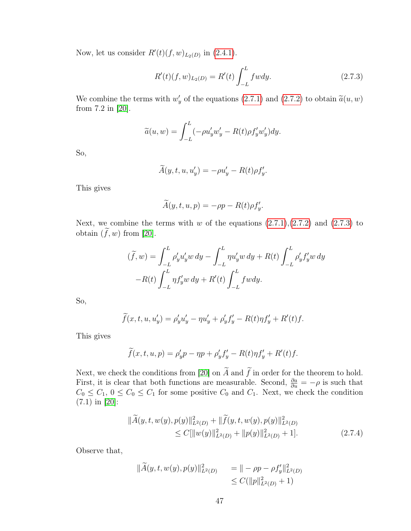Now, let us consider  $R'(t)(f, w)_{L_2(D)}$  in [\(2.4.1\)](#page-29-0).

<span id="page-46-0"></span>
$$
R'(t)(f, w)_{L_2(D)} = R'(t) \int_{-L}^{L} f w dy.
$$
 (2.7.3)

We combine the terms with  $w'_y$  of the equations [\(2.7.1\)](#page-45-0) and [\(2.7.2\)](#page-45-1) to obtain  $\tilde{a}(u, w)$ <br>from 7.2 in [20] from 7.2 in [\[20\]](#page-80-0).

$$
\widetilde{a}(u, w) = \int_{-L}^{L} (-\rho u_y' w_y' - R(t)\rho f_y' w_y') dy.
$$

So,

$$
\widetilde{A}(y, t, u, u'_y) = -\rho u'_y - R(t)\rho f'_y.
$$

This gives

$$
\widetilde{A}(y,t,u,p) = -\rho p - R(t)\rho f_y'.
$$

Next, we combine the terms with  $w$  of the equations  $(2.7.1),(2.7.2)$  $(2.7.1),(2.7.2)$  $(2.7.1),(2.7.2)$  and  $(2.7.3)$  to obtain  $(\tilde{f}, w)$  from [\[20\]](#page-80-0).

$$
(\widetilde{f}, w) = \int_{-L}^{L} \rho'_y u'_y w \, dy - \int_{-L}^{L} \eta u'_y w \, dy + R(t) \int_{-L}^{L} \rho'_y f'_y w \, dy
$$

$$
-R(t) \int_{-L}^{L} \eta f'_y w \, dy + R'(t) \int_{-L}^{L} f w dy.
$$

So,

$$
\widetilde{f}(x, t, u, u'_y) = \rho'_y u'_y - \eta u'_y + \rho'_y f'_y - R(t) \eta f'_y + R'(t) f.
$$

This gives

$$
\widetilde{f}(x,t,u,p) = \rho'_y p - \eta p + \rho'_y f'_y - R(t)\eta f'_y + R'(t)f.
$$

Next, we check the conditions from [\[20\]](#page-80-0) on  $\tilde{A}$  and  $\tilde{f}$  in order for the theorem to hold. First, it is clear that both functions are measurable. Second,  $\frac{\partial a}{\partial u} = -\rho$  is such that  $C_0 \leq C_1$ ,  $0 \leq C_0 \leq C_1$  for some positive  $C_0$  and  $C_1$ . Next, we check the condition (7.1) in [\[20\]](#page-80-0):

<span id="page-46-1"></span>
$$
\|\widetilde{A}(y,t,w(y),p(y)\|_{L^2(D)}^2 + \|\widetilde{f}(y,t,w(y),p(y)\|_{L^2(D)}^2) \leq C[\|w(y)\|_{L^2(D)}^2 + \|p(y)\|_{L^2(D)}^2 + 1].
$$
\n(2.7.4)

Observe that,

$$
\|\widetilde{A}(y,t,w(y),p(y)\|_{L^2(D)}^2 = \| -\rho p - \rho f'_y\|_{L^2(D)}^2
$$
  

$$
\leq C(\|p\|_{L^2(D)}^2 + 1)
$$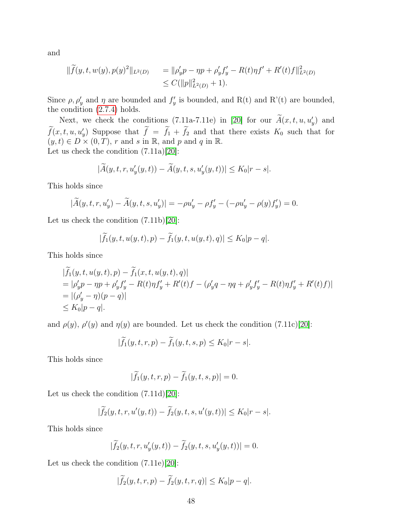and

$$
\begin{aligned} \|\widetilde{f}(y,t,w(y),p(y)^2\|_{L^2(D)} &= \|\rho'_yp - \eta p + \rho'_y f'_y - R(t)\eta f' + R'(t)f\|_{L^2(D)}^2 \\ &\leq C(\|p\|_{L^2(D)}^2 + 1). \end{aligned}
$$

Since  $\rho, \rho'_y$  and  $\eta$  are bounded and  $f'_y$  is bounded, and R(t) and R'(t) are bounded, the condition [\(2.7.4\)](#page-46-1) holds.

Next, we check the conditions (7.11a-7.11e) in [\[20\]](#page-80-0) for our  $\tilde{A}(x, t, u, u'_y)$  and  $\tilde{f}(x, t, u, u'_y)$  Suppose that  $\tilde{f} = \tilde{f}_1 + \tilde{f}_2$  and that there exists  $K_0$  such that for  $(y, t) \in D \times (0, T), r$  and s in R, and p and q in R. Let us check the condition (7.11a)[\[20\]](#page-80-0):

$$
|\widetilde{A}(y,t,r,u_y'(y,t)) - \widetilde{A}(y,t,s,u_y'(y,t))| \le K_0|r-s|.
$$

This holds since

$$
|\widetilde{A}(y, t, r, u'_y) - \widetilde{A}(y, t, s, u'_y)| = -\rho u'_y - \rho f'_y - (-\rho u'_y - \rho(y)f'_y) = 0.
$$

Let us check the condition (7.11b)[\[20\]](#page-80-0):

$$
|\widetilde{f}_1(y,t,u(y,t),p)-\widetilde{f}_1(y,t,u(y,t),q)|\leq K_0|p-q|.
$$

This holds since

$$
|\tilde{f}_1(y, t, u(y, t), p) - \tilde{f}_1(x, t, u(y, t), q)|
$$
  
=  $|\rho'_y p - \eta p + \rho'_y f'_y - R(t) \eta f'_y + R'(t) f - (\rho'_y q - \eta q + \rho'_y f'_y - R(t) \eta f'_y + R'(t) f)|$   
=  $|(\rho'_y - \eta)(p - q)|$   
 $\leq K_0|p - q|$ .

and  $\rho(y)$ ,  $\rho'(y)$  and  $\eta(y)$  are bounded. Let us check the condition (7.11c)[\[20\]](#page-80-0):

$$
|\widetilde{f}_1(y,t,r,p) - \widetilde{f}_1(y,t,s,p) \le K_0|r - s|.
$$

This holds since

$$
|\widetilde{f}_1(y,t,r,p) - \widetilde{f}_1(y,t,s,p)| = 0.
$$

Let us check the condition (7.11d)[\[20\]](#page-80-0):

$$
|\widetilde{f}_2(y,t,r,u'(y,t)) - \widetilde{f}_2(y,t,s,u'(y,t))| \leq K_0|r-s|.
$$

This holds since

$$
|\widetilde{f}_2(y,t,r,u'_y(y,t)) - \widetilde{f}_2(y,t,s,u'_y(y,t))| = 0.
$$

Let us check the condition (7.11e)[\[20\]](#page-80-0):

$$
|\widetilde{f}_2(y,t,r,p) - \widetilde{f}_2(y,t,r,q)| \le K_0|p-q|.
$$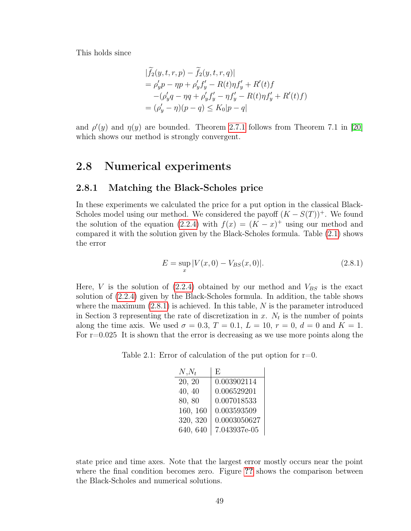This holds since

$$
|f_2(y, t, r, p) - f_2(y, t, r, q)|
$$
  
=  $\rho'_y p - \eta p + \rho'_y f'_y - R(t) \eta f'_y + R'(t) f$   
 $-(\rho'_y q - \eta q + \rho'_y f'_y - \eta f'_y - R(t) \eta f'_y + R'(t) f)$   
=  $(\rho'_y - \eta)(p - q) \le K_0 |p - q|$ 

and  $\rho'(y)$  and  $\eta(y)$  are bounded. Theorem [2.7.1](#page-44-0) follows from Theorem 7.1 in [\[20\]](#page-80-0) which shows our method is strongly convergent.

## 2.8 Numerical experiments

#### 2.8.1 Matching the Black-Scholes price

In these experiments we calculated the price for a put option in the classical Black-Scholes model using our method. We considered the payoff  $(K - S(T))^+$ . We found the solution of the equation [\(2.2.4\)](#page-25-1) with  $f(x) = (K - x)^{+}$  using our method and compared it with the solution given by the Black-Scholes formula. Table [\(2.1\)](#page-48-0) shows the error

<span id="page-48-1"></span>
$$
E = \sup_{x} |V(x,0) - V_{BS}(x,0)|.
$$
 (2.8.1)

Here, V is the solution of  $(2.2.4)$  obtained by our method and  $V_{BS}$  is the exact solution of [\(2.2.4\)](#page-25-1) given by the Black-Scholes formula. In addition, the table shows where the maximum  $(2.8.1)$  is achieved. In this table, N is the parameter introduced in Section 3 representing the rate of discretization in  $x$ .  $N_t$  is the number of points along the time axis. We used  $\sigma = 0.3, T = 0.1, L = 10, r = 0, d = 0$  and  $K = 1$ . For  $r=0.025$  It is shown that the error is decreasing as we use more points along the

<span id="page-48-0"></span>Table 2.1: Error of calculation of the put option for  $r=0$ .

| $N, N_t$ | E,           |
|----------|--------------|
| 20, 20   | 0.003902114  |
| 40, 40   | 0.006529201  |
| 80, 80   | 0.007018533  |
| 160, 160 | 0.003593509  |
| 320, 320 | 0.0003050627 |
| 640, 640 | 7.043937e-05 |

state price and time axes. Note that the largest error mostly occurs near the point where the final condition becomes zero. Figure [??](#page-50-0) shows the comparison between the Black-Scholes and numerical solutions.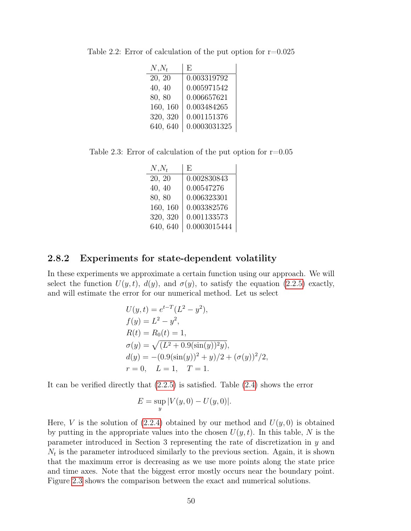| $N, N_t$ | F,           |
|----------|--------------|
| 20, 20   | 0.003319792  |
| 40, 40   | 0.005971542  |
| 80, 80   | 0.006657621  |
| 160, 160 | 0.003484265  |
| 320, 320 | 0.001151376  |
| 640, 640 | 0.0003031325 |

Table 2.2: Error of calculation of the put option for  $r=0.025$ 

Table 2.3: Error of calculation of the put option for  $r=0.05$ 

| $N, N_t$ | E,           |
|----------|--------------|
| 20, 20   | 0.002830843  |
| 40, 40   | 0.00547276   |
| 80, 80   | 0.006323301  |
| 160, 160 | 0.003382576  |
| 320, 320 | 0.001133573  |
| 640, 640 | 0.0003015444 |

#### 2.8.2 Experiments for state-dependent volatility

In these experiments we approximate a certain function using our approach. We will select the function  $U(y, t)$ ,  $d(y)$ , and  $\sigma(y)$ , to satisfy the equation [\(2.2.5\)](#page-26-2) exactly, and will estimate the error for our numerical method. Let us select

$$
U(y, t) = e^{t-T}(L^2 - y^2),
$$
  
\n
$$
f(y) = L^2 - y^2,
$$
  
\n
$$
R(t) = R_0(t) = 1,
$$
  
\n
$$
\sigma(y) = \sqrt{(L^2 + 0.9(\sin(y))^2 y)},
$$
  
\n
$$
d(y) = -(0.9(\sin(y))^2 + y)/2 + (\sigma(y))^2/2,
$$
  
\n
$$
r = 0, \quad L = 1, \quad T = 1.
$$

It can be verified directly that [\(2.2.5\)](#page-26-2) is satisfied. Table [\(2.4\)](#page-51-0) shows the error

$$
E = \sup_{y} |V(y,0) - U(y,0)|.
$$

Here, V is the solution of [\(2.2.4\)](#page-25-1) obtained by our method and  $U(y, 0)$  is obtained by putting in the appropriate values into the chosen  $U(y, t)$ . In this table, N is the parameter introduced in Section 3 representing the rate of discretization in  $y$  and  $N_t$  is the parameter introduced similarly to the previous section. Again, it is shown that the maximum error is decreasing as we use more points along the state price and time axes. Note that the biggest error mostly occurs near the boundary point. Figure [2.3](#page-50-1) shows the comparison between the exact and numerical solutions.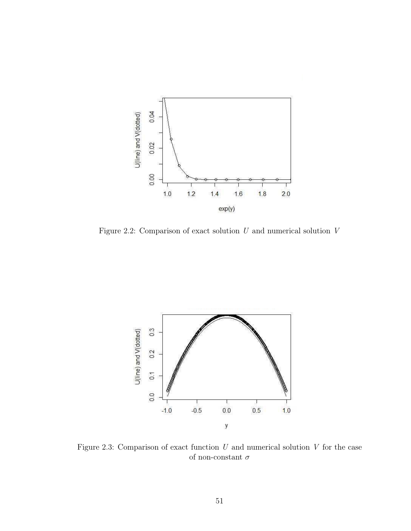<span id="page-50-0"></span>

Figure 2.2: Comparison of exact solution  $U$  and numerical solution  $V$ 

<span id="page-50-1"></span>

Figure 2.3: Comparison of exact function  $U$  and numerical solution  $V$  for the case of non-constant  $\sigma$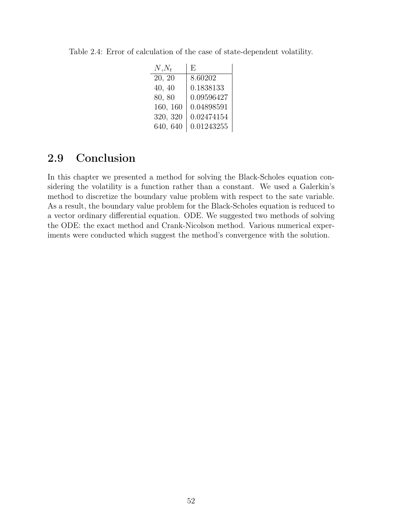| $N, N_t$ | F,         |
|----------|------------|
| 20, 20   | 8.60202    |
| 40, 40   | 0.1838133  |
| 80, 80   | 0.09596427 |
| 160, 160 | 0.04898591 |
| 320, 320 | 0.02474154 |
| 640, 640 | 0.01243255 |

<span id="page-51-0"></span>Table 2.4: Error of calculation of the case of state-dependent volatility.

## 2.9 Conclusion

In this chapter we presented a method for solving the Black-Scholes equation considering the volatility is a function rather than a constant. We used a Galerkin's method to discretize the boundary value problem with respect to the sate variable. As a result, the boundary value problem for the Black-Scholes equation is reduced to a vector ordinary differential equation. ODE. We suggested two methods of solving the ODE: the exact method and Crank-Nicolson method. Various numerical experiments were conducted which suggest the method's convergence with the solution.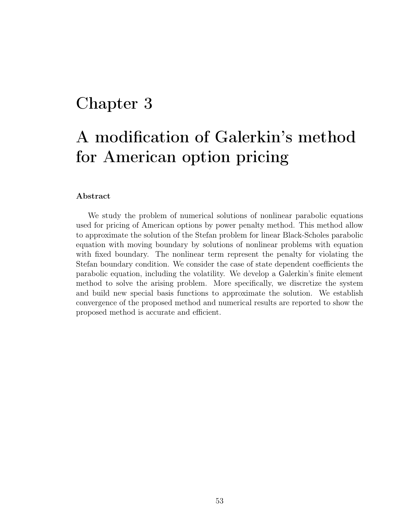## Chapter 3

# A modification of Galerkin's method for American option pricing

#### Abstract

We study the problem of numerical solutions of nonlinear parabolic equations used for pricing of American options by power penalty method. This method allow to approximate the solution of the Stefan problem for linear Black-Scholes parabolic equation with moving boundary by solutions of nonlinear problems with equation with fixed boundary. The nonlinear term represent the penalty for violating the Stefan boundary condition. We consider the case of state dependent coefficients the parabolic equation, including the volatility. We develop a Galerkin's finite element method to solve the arising problem. More specifically, we discretize the system and build new special basis functions to approximate the solution. We establish convergence of the proposed method and numerical results are reported to show the proposed method is accurate and efficient.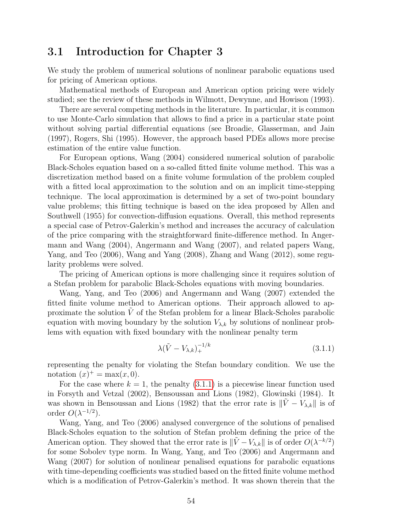## 3.1 Introduction for Chapter 3

We study the problem of numerical solutions of nonlinear parabolic equations used for pricing of American options.

Mathematical methods of European and American option pricing were widely studied; see the review of these methods in Wilmott, Dewynne, and Howison (1993).

There are several competing methods in the literature. In particular, it is common to use Monte-Carlo simulation that allows to find a price in a particular state point without solving partial differential equations (see Broadie, Glasserman, and Jain (1997), Rogers, Shi (1995). However, the approach based PDEs allows more precise estimation of the entire value function.

For European options, Wang (2004) considered numerical solution of parabolic Black-Scholes equation based on a so-called fitted finite volume method. This was a discretization method based on a finite volume formulation of the problem coupled with a fitted local approximation to the solution and on an implicit time-stepping technique. The local approximation is determined by a set of two-point boundary value problems; this fitting technique is based on the idea proposed by Allen and Southwell (1955) for convection-diffusion equations. Overall, this method represents a special case of Petrov-Galerkin's method and increases the accuracy of calculation of the price comparing with the straightforward finite-difference method. In Angermann and Wang (2004), Angermann and Wang (2007), and related papers Wang, Yang, and Teo (2006), Wang and Yang (2008), Zhang and Wang (2012), some regularity problems were solved.

The pricing of American options is more challenging since it requires solution of a Stefan problem for parabolic Black-Scholes equations with moving boundaries.

Wang, Yang, and Teo (2006) and Angermann and Wang (2007) extended the fitted finite volume method to American options. Their approach allowed to approximate the solution  $V$  of the Stefan problem for a linear Black-Scholes parabolic equation with moving boundary by the solution  $V_{\lambda,k}$  by solutions of nonlinear problems with equation with fixed boundary with the nonlinear penalty term

<span id="page-53-0"></span>
$$
\lambda(\tilde{V} - V_{\lambda,k})_+^{-1/k} \tag{3.1.1}
$$

representing the penalty for violating the Stefan boundary condition. We use the notation  $(x)^+$  = max $(x, 0)$ .

For the case where  $k = 1$ , the penalty [\(3.1.1\)](#page-53-0) is a piecewise linear function used in Forsyth and Vetzal (2002), Bensoussan and Lions (1982), Glowinski (1984). It was shown in Bensoussan and Lions (1982) that the error rate is  $\|\tilde{V} - V_{\lambda,k}\|$  is of order  $O(\lambda^{-1/2})$ .

Wang, Yang, and Teo (2006) analysed convergence of the solutions of penalised Black-Scholes equation to the solution of Stefan problem defining the price of the American option. They showed that the error rate is  $\|\tilde{V} - V_{\lambda,k}\|$  is of order  $O(\lambda^{-k/2})$ for some Sobolev type norm. In Wang, Yang, and Teo (2006) and Angermann and Wang (2007) for solution of nonlinear penalised equations for parabolic equations with time-depending coefficients was studied based on the fitted finite volume method which is a modification of Petrov-Galerkin's method. It was shown therein that the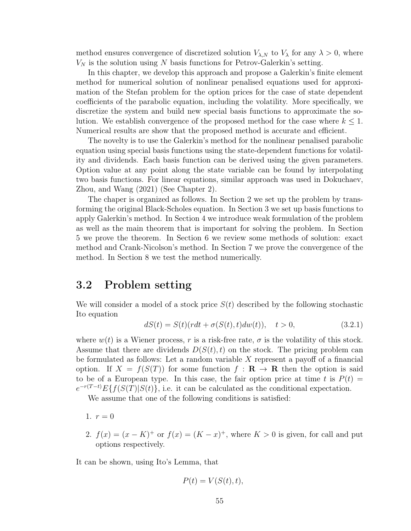method ensures convergence of discretized solution  $V_{\lambda,N}$  to  $V_{\lambda}$  for any  $\lambda > 0$ , where  $V_N$  is the solution using N basis functions for Petrov-Galerkin's setting.

In this chapter, we develop this approach and propose a Galerkin's finite element method for numerical solution of nonlinear penalised equations used for approximation of the Stefan problem for the option prices for the case of state dependent coefficients of the parabolic equation, including the volatility. More specifically, we discretize the system and build new special basis functions to approximate the solution. We establish convergence of the proposed method for the case where  $k \leq 1$ . Numerical results are show that the proposed method is accurate and efficient.

The novelty is to use the Galerkin's method for the nonlinear penalised parabolic equation using special basis functions using the state-dependent functions for volatility and dividends. Each basis function can be derived using the given parameters. Option value at any point along the state variable can be found by interpolating two basis functions. For linear equations, similar approach was used in Dokuchaev, Zhou, and Wang (2021) (See Chapter 2).

The chaper is organized as follows. In Section 2 we set up the problem by transforming the original Black-Scholes equation. In Section 3 we set up basis functions to apply Galerkin's method. In Section 4 we introduce weak formulation of the problem as well as the main theorem that is important for solving the problem. In Section 5 we prove the theorem. In Section 6 we review some methods of solution: exact method and Crank-Nicolson's method. In Section 7 we prove the convergence of the method. In Section 8 we test the method numerically.

## 3.2 Problem setting

We will consider a model of a stock price  $S(t)$  described by the following stochastic Ito equation

$$
dS(t) = S(t)(rdt + \sigma(S(t), t)dw(t)), \quad t > 0,
$$
\n(3.2.1)

where  $w(t)$  is a Wiener process, r is a risk-free rate,  $\sigma$  is the volatility of this stock. Assume that there are dividends  $D(S(t), t)$  on the stock. The pricing problem can be formulated as follows: Let a random variable  $X$  represent a payoff of a financial option. If  $X = f(S(T))$  for some function  $f : \mathbf{R} \to \mathbf{R}$  then the option is said to be of a European type. In this case, the fair option price at time  $t$  is  $P(t) =$  $e^{-r(T-t)}E\{f(S(T)|S(t)\},$  i.e. it can be calculated as the conditional expectation.

We assume that one of the following conditions is satisfied:

- 1.  $r = 0$
- 2.  $f(x) = (x K)^+$  or  $f(x) = (K x)^+$ , where  $K > 0$  is given, for call and put options respectively.

It can be shown, using Ito's Lemma, that

$$
P(t) = V(S(t), t),
$$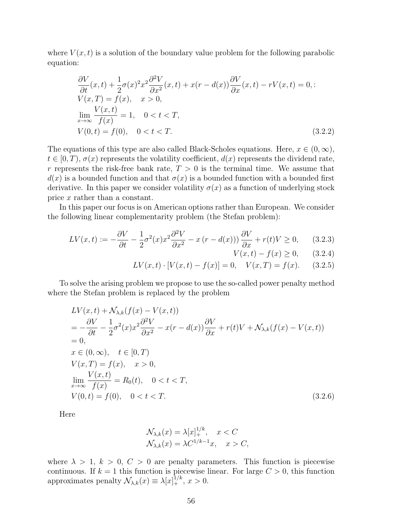where  $V(x, t)$  is a solution of the boundary value problem for the following parabolic equation:

$$
\frac{\partial V}{\partial t}(x,t) + \frac{1}{2}\sigma(x)^2 x^2 \frac{\partial^2 V}{\partial x^2}(x,t) + x(r - d(x)) \frac{\partial V}{\partial x}(x,t) - rV(x,t) = 0, : \nV(x,T) = f(x), \quad x > 0, \n\lim_{x \to \infty} \frac{V(x,t)}{f(x)} = 1, \quad 0 < t < T, \nV(0,t) = f(0), \quad 0 < t < T.
$$
\n(3.2.2)

The equations of this type are also called Black-Scholes equations. Here,  $x \in (0, \infty)$ ,  $t \in [0, T)$ ,  $\sigma(x)$  represents the volatility coefficient,  $d(x)$  represents the dividend rate, r represents the risk-free bank rate,  $T > 0$  is the terminal time. We assume that  $d(x)$  is a bounded function and that  $\sigma(x)$  is a bounded function with a bounded first derivative. In this paper we consider volatility  $\sigma(x)$  as a function of underlying stock price  $x$  rather than a constant.

In this paper our focus is on American options rather than European. We consider the following linear complementarity problem (the Stefan problem):

$$
LV(x,t) := -\frac{\partial V}{\partial t} - \frac{1}{2}\sigma^2(x)x^2\frac{\partial^2 V}{\partial x^2} - x(r - d(x)))\frac{\partial V}{\partial x} + r(t)V \ge 0, \qquad (3.2.3)
$$

$$
V(x,t) - f(x) \ge 0, \qquad (3.2.4)
$$

$$
LV(x,t) \cdot [V(x,t) - f(x)] = 0, \quad V(x,T) = f(x). \tag{3.2.5}
$$

To solve the arising problem we propose to use the so-called power penalty method where the Stefan problem is replaced by the problem

<span id="page-55-0"></span>
$$
LV(x,t) + N_{\lambda,k}(f(x) - V(x,t))
$$
  
=  $-\frac{\partial V}{\partial t} - \frac{1}{2}\sigma^2(x)x^2\frac{\partial^2 V}{\partial x^2} - x(r - d(x))\frac{\partial V}{\partial x} + r(t)V + N_{\lambda,k}(f(x) - V(x,t))$   
= 0,  
 $x \in (0,\infty), \quad t \in [0,T)$   
 $V(x,T) = f(x), \quad x > 0,$   

$$
\lim_{x \to \infty} \frac{V(x,t)}{f(x)} = R_0(t), \quad 0 < t < T,
$$
  
 $V(0,t) = f(0), \quad 0 < t < T.$  (3.2.6)

Here

$$
\mathcal{N}_{\lambda,k}(x) = \lambda [x]_{+}^{1/k}, \quad x < C
$$
\n
$$
\mathcal{N}_{\lambda,k}(x) = \lambda C^{1/k-1} x, \quad x > C,
$$

where  $\lambda > 1, k > 0, C > 0$  are penalty parameters. This function is piecewise continuous. If  $k = 1$  this function is piecewise linear. For large  $C > 0$ , this function approximates penalty  $\mathcal{N}_{\lambda,k}(x) \equiv \lambda[x]_+^{1/k}, x > 0.$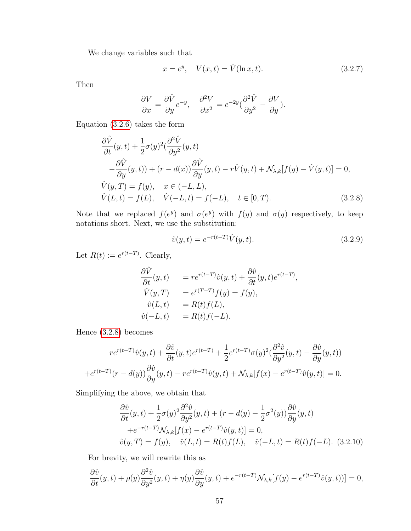We change variables such that

<span id="page-56-2"></span>
$$
x = e^y, \quad V(x, t) = \hat{V}(\ln x, t). \tag{3.2.7}
$$

Then

$$
\frac{\partial V}{\partial x} = \frac{\partial \hat{V}}{\partial y} e^{-y}, \quad \frac{\partial^2 V}{\partial x^2} = e^{-2y} \left(\frac{\partial^2 \hat{V}}{\partial y^2} - \frac{\partial V}{\partial y}\right).
$$

Equation [\(3.2.6\)](#page-55-0) takes the form

<span id="page-56-0"></span>
$$
\frac{\partial \hat{V}}{\partial t}(y,t) + \frac{1}{2}\sigma(y)^2(\frac{\partial^2 \hat{V}}{\partial y^2}(y,t))
$$
  
\n
$$
-\frac{\partial \hat{V}}{\partial y}(y,t) + (r - d(x))\frac{\partial \hat{V}}{\partial y}(y,t) - r\hat{V}(y,t) + \mathcal{N}_{\lambda,k}[f(y) - \hat{V}(y,t)] = 0,
$$
  
\n
$$
\hat{V}(y,T) = f(y), \quad x \in (-L,L),
$$
  
\n
$$
\hat{V}(L,t) = f(L), \quad \hat{V}(-L,t) = f(-L), \quad t \in [0,T).
$$
\n(3.2.8)

Note that we replaced  $f(e^y)$  and  $\sigma(e^y)$  with  $f(y)$  and  $\sigma(y)$  respectively, to keep notations short. Next, we use the substitution:

<span id="page-56-3"></span>
$$
\hat{v}(y,t) = e^{-r(t-T)}\hat{V}(y,t).
$$
\n(3.2.9)

Let  $R(t) := e^{r(t-T)}$ . Clearly,

$$
\begin{array}{lll}\n\frac{\partial \hat{V}}{\partial t}(y,t) & = r e^{r(t-T)} \hat{v}(y,t) + \frac{\partial \hat{v}}{\partial t}(y,t) e^{r(t-T)}, \\
\hat{V}(y,T) & = e^{r(T-T)} f(y) = f(y), \\
\hat{v}(L,t) & = R(t) f(L), \\
\hat{v}(-L,t) & = R(t) f(-L).\n\end{array}
$$

Hence [\(3.2.8\)](#page-56-0) becomes

$$
re^{r(t-T)}\hat{v}(y,t) + \frac{\partial \hat{v}}{\partial t}(y,t)e^{r(t-T)} + \frac{1}{2}e^{r(t-T)}\sigma(y)^2(\frac{\partial^2 \hat{v}}{\partial y^2}(y,t) - \frac{\partial \hat{v}}{\partial y}(y,t))
$$
  
+ 
$$
e^{r(t-T)}(r-d(y))\frac{\partial \hat{v}}{\partial y}(y,t) - re^{r(t-T)}\hat{v}(y,t) + \mathcal{N}_{\lambda,k}[f(x) - e^{r(t-T)}\hat{v}(y,t)] = 0.
$$

Simplifying the above, we obtain that

<span id="page-56-1"></span>
$$
\frac{\partial \hat{v}}{\partial t}(y,t) + \frac{1}{2}\sigma(y)^2 \frac{\partial^2 \hat{v}}{\partial y^2}(y,t) + (r - d(y) - \frac{1}{2}\sigma^2(y))\frac{\partial \hat{v}}{\partial y}(y,t)
$$
  
+ $e^{-r(t-T)}\mathcal{N}_{\lambda,k}[f(x) - e^{r(t-T)}\hat{v}(y,t)] = 0,$   
 $\hat{v}(y,T) = f(y), \quad \hat{v}(L,t) = R(t)f(L), \quad \hat{v}(-L,t) = R(t)f(-L).$  (3.2.10)

For brevity, we will rewrite this as

$$
\frac{\partial \hat{v}}{\partial t}(y,t) + \rho(y)\frac{\partial^2 \hat{v}}{\partial y^2}(y,t) + \eta(y)\frac{\partial \hat{v}}{\partial y}(y,t) + e^{-r(t-T)}\mathcal{N}_{\lambda,k}[f(y) - e^{r(t-T)}\hat{v}(y,t))] = 0,
$$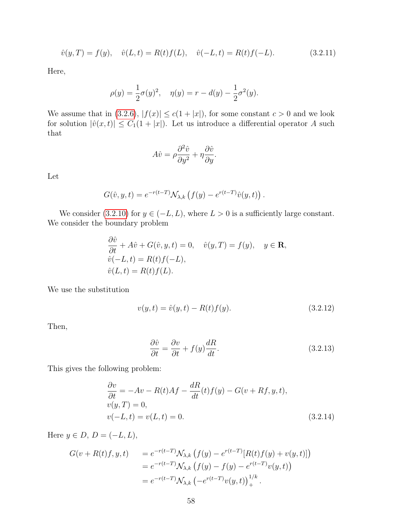$$
\hat{v}(y,T) = f(y), \quad \hat{v}(L,t) = R(t)f(L), \quad \hat{v}(-L,t) = R(t)f(-L). \tag{3.2.11}
$$

Here,

$$
\rho(y) = \frac{1}{2}\sigma(y)^2, \quad \eta(y) = r - d(y) - \frac{1}{2}\sigma^2(y).
$$

We assume that in [\(3.2.6\)](#page-55-0),  $|f(x)| \le c(1+|x|)$ , for some constant  $c > 0$  and we look for solution  $|\hat{v}(x, t)| \leq C_1(1 + |x|)$ . Let us introduce a differential operator A such that

$$
A\hat{v} = \rho \frac{\partial^2 \hat{v}}{\partial y^2} + \eta \frac{\partial \hat{v}}{\partial y}.
$$

Let

$$
G(\hat{v}, y, t) = e^{-r(t-T)} \mathcal{N}_{\lambda, k} \left( f(y) - e^{r(t-T)} \hat{v}(y, t) \right).
$$

We consider [\(3.2.10\)](#page-56-1) for  $y \in (-L, L)$ , where  $L > 0$  is a sufficiently large constant. We consider the boundary problem

$$
\frac{\partial \hat{v}}{\partial t} + A\hat{v} + G(\hat{v}, y, t) = 0, \quad \hat{v}(y, T) = f(y), \quad y \in \mathbf{R},
$$
  

$$
\hat{v}(-L, t) = R(t)f(-L),
$$
  

$$
\hat{v}(L, t) = R(t)f(L).
$$

We use the substitution

<span id="page-57-1"></span>
$$
v(y,t) = \hat{v}(y,t) - R(t)f(y).
$$
\n(3.2.12)

Then,

$$
\frac{\partial \hat{v}}{\partial t} = \frac{\partial v}{\partial t} + f(y)\frac{dR}{dt}.
$$
\n(3.2.13)

This gives the following problem:

<span id="page-57-0"></span>
$$
\frac{\partial v}{\partial t} = -Av - R(t)Af - \frac{dR}{dt}(t)f(y) - G(v + Rf, y, t),\nv(y, T) = 0,\nv(-L, t) = v(L, t) = 0.
$$
\n(3.2.14)

Here  $y \in D$ ,  $D = (-L, L)$ ,

$$
G(v + R(t)f, y, t) = e^{-r(t-T)} \mathcal{N}_{\lambda, k} (f(y) - e^{r(t-T)} [R(t)f(y) + v(y, t)])
$$
  
=  $e^{-r(t-T)} \mathcal{N}_{\lambda, k} (f(y) - f(y) - e^{r(t-T)} v(y, t))$   
=  $e^{-r(t-T)} \mathcal{N}_{\lambda, k} (-e^{r(t-T)} v(y, t))_{+}^{1/k}$ .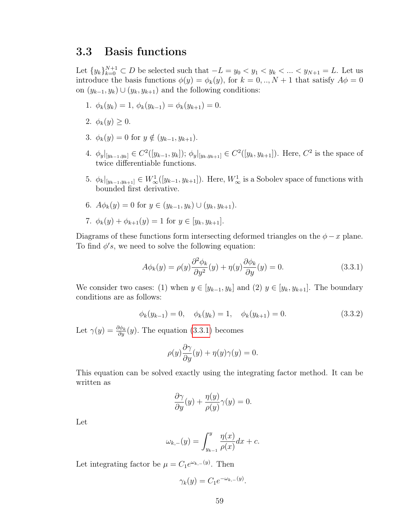## 3.3 Basis functions

Let  ${y_k}_{k=0}^{N+1} \subset D$  be selected such that  $-L = y_0 < y_1 < y_k < ... < y_{N+1} = L$ . Let us introduce the basis functions  $\phi(y) = \phi_k(y)$ , for  $k = 0, ..., N + 1$  that satisfy  $A\phi = 0$ on  $(y_{k-1}, y_k) \cup (y_k, y_{k+1})$  and the following conditions:

- 1.  $\phi_k(y_k) = 1, \, \phi_k(y_{k-1}) = \phi_k(y_{k+1}) = 0.$
- 2.  $\phi_k(y) \geq 0$ .
- 3.  $\phi_k(y) = 0$  for  $y \notin (y_{k-1}, y_{k+1})$ .
- 4.  $\phi_y|_{[y_{k-1},y_k]} \in C^2([y_{k-1},y_k])$ ;  $\phi_y|_{[y_k,y_{k+1}]} \in C^2([y_k,y_{k+1}])$ . Here,  $C^2$  is the space of twice differentiable functions.
- 5.  $\phi_k|_{[y_{k-1},y_{k+1}]}\in W^1_\infty([y_{k-1},y_{k+1}])$ . Here,  $W^1_\infty$  is a Sobolev space of functions with bounded first derivative.
- 6.  $A\phi_k(y) = 0$  for  $y \in (y_{k-1}, y_k) \cup (y_k, y_{k+1}).$

7. 
$$
\phi_k(y) + \phi_{k+1}(y) = 1
$$
 for  $y \in [y_k, y_{k+1}].$ 

Diagrams of these functions form intersecting deformed triangles on the  $\phi - x$  plane. To find  $\phi's$ , we need to solve the following equation:

<span id="page-58-0"></span>
$$
A\phi_k(y) = \rho(y)\frac{\partial^2 \phi_k}{\partial y^2}(y) + \eta(y)\frac{\partial \phi_k}{\partial y}(y) = 0.
$$
\n(3.3.1)

We consider two cases: (1) when  $y \in [y_{k-1}, y_k]$  and (2)  $y \in [y_k, y_{k+1}]$ . The boundary conditions are as follows:

<span id="page-58-1"></span>
$$
\phi_k(y_{k-1}) = 0, \quad \phi_k(y_k) = 1, \quad \phi_k(y_{k+1}) = 0.
$$
\n(3.3.2)

Let  $\gamma(y) = \frac{\partial \phi_k}{\partial y}(y)$ . The equation [\(3.3.1\)](#page-58-0) becomes

$$
\rho(y)\frac{\partial \gamma}{\partial y}(y) + \eta(y)\gamma(y) = 0.
$$

This equation can be solved exactly using the integrating factor method. It can be written as

$$
\frac{\partial \gamma}{\partial y}(y) + \frac{\eta(y)}{\rho(y)}\gamma(y) = 0.
$$

Let

$$
\omega_{k,-}(y) = \int_{y_{k-1}}^{y} \frac{\eta(x)}{\rho(x)} dx + c.
$$

Let integrating factor be  $\mu = C_1 e^{\omega_{k,-}(y)}$ . Then

$$
\gamma_k(y) = C_1 e^{-\omega_{k,-}(y)}.
$$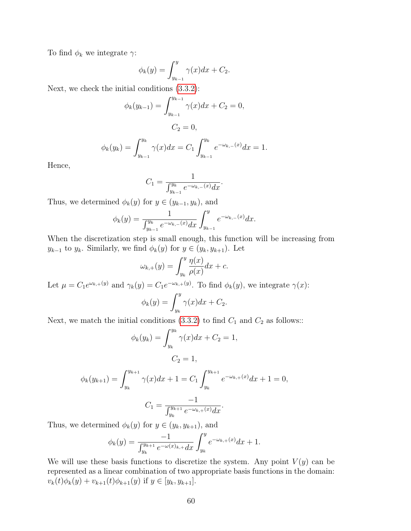To find  $\phi_k$  we integrate  $\gamma$ :

$$
\phi_k(y) = \int_{y_{k-1}}^y \gamma(x) dx + C_2.
$$

Next, we check the initial conditions [\(3.3.2\)](#page-58-1):

$$
\phi_k(y_{k-1}) = \int_{y_{k-1}}^{y_{k-1}} \gamma(x)dx + C_2 = 0,
$$
  

$$
C_2 = 0,
$$
  

$$
\phi_k(y_k) = \int_{y_{k-1}}^{y_k} \gamma(x)dx = C_1 \int_{y_{k-1}}^{y_k} e^{-\omega_{k,-1}} dx = 1.
$$

Hence,

$$
C_1 = \frac{1}{\int_{y_{k-1}}^{y_k} e^{-\omega_{k,-}(x)} dx}.
$$

Thus, we determined  $\phi_k(y)$  for  $y \in (y_{k-1}, y_k)$ , and

 $y_{k-1}$ 

$$
\phi_k(y) = \frac{1}{\int_{y_{k-1}}^{y_k} e^{-\omega_{k,-}(x)} dx} \int_{y_{k-1}}^{y} e^{-\omega_{k,-}(x)} dx.
$$

When the discretization step is small enough, this function will be increasing from  $y_{k-1}$  to  $y_k$ . Similarly, we find  $\phi_k(y)$  for  $y \in (y_k, y_{k+1})$ . Let

$$
\omega_{k,+}(y) = \int_{y_k}^{y} \frac{\eta(x)}{\rho(x)} dx + c.
$$

Let  $\mu = C_1 e^{\omega_{k,+}(y)}$  and  $\gamma_k(y) = C_1 e^{-\omega_{k,+}(y)}$ . To find  $\phi_k(y)$ , we integrate  $\gamma(x)$ :

$$
\phi_k(y) = \int_{y_k}^y \gamma(x) dx + C_2.
$$

Next, we match the initial conditions [\(3.3.2\)](#page-58-1) to find  $C_1$  and  $C_2$  as follows::

$$
\phi_k(y_k) = \int_{y_k}^{y_k} \gamma(x)dx + C_2 = 1,
$$
  

$$
C_2 = 1,
$$

$$
\phi_k(y_{k+1}) = \int_{y_k}^{y_{k+1}} \gamma(x)dx + 1 = C_1 \int_{y_k}^{y_{k+1}} e^{-\omega_{k,+}(x)} dx + 1 = 0,
$$

$$
C_1 = \frac{-1}{\int_{y_k}^{y_{k+1}} e^{-\omega_{k,+}(x)} dx}.
$$

Thus, we determined  $\phi_k(y)$  for  $y \in (y_k, y_{k+1})$ , and

$$
\phi_k(y) = \frac{-1}{\int_{y_k}^{y_{k+1}} e^{-\omega(x)_{k+1}} dx} \int_{y_k}^{y} e^{-\omega_{k+1}(x)} dx + 1.
$$

We will use these basis functions to discretize the system. Any point  $V(y)$  can be represented as a linear combination of two appropriate basis functions in the domain:  $v_k(t)\phi_k(y) + v_{k+1}(t)\phi_{k+1}(y)$  if  $y \in [y_k, y_{k+1}].$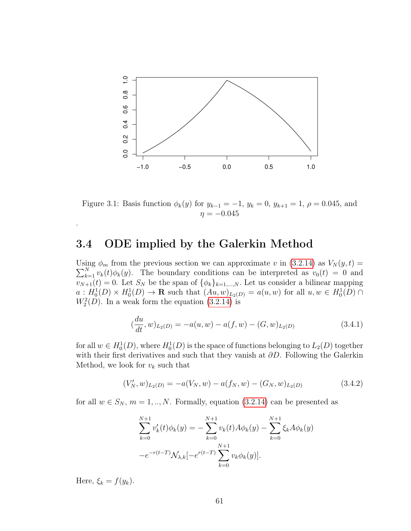

Figure 3.1: Basis function  $\phi_k(y)$  for  $y_{k-1} = -1$ ,  $y_k = 0$ ,  $y_{k+1} = 1$ ,  $\rho = 0.045$ , and  $\eta = -0.045$ 

## 3.4 ODE implied by the Galerkin Method

Using  $\phi_m$  from the previous section we can approximate v in [\(3.2.14\)](#page-57-0) as  $V_N(y,t) =$  $\sum_{k=1}^{N} v_k(t) \phi_k(y)$ . The boundary conditions can be interpreted as  $v_0(t) = 0$  and  $v_{N+1}(t) = 0$ . Let  $S_N$  be the span of  $\{\phi_k\}_{k=1,\dots,N}$ . Let us consider a bilinear mapping  $a: H_0^1(D) \times H_0^1(D) \to \mathbf{R}$  such that  $(Au, w)_{L_2(D)} = a(u, w)$  for all  $u, w \in H_0^1(D) \cap$  $W_2^2(D)$ . In a weak form the equation [\(3.2.14\)](#page-57-0) is

<span id="page-60-0"></span>
$$
(\frac{du}{dt}, w)_{L_2(D)} = -a(u, w) - a(f, w) - (G, w)_{L_2(D)}
$$
\n(3.4.1)

for all  $w \in H_0^1(D)$ , where  $H_0^1(D)$  is the space of functions belonging to  $L_2(D)$  together with their first derivatives and such that they vanish at  $\partial D$ . Following the Galerkin Method, we look for  $v_k$  such that

<span id="page-60-1"></span>
$$
(V'_N, w)_{L_2(D)} = -a(V_N, w) - a(f_N, w) - (G_N, w)_{L_2(D)}
$$
\n(3.4.2)

for all  $w \in S_N$ ,  $m = 1, ..., N$ . Formally, equation [\(3.2.14\)](#page-57-0) can be presented as

$$
\sum_{k=0}^{N+1} v'_k(t)\phi_k(y) = -\sum_{k=0}^{N+1} v_k(t)A\phi_k(y) - \sum_{k=0}^{N+1} \xi_k A\phi_k(y)
$$

$$
-e^{-r(t-T)}\mathcal{N}_{\lambda,k}[-e^{r(t-T)}\sum_{k=0}^{N+1} v_k \phi_k(y)].
$$

Here,  $\xi_k = f(y_k)$ .

.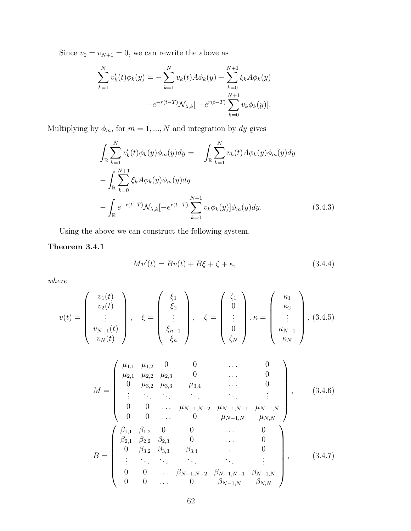Since  $v_0 = v_{N+1} = 0$ , we can rewrite the above as

$$
\sum_{k=1}^{N} v'_k(t)\phi_k(y) = -\sum_{k=1}^{N} v_k(t)A\phi_k(y) - \sum_{k=0}^{N+1} \xi_k A\phi_k(y)
$$

$$
-e^{-r(t-T)}\mathcal{N}_{\lambda,k}[-e^{r(t-T)}\sum_{k=0}^{N+1} v_k \phi_k(y)].
$$

Multiplying by  $\phi_m$ , for  $m = 1, ..., N$  and integration by dy gives

<span id="page-61-2"></span>
$$
\int_{\mathbb{R}} \sum_{k=1}^{N} v'_{k}(t) \phi_{k}(y) \phi_{m}(y) dy = - \int_{\mathbb{R}} \sum_{k=1}^{N} v_{k}(t) A \phi_{k}(y) \phi_{m}(y) dy \n- \int_{\mathbb{R}} \sum_{k=0}^{N+1} \xi_{k} A \phi_{k}(y) \phi_{m}(y) dy \n- \int_{\mathbb{R}} e^{-r(t-T)} \mathcal{N}_{\lambda,k}[-e^{r(t-T)} \sum_{k=0}^{N+1} v_{k} \phi_{k}(y)] \phi_{m}(y) dy.
$$
\n(3.4.3)

Using the above we can construct the following system.

#### Theorem 3.4.1

<span id="page-61-1"></span><span id="page-61-0"></span>
$$
Mv'(t) = Bv(t) + B\xi + \zeta + \kappa,
$$
\n(3.4.4)

where

$$
v(t) = \begin{pmatrix} v_1(t) \\ v_2(t) \\ \vdots \\ v_{N-1}(t) \\ v_N(t) \end{pmatrix}, \quad \xi = \begin{pmatrix} \xi_1 \\ \xi_2 \\ \vdots \\ \xi_{n-1} \\ \xi_n \end{pmatrix}, \quad \zeta = \begin{pmatrix} \zeta_1 \\ 0 \\ \vdots \\ 0 \\ \zeta_N \end{pmatrix}, \kappa = \begin{pmatrix} \kappa_1 \\ \kappa_2 \\ \vdots \\ \kappa_{N-1} \\ \kappa_N \end{pmatrix}, (3.4.5)
$$

<span id="page-61-3"></span>
$$
M = \begin{pmatrix} \mu_{1,1} & \mu_{1,2} & 0 & 0 & \dots & 0 \\ \mu_{2,1} & \mu_{2,2} & \mu_{2,3} & 0 & \dots & 0 \\ 0 & \mu_{3,2} & \mu_{3,3} & \mu_{3,4} & \dots & 0 \\ \vdots & \ddots & \ddots & \ddots & \ddots & \vdots \\ 0 & 0 & \dots & \mu_{N-1,N-2} & \mu_{N-1,N-1} & \mu_{N-1,N} \\ 0 & 0 & \dots & 0 & \mu_{N-1,N} & \mu_{N,N} \end{pmatrix}, \qquad (3.4.6)
$$
  

$$
B = \begin{pmatrix} \beta_{1,1} & \beta_{1,2} & 0 & 0 & \dots & 0 \\ \beta_{2,1} & \beta_{2,2} & \beta_{2,3} & 0 & \dots & 0 \\ 0 & \beta_{3,2} & \beta_{3,3} & \beta_{3,4} & \dots & 0 \\ \vdots & \ddots & \ddots & \ddots & \ddots & \vdots \\ 0 & 0 & \dots & \beta_{N-1,N-2} & \beta_{N-1,N-1} & \beta_{N-1,N} \\ 0 & 0 & \dots & 0 & \beta_{N-1,N} & \beta_{N,N} \end{pmatrix}, \qquad (3.4.7)
$$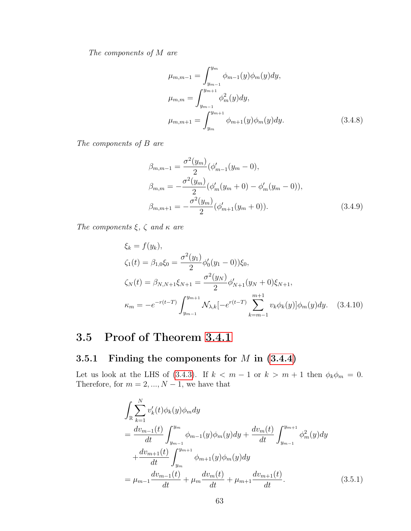The components of  $M$  are

$$
\mu_{m,m-1} = \int_{y_{m-1}}^{y_m} \phi_{m-1}(y)\phi_m(y)dy,
$$
  
\n
$$
\mu_{m,m} = \int_{y_{m-1}}^{y_{m+1}} \phi_m^2(y)dy,
$$
  
\n
$$
\mu_{m,m+1} = \int_{y_m}^{y_{m+1}} \phi_{m+1}(y)\phi_m(y)dy.
$$
\n(3.4.8)

The components of  $B$  are

$$
\beta_{m,m-1} = \frac{\sigma^2(y_m)}{2} (\phi'_{m-1}(y_m - 0),
$$
  
\n
$$
\beta_{m,m} = -\frac{\sigma^2(y_m)}{2} (\phi'_{m}(y_m + 0) - \phi'_{m}(y_m - 0)),
$$
  
\n
$$
\beta_{m,m+1} = -\frac{\sigma^2(y_m)}{2} (\phi'_{m+1}(y_m + 0)).
$$
\n(3.4.9)

The components  $\xi$ ,  $\zeta$  and  $\kappa$  are

$$
\xi_k = f(y_k),
$$
  
\n
$$
\zeta_1(t) = \beta_{1,0}\xi_0 = \frac{\sigma^2(y_1)}{2}\phi_0'(y_1 - 0))\xi_0,
$$
  
\n
$$
\zeta_N(t) = \beta_{N,N+1}\xi_{N+1} = \frac{\sigma^2(y_N)}{2}\phi_{N+1}'(y_N + 0)\xi_{N+1},
$$
  
\n
$$
\kappa_m = -e^{-r(t-T)}\int_{y_{m-1}}^{y_{m+1}} \mathcal{N}_{\lambda,k}[-e^{r(t-T)}\sum_{k=m-1}^{m+1} v_k \phi_k(y)]\phi_m(y)dy. \quad (3.4.10)
$$

## 3.5 Proof of Theorem [3.4.1](#page-61-0)

## 3.5.1 Finding the components for  $M$  in  $(3.4.4)$

Let us look at the LHS of [\(3.4.3\)](#page-61-2). If  $k < m - 1$  or  $k > m + 1$  then  $\phi_k \phi_m = 0$ . Therefore, for  $m = 2, ..., N - 1$ , we have that

$$
\int_{\mathbb{R}} \sum_{k=1}^{N} v'_k(t) \phi_k(y) \phi_m dy
$$
\n
$$
= \frac{dv_{m-1}(t)}{dt} \int_{y_{m-1}}^{y_m} \phi_{m-1}(y) \phi_m(y) dy + \frac{dv_m(t)}{dt} \int_{y_{m-1}}^{y_{m+1}} \phi_m^2(y) dy
$$
\n
$$
+ \frac{dv_{m+1}(t)}{dt} \int_{y_m}^{y_{m+1}} \phi_{m+1}(y) \phi_m(y) dy
$$
\n
$$
= \mu_{m-1} \frac{dv_{m-1}(t)}{dt} + \mu_m \frac{dv_m(t)}{dt} + \mu_{m+1} \frac{dv_{m+1}(t)}{dt}.
$$
\n(3.5.1)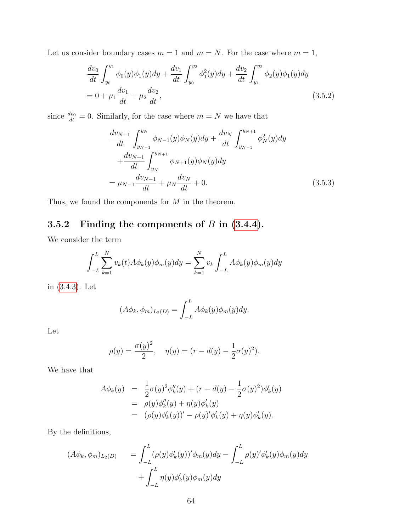Let us consider boundary cases  $m = 1$  and  $m = N$ . For the case where  $m = 1$ ,

$$
\frac{dv_0}{dt} \int_{y_0}^{y_1} \phi_0(y)\phi_1(y)dy + \frac{dv_1}{dt} \int_{y_0}^{y_2} \phi_1^2(y)dy + \frac{dv_2}{dt} \int_{y_1}^{y_2} \phi_2(y)\phi_1(y)dy
$$
  
= 0 +  $\mu_1 \frac{dv_1}{dt} + \mu_2 \frac{dv_2}{dt}$ , (3.5.2)

since  $\frac{dv_0}{dt} = 0$ . Similarly, for the case where  $m = N$  we have that

$$
\frac{dv_{N-1}}{dt} \int_{y_{N-1}}^{y_N} \phi_{N-1}(y)\phi_N(y)dy + \frac{dv_N}{dt} \int_{y_{N-1}}^{y_{N+1}} \phi_N^2(y)dy \n+ \frac{dv_{N+1}}{dt} \int_{y_N}^{y_{N+1}} \phi_{N+1}(y)\phi_N(y)dy \n= \mu_{N-1} \frac{dv_{N-1}}{dt} + \mu_N \frac{dv_N}{dt} + 0.
$$
\n(3.5.3)

Thus, we found the components for  $M$  in the theorem.

## 3.5.2 Finding the components of  $B$  in  $(3.4.4)$ .

We consider the term

$$
\int_{-L}^{L} \sum_{k=1}^{N} v_k(t) A \phi_k(y) \phi_m(y) dy = \sum_{k=1}^{N} v_k \int_{-L}^{L} A \phi_k(y) \phi_m(y) dy
$$

in [\(3.4.3\)](#page-61-2). Let

$$
(A\phi_k, \phi_m)_{L_2(D)} = \int_{-L}^{L} A\phi_k(y)\phi_m(y)dy.
$$

Let

$$
\rho(y) = \frac{\sigma(y)^2}{2}, \quad \eta(y) = (r - d(y) - \frac{1}{2}\sigma(y)^2).
$$

We have that

$$
A\phi_k(y) = \frac{1}{2}\sigma(y)^2\phi''_k(y) + (r - d(y) - \frac{1}{2}\sigma(y)^2)\phi'_k(y)
$$
  
=  $\rho(y)\phi''_k(y) + \eta(y)\phi'_k(y)$   
=  $(\rho(y)\phi'_k(y))' - \rho(y)'\phi'_k(y) + \eta(y)\phi'_k(y).$ 

By the definitions,

$$
(A\phi_k, \phi_m)_{L_2(D)} = \int_{-L}^{L} (\rho(y)\phi'_k(y))'\phi_m(y)dy - \int_{-L}^{L} \rho(y)'\phi'_k(y)\phi_m(y)dy
$$

$$
+ \int_{-L}^{L} \eta(y)\phi'_k(y)\phi_m(y)dy
$$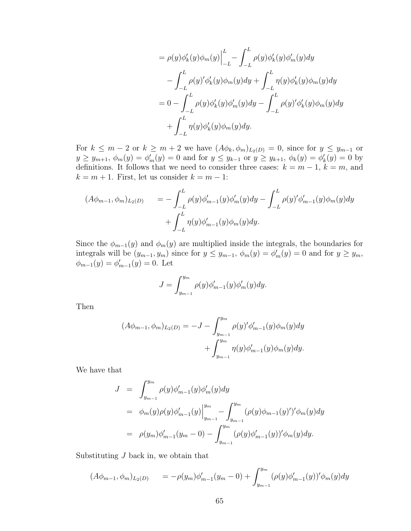$$
= \rho(y)\phi'_k(y)\phi_m(y)\Big|_{-L}^{L} - \int_{-L}^{L} \rho(y)\phi'_k(y)\phi'_m(y)dy - \int_{-L}^{L} \rho(y)'\phi'_k(y)\phi_m(y)dy + \int_{-L}^{L} \eta(y)\phi'_k(y)\phi_m(y)dy = 0 - \int_{-L}^{L} \rho(y)\phi'_k(y)\phi'_m(y)dy - \int_{-L}^{L} \rho(y)'\phi'_k(y)\phi_m(y)dy + \int_{-L}^{L} \eta(y)\phi'_k(y)\phi_m(y)dy.
$$

For  $k \leq m-2$  or  $k \geq m+2$  we have  $(A\phi_k, \phi_m)_{L_2(D)} = 0$ , since for  $y \leq y_{m-1}$  or  $y \ge y_{m+1}, \ \phi_m(y) = \phi'_m(y) = 0$  and for  $y \le y_{k-1}$  or  $y \ge y_{k+1}, \ \phi_k(y) = \phi'_k(y) = 0$  by definitions. It follows that we need to consider three cases:  $k = m - 1$ ,  $k = m$ , and  $k = m + 1$ . First, let us consider  $k = m - 1$ :

$$
(A\phi_{m-1}, \phi_m)_{L_2(D)} = -\int_{-L}^{L} \rho(y)\phi'_{m-1}(y)\phi'_m(y)dy - \int_{-L}^{L} \rho(y)'\phi'_{m-1}(y)\phi_m(y)dy + \int_{-L}^{L} \eta(y)\phi'_{m-1}(y)\phi_m(y)dy.
$$

Since the  $\phi_{m-1}(y)$  and  $\phi_m(y)$  are multiplied inside the integrals, the boundaries for integrals will be  $(y_{m-1}, y_m)$  since for  $y \leq y_{m-1}$ ,  $\phi_m(y) = \phi'_m(y) = 0$  and for  $y \geq y_m$ ,  $\phi_{m-1}(y) = \phi'_{m-1}(y) = 0.$  Let

$$
J = \int_{y_{m-1}}^{y_m} \rho(y) \phi'_{m-1}(y) \phi'_{m}(y) dy.
$$

Then

$$
(A\phi_{m-1}, \phi_m)_{L_2(D)} = -J - \int_{y_{m-1}}^{y_m} \rho(y)' \phi'_{m-1}(y) \phi_m(y) dy + \int_{y_{m-1}}^{y_m} \eta(y) \phi'_{m-1}(y) \phi_m(y) dy.
$$

We have that

$$
J = \int_{y_{m-1}}^{y_m} \rho(y) \phi'_{m-1}(y) \phi'_{m}(y) dy
$$
  
\n
$$
= \phi_m(y) \rho(y) \phi'_{m-1}(y) \Big|_{y_{m-1}}^{y_m} - \int_{y_{m-1}}^{y_m} (\rho(y) \phi_{m-1}(y)')' \phi_m(y) dy
$$
  
\n
$$
= \rho(y_m) \phi'_{m-1}(y_m - 0) - \int_{y_{m-1}}^{y_m} (\rho(y) \phi'_{m-1}(y))' \phi_m(y) dy.
$$

Substituting  $J$  back in, we obtain that

$$
(A\phi_{m-1}, \phi_m)_{L_2(D)} = -\rho(y_m)\phi'_{m-1}(y_m - 0) + \int_{y_{m-1}}^{y_m} (\rho(y)\phi'_{m-1}(y))'\phi_m(y)dy
$$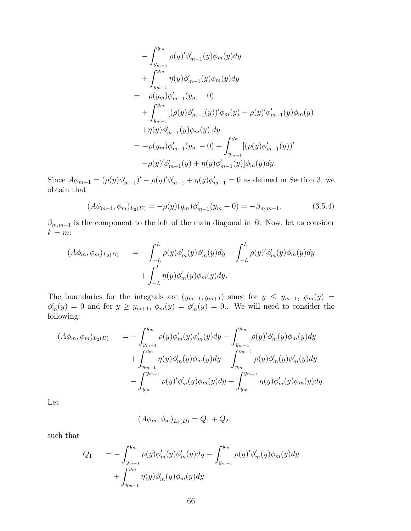$$
- \int_{y_{m-1}}^{y_m} \rho(y)' \phi'_{m-1}(y) \phi_m(y) dy
$$
  
+ 
$$
\int_{y_{m-1}}^{y_m} \eta(y) \phi'_{m-1}(y) \phi_m(y) dy
$$
  
= 
$$
- \rho(y_m) \phi'_{m-1}(y_m - 0)
$$
  
+ 
$$
\int_{y_{m-1}}^{y_m} [(\rho(y) \phi'_{m-1}(y))' \phi_m(y) - \rho(y)' \phi'_{m-1}(y) \phi_m(y) + \eta(y) \phi'_{m-1}(y) \phi_m(y)] dy
$$
  
= 
$$
- \rho(y_m) \phi'_{m-1}(y_m - 0) + \int_{y_{m-1}}^{y_m} [(\rho(y) \phi'_{m-1}(y))' - \rho(y)' \phi'_{m-1}(y) + \eta(y) \phi'_{m-1}(y)] \phi_m(y) dy.
$$

Since  $A\phi_{m-1} = (\rho(y)\phi'_{m-1})' - \rho(y)\phi'_{m-1} + \eta(y)\phi'_{m-1} = 0$  as defined in Section 3, we obtain that

$$
(A\phi_{m-1}, \phi_m)_{L_2(D)} = -\rho(y)(y_m)\phi'_{m-1}(y_m - 0) = -\beta_{m,m-1}.
$$
\n(3.5.4)

 $\beta_{m,m-1}$  is the component to the left of the main diagonal in B. Now, let us consider  $k = m$ :

$$
(A\phi_m, \phi_m)_{L_2(D)} = -\int_{-L}^{L} \rho(y)\phi_m'(y)\phi_m'(y)dy - \int_{-L}^{L} \rho(y)'\phi_m'(y)\phi_m(y)dy
$$

$$
+ \int_{-L}^{L} \eta(y)\phi_m'(y)\phi_m(y)dy.
$$

The boundaries for the integrals are  $(y_{m-1}, y_{m+1})$  since for  $y \leq y_{m-1}, \phi_m(y)$  $\phi'_m(y) = 0$  and for  $y \ge y_{m+1}$ ,  $\phi_m(y) = \phi'_m(y) = 0$ . We will need to consider the following:

$$
(A\phi_m, \phi_m)_{L_2(D)} = -\int_{y_{m-1}}^{y_m} \rho(y)\phi_m'(y)\phi_m'(y)dy - \int_{y_{m-1}}^{y_m} \rho(y')'\phi_m'(y)\phi_m(y)dy + \int_{y_{m-1}}^{y_m} \eta(y)\phi_m'(y)\phi_m(y)dy - \int_{y_m}^{y_{m+1}} \rho(y)\phi_m'(y)\phi_m'(y)dy - \int_{y_m}^{y_{m+1}} \rho(y')'\phi_m'(y)\phi_m(y)dy + \int_{y_m}^{y_{m+1}} \eta(y)\phi_m'(y)\phi_m(y)dy.
$$

Let

$$
(A\phi_m, \phi_m)_{L_2(D)} = Q_1 + Q_2,
$$

such that

$$
Q_1 = -\int_{y_{m-1}}^{y_m} \rho(y)\phi'_m(y)\phi'_m(y)dy - \int_{y_{m-1}}^{y_m} \rho(y')\phi'_m(y)\phi_m(y)dy + \int_{y_{m-1}}^{y_m} \eta(y)\phi'_m(y)\phi_m(y)dy
$$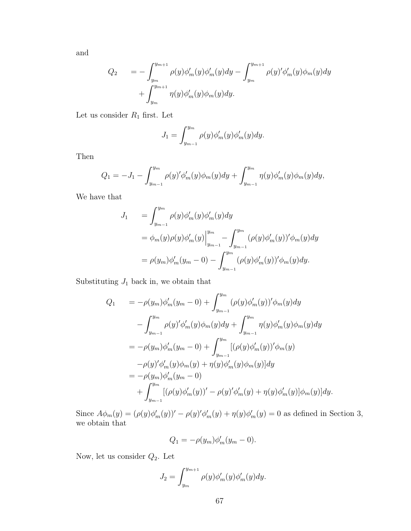and

$$
Q_2 = -\int_{y_m}^{y_{m+1}} \rho(y)\phi'_m(y)\phi'_m(y)dy - \int_{y_m}^{y_{m+1}} \rho(y')\phi'_m(y)\phi_m(y)dy + \int_{y_m}^{y_{m+1}} \eta(y)\phi'_m(y)\phi_m(y)dy.
$$

Let us consider  $\mathcal{R}_1$  first. Let

$$
J_1 = \int_{y_{m-1}}^{y_m} \rho(y) \phi'_m(y) \phi'_m(y) dy.
$$

Then

$$
Q_1 = -J_1 - \int_{y_{m-1}}^{y_m} \rho(y)' \phi'_m(y) \phi_m(y) dy + \int_{y_{m-1}}^{y_m} \eta(y) \phi'_m(y) \phi_m(y) dy,
$$

We have that

$$
J_1 = \int_{y_{m-1}}^{y_m} \rho(y)\phi'_m(y)\phi'_m(y)dy
$$
  
=  $\phi_m(y)\rho(y)\phi'_m(y)\Big|_{y_{m-1}}^{y_m} - \int_{y_{m-1}}^{y_m} (\rho(y)\phi'_m(y))'\phi_m(y)dy$   
=  $\rho(y_m)\phi'_m(y_m - 0) - \int_{y_{m-1}}^{y_m} (\rho(y)\phi'_m(y))'\phi_m(y)dy.$ 

Substituting  $J_1$  back in, we obtain that

$$
Q_1 = -\rho(y_m)\phi'_m(y_m - 0) + \int_{y_{m-1}}^{y_m} (\rho(y)\phi'_m(y))'\phi_m(y)dy
$$
  

$$
- \int_{y_{m-1}}^{y_m} \rho(y)'\phi'_m(y)\phi_m(y)dy + \int_{y_{m-1}}^{y_m} \eta(y)\phi'_m(y)\phi_m(y)dy
$$
  

$$
= -\rho(y_m)\phi'_m(y_m - 0) + \int_{y_{m-1}}^{y_m} [(\rho(y)\phi'_m(y))'\phi_m(y) - \rho(y)'\phi'_m(y)\phi_m(y)]dy
$$
  

$$
= -\rho(y_m)\phi'_m(y_m - 0)
$$
  

$$
+ \int_{y_{m-1}}^{y_m} [(\rho(y)\phi'_m(y))' - \rho(y)'\phi'_m(y) + \eta(y)\phi'_m(y)]\phi_m(y)]dy.
$$

Since  $A\phi_m(y) = (\rho(y)\phi_m'(y))' - \rho(y)\phi_m'(y) + \eta(y)\phi_m'(y) = 0$  as defined in Section 3, we obtain that

$$
Q_1 = -\rho(y_m)\phi_m'(y_m - 0).
$$

Now, let us consider  $Q_2$ . Let

$$
J_2 = \int_{y_m}^{y_{m+1}} \rho(y) \phi'_m(y) \phi'_m(y) dy.
$$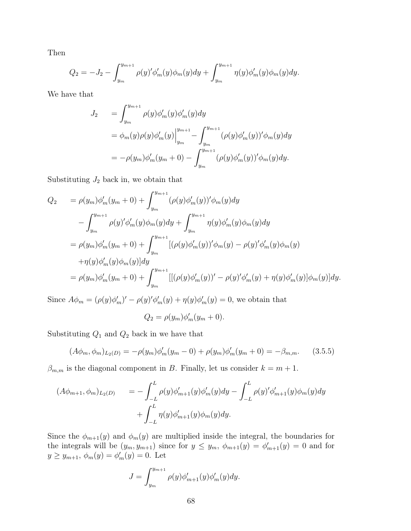Then

$$
Q_2 = -J_2 - \int_{y_m}^{y_{m+1}} \rho(y)' \phi_m'(y) \phi_m(y) dy + \int_{y_m}^{y_{m+1}} \eta(y) \phi_m'(y) \phi_m(y) dy.
$$

We have that

$$
J_2 = \int_{y_m}^{y_{m+1}} \rho(y)\phi'_m(y)\phi'_m(y)dy
$$
  
=  $\phi_m(y)\rho(y)\phi'_m(y)\Big|_{y_m}^{y_{m+1}} - \int_{y_m}^{y_{m+1}} (\rho(y)\phi'_m(y))'\phi_m(y)dy$   
=  $-\rho(y_m)\phi'_m(y_m+0) - \int_{y_m}^{y_{m+1}} (\rho(y)\phi'_m(y))'\phi_m(y)dy.$ 

Substituting  $J_2$  back in, we obtain that

$$
Q_2 = \rho(y_m)\phi'_m(y_m + 0) + \int_{y_m}^{y_{m+1}} (\rho(y)\phi'_m(y))'\phi_m(y)dy
$$
  

$$
- \int_{y_m}^{y_{m+1}} \rho(y)'\phi'_m(y)\phi_m(y)dy + \int_{y_m}^{y_{m+1}} \eta(y)\phi'_m(y)\phi_m(y)dy
$$
  

$$
= \rho(y_m)\phi'_m(y_m + 0) + \int_{y_m}^{y_{m+1}} [(\rho(y)\phi'_m(y))'\phi_m(y) - \rho(y)'\phi'_m(y)\phi_m(y) - \eta(y)\phi'_m(y)\phi_m(y)]dy
$$
  

$$
= \rho(y_m)\phi'_m(y_m + 0) + \int_{y_m}^{y_{m+1}} [[(\rho(y)\phi'_m(y))' - \rho(y)'\phi'_m(y) + \eta(y)\phi'_m(y)]\phi_m(y)]dy.
$$

Since  $A\phi_m = (\rho(y)\phi'_m)' - \rho(y)\phi'_m(y) + \eta(y)\phi'_m(y) = 0$ , we obtain that

$$
Q_2 = \rho(y_m)\phi_m'(y_m + 0).
$$

Substituting  $Q_1$  and  $Q_2$  back in we have that

$$
(A\phi_m, \phi_m)_{L_2(D)} = -\rho(y_m)\phi'_m(y_m - 0) + \rho(y_m)\phi'_m(y_m + 0) = -\beta_{m,m}.
$$
 (3.5.5)

 $\beta_{m,m}$  is the diagonal component in B. Finally, let us consider  $k = m + 1$ .

$$
(A\phi_{m+1}, \phi_m)_{L_2(D)} = -\int_{-L}^{L} \rho(y)\phi'_{m+1}(y)\phi'_m(y)dy - \int_{-L}^{L} \rho(y)'\phi'_{m+1}(y)\phi_m(y)dy + \int_{-L}^{L} \eta(y)\phi'_{m+1}(y)\phi_m(y)dy.
$$

Since the  $\phi_{m+1}(y)$  and  $\phi_m(y)$  are multiplied inside the integral, the boundaries for the integrals will be  $(y_m, y_{m+1})$  since for  $y \leq y_m$ ,  $\phi_{m+1}(y) = \phi'_{m+1}(y) = 0$  and for  $y \ge y_{m+1}, \phi_m(y) = \phi'_m(y) = 0.$  Let

$$
J = \int_{y_m}^{y_{m+1}} \rho(y)\phi'_{m+1}(y)\phi'_m(y)dy.
$$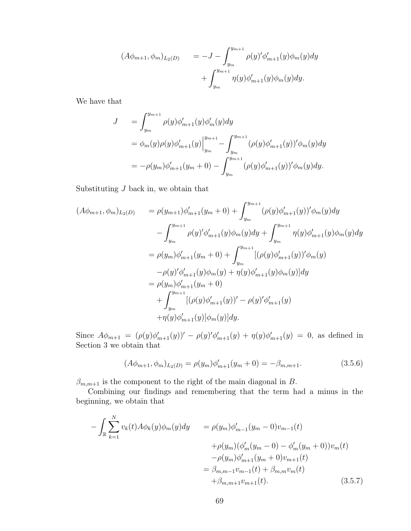$$
(A\phi_{m+1}, \phi_m)_{L_2(D)} = -J - \int_{y_m}^{y_{m+1}} \rho(y)' \phi'_{m+1}(y) \phi_m(y) dy + \int_{y_m}^{y_{m+1}} \eta(y) \phi'_{m+1}(y) \phi_m(y) dy.
$$

We have that

$$
J = \int_{y_m}^{y_{m+1}} \rho(y)\phi'_{m+1}(y)\phi'_{m}(y)dy
$$
  
=  $\phi_m(y)\rho(y)\phi'_{m+1}(y)\Big|_{y_m}^{y_{m+1}} - \int_{y_m}^{y_{m+1}} (\rho(y)\phi'_{m+1}(y))'\phi_m(y)dy$   
=  $-\rho(y_m)\phi'_{m+1}(y_m+0) - \int_{y_m}^{y_{m+1}} (\rho(y)\phi'_{m+1}(y))'\phi_m(y)dy.$ 

Substituting  $J$  back in, we obtain that

$$
(A\phi_{m+1}, \phi_m)_{L_2(D)} = \rho(y_{m+1})\phi'_{m+1}(y_m+0) + \int_{y_m}^{y_{m+1}} (\rho(y)\phi'_{m+1}(y))'\phi_m(y)dy - \int_{y_m}^{y_{m+1}} \rho(y)'\phi'_{m+1}(y)\phi_m(y)dy + \int_{y_m}^{y_{m+1}} \eta(y)\phi'_{m+1}(y)\phi_m(y)dy = \rho(y_m)\phi'_{m+1}(y_m+0) + \int_{y_m}^{y_{m+1}} [(\rho(y)\phi'_{m+1}(y))'\phi_m(y) - \rho(y)'\phi'_{m+1}(y)\phi_m(y) + \eta(y)\phi'_{m+1}(y)\phi_m(y)]dy = \rho(y_m)\phi'_{m+1}(y_m+0) + \int_{y_m}^{y_{m+1}} [(\rho(y)\phi'_{m+1}(y))' - \rho(y)'\phi'_{m+1}(y) + \eta(y)\phi'_{m+1}(y)]\phi_m(y)]dy.
$$

Since  $A\phi_{m+1} = (\rho(y)\phi'_{m+1}(y))' - \rho(y)\phi'_{m+1}(y) + \eta(y)\phi'_{m+1}(y) = 0$ , as defined in Section 3 we obtain that

$$
(A\phi_{m+1}, \phi_m)_{L_2(D)} = \rho(y_m)\phi'_{m+1}(y_m + 0) = -\beta_{m,m+1}.
$$
\n(3.5.6)

 $\beta_{m,m+1}$  is the component to the right of the main diagonal in B.

Combining our findings and remembering that the term had a minus in the beginning, we obtain that

$$
-\int_{\mathbb{R}} \sum_{k=1}^{N} v_k(t) A\phi_k(y) \phi_m(y) dy = \rho(y_m) \phi'_{m-1}(y_m - 0) v_{m-1}(t) + \rho(y_m) (\phi'_m(y_m - 0) - \phi'_m(y_m + 0)) v_m(t) - \rho(y_m) \phi'_{m+1}(y_m + 0) v_{m+1}(t) = \beta_{m,m-1} v_{m-1}(t) + \beta_{m,m} v_m(t) + \beta_{m,m+1} v_{m+1}(t).
$$
 (3.5.7)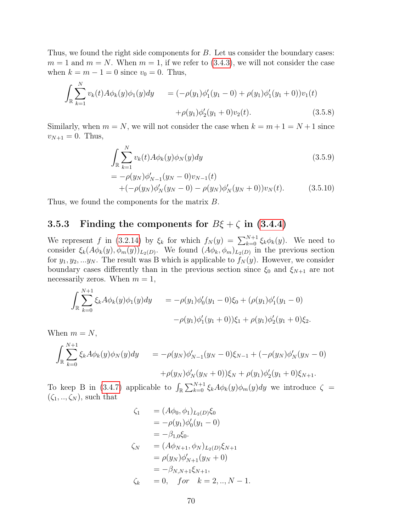Thus, we found the right side components for  $B$ . Let us consider the boundary cases:  $m = 1$  and  $m = N$ . When  $m = 1$ , if we refer to [\(3.4.3\)](#page-61-2), we will not consider the case when  $k = m - 1 = 0$  since  $v_0 = 0$ . Thus,

$$
\int_{\mathbb{R}} \sum_{k=1}^{N} v_k(t) A \phi_k(y) \phi_1(y) dy = (-\rho(y_1) \phi_1'(y_1 - 0) + \rho(y_1) \phi_1'(y_1 + 0)) v_1(t)
$$
  
 
$$
+ \rho(y_1) \phi_2'(y_1 + 0) v_2(t).
$$
 (3.5.8)

Similarly, when  $m = N$ , we will not consider the case when  $k = m + 1 = N + 1$  since  $v_{N+1} = 0$ . Thus,

$$
\int_{\mathbb{R}} \sum_{k=1}^{N} v_k(t) A \phi_k(y) \phi_N(y) dy
$$
\n
$$
= -\rho(y_N) \phi'_{N-1}(y_N - 0) v_{N-1}(t)
$$
\n
$$
+ (-\rho(y_N) \phi'_N(y_N - 0) - \rho(y_N) \phi'_N(y_N + 0)) v_N(t).
$$
\n(3.5.10)

Thus, we found the components for the matrix  $B$ .

#### 3.5.3 Finding the components for  $B\xi + \zeta$  in [\(3.4.4\)](#page-61-1)

We represent f in [\(3.2.14\)](#page-57-0) by  $\xi_k$  for which  $f_N(y) = \sum_{k=0}^{N+1} \xi_k \phi_k(y)$ . We need to consider  $\xi_k(A\phi_k(y), \phi_m(y))_{L_2(D)}$ . We found  $(A\phi_k, \phi_m)_{L_2(D)}$  in the previous section for  $y_1, y_2, \ldots y_N$ . The result was B which is applicable to  $f_N(y)$ . However, we consider boundary cases differently than in the previous section since  $\xi_0$  and  $\xi_{N+1}$  are not necessarily zeros. When  $m = 1$ ,

$$
\int_{\mathbb{R}} \sum_{k=0}^{N+1} \xi_k A \phi_k(y) \phi_1(y) dy = -\rho(y_1) \phi_0'(y_1 - 0) \xi_0 + (\rho(y_1) \phi_1'(y_1 - 0)
$$

$$
-\rho(y_1) \phi_1'(y_1 + 0) \xi_1 + \rho(y_1) \phi_2'(y_1 + 0) \xi_2.
$$

When  $m = N$ ,

$$
\int_{\mathbb{R}} \sum_{k=0}^{N+1} \xi_k A \phi_k(y) \phi_N(y) dy = -\rho(y_N) \phi'_{N-1}(y_N - 0) \xi_{N-1} + (-\rho(y_N) \phi'_N(y_N - 0) \n+ \rho(y_N) \phi'_N(y_N + 0) \xi_N + \rho(y_1) \phi'_2(y_1 + 0) \xi_{N+1}.
$$

To keep B in [\(3.4.7\)](#page-61-3) applicable to  $\int_{\mathbb{R}} \sum_{k=0}^{N+1} \xi_k A \phi_k(y) \phi_m(y) dy$  we introduce  $\zeta =$  $(\zeta_1, ..., \zeta_N)$ , such that

$$
\zeta_1 = (A\phi_0, \phi_1)_{L_2(D)}\xi_0
$$
  
\n
$$
= -\rho(y_1)\phi'_0(y_1 - 0)
$$
  
\n
$$
= -\beta_{1,0}\xi_0.
$$
  
\n
$$
\zeta_N = (A\phi_{N+1}, \phi_N)_{L_2(D)}\xi_{N+1}
$$
  
\n
$$
= \rho(y_N)\phi'_{N+1}(y_N + 0)
$$
  
\n
$$
= -\beta_{N,N+1}\xi_{N+1},
$$
  
\n
$$
\zeta_k = 0, \quad \text{for} \quad k = 2, ..., N - 1.
$$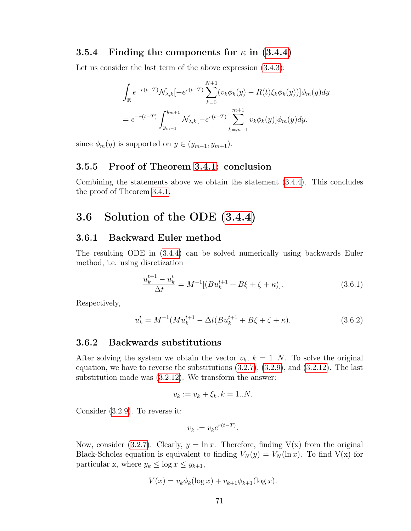#### 3.5.4 Finding the components for  $\kappa$  in [\(3.4.4\)](#page-61-1)

Let us consider the last term of the above expression  $(3.4.3)$ :

$$
\int_{\mathbb{R}} e^{-r(t-T)} \mathcal{N}_{\lambda,k}[-e^{r(t-T)} \sum_{k=0}^{N+1} (v_k \phi_k(y) - R(t)\xi_k \phi_k(y))] \phi_m(y) dy
$$
  
=  $e^{-r(t-T)} \int_{y_{m-1}}^{y_{m+1}} \mathcal{N}_{\lambda,k}[-e^{r(t-T)} \sum_{k=m-1}^{m+1} v_k \phi_k(y)] \phi_m(y) dy,$ 

since  $\phi_m(y)$  is supported on  $y \in (y_{m-1}, y_{m+1})$ .

#### 3.5.5 Proof of Theorem [3.4.1:](#page-61-0) conclusion

Combining the statements above we obtain the statement [\(3.4.4\)](#page-61-1). This concludes the proof of Theorem [3.4.1.](#page-61-0)

## 3.6 Solution of the ODE [\(3.4.4\)](#page-61-1)

#### 3.6.1 Backward Euler method

The resulting ODE in [\(3.4.4\)](#page-61-1) can be solved numerically using backwards Euler method, i.e. using disretization

$$
\frac{u_k^{t+1} - u_k^t}{\Delta t} = M^{-1}[(Bu_k^{t+1} + B\xi + \zeta + \kappa)].
$$
\n(3.6.1)

Respectively,

$$
u_k^t = M^{-1}(Mu_k^{t+1} - \Delta t(Bu_k^{t+1} + B\xi + \zeta + \kappa)).
$$
\n(3.6.2)

#### 3.6.2 Backwards substitutions

After solving the system we obtain the vector  $v_k$ ,  $k = 1..N$ . To solve the original equation, we have to reverse the substitutions [\(3.2.7\)](#page-56-2), [\(3.2.9\)](#page-56-3), and [\(3.2.12\)](#page-57-1). The last substitution made was [\(3.2.12\)](#page-57-1). We transform the answer:

$$
v_k := v_k + \xi_k, k = 1..N.
$$

Consider [\(3.2.9\)](#page-56-3). To reverse it:

$$
v_k := v_k e^{r(t-T)}.
$$

Now, consider [\(3.2.7\)](#page-56-2). Clearly,  $y = \ln x$ . Therefore, finding  $V(x)$  from the original Black-Scholes equation is equivalent to finding  $V_N(y) = V_N(\ln x)$ . To find  $V(x)$  for particular x, where  $y_k \leq \log x \leq y_{k+1}$ ,

$$
V(x) = v_k \phi_k(\log x) + v_{k+1} \phi_{k+1}(\log x).
$$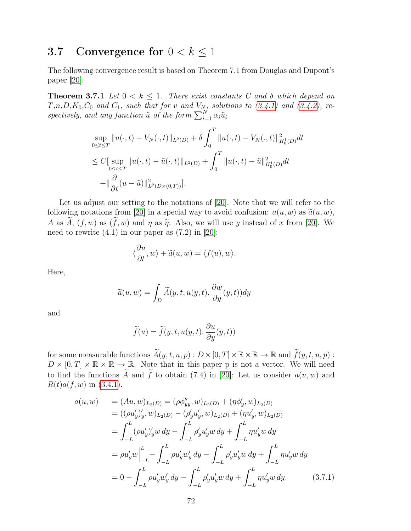## 3.7 Convergence for  $0 < k \leq 1$

The following convergence result is based on Theorem 7.1 from Douglas and Dupont's paper [\[20\]](#page-80-0).

**Theorem 3.7.1** Let  $0 < k \leq 1$ . There exist constants C and  $\delta$  which depend on  $T,n,D,K_0,C_0$  and  $C_1$ , such that for v and  $V_N$ , solutions to  $(3.4.1)$  and  $(3.4.2)$ , respectively, and any function  $\tilde{u}$  of the form  $\sum_{i=1}^{N} \alpha_i \tilde{u}_i$ 

$$
\sup_{0 \le t \le T} ||u(\cdot, t) - V_N(\cdot, t)||_{L^2(D)} + \delta \int_0^T ||u(\cdot, t) - V_N(\cdot, t)||_{H_0^1(D)}^2 dt
$$
  
\n
$$
\le C \Big[ \sup_{0 \le t \le T} ||u(\cdot, t) - \tilde{u}(\cdot, t)||_{L^2(D)} + \int_0^T ||u(\cdot, t) - \tilde{u}||_{H_0^1(D)}^2 dt
$$
  
\n
$$
+ ||\frac{\partial}{\partial t} (u - \tilde{u})||_{L^2(D \times (0, T))}^2 \Big].
$$

Let us adjust our setting to the notations of [\[20\]](#page-80-0). Note that we will refer to the following notations from [\[20\]](#page-80-0) in a special way to avoid confusion:  $a(u, w)$  as  $\tilde{a}(u, w)$ , A as  $A, (f, w)$  as  $(\overline{f}, w)$  and  $\eta$  as  $\widetilde{\eta}$ . Also, we will use y instead of x from [\[20\]](#page-80-0). We need to rewrite  $(4.1)$  in our paper as  $(7.2)$  in  $[20]$ :

$$
\langle \frac{\partial u}{\partial t}, w \rangle + \widetilde{a}(u, w) = \langle f(u), w \rangle.
$$

Here,

$$
\widetilde{a}(u, w) = \int_D \widetilde{A}(y, t, u(y, t), \frac{\partial w}{\partial y}(y, t)) dy
$$

and

$$
\widetilde{f}(u) = \widetilde{f}(y, t, u(y, t), \frac{\partial u}{\partial y}(y, t))
$$

for some measurable functions  $\widetilde{A}(y, t, u, p) : D \times [0, T] \times \mathbb{R} \times \mathbb{R} \to \mathbb{R}$  and  $\widetilde{f}(y, t, u, p)$ :  $D \times [0, T] \times \mathbb{R} \times \mathbb{R} \to \mathbb{R}$ . Note that in this paper p is not a vector. We will need to find the functions  $\widetilde{A}$  and  $\widetilde{f}$  to obtain (7.4) in [\[20\]](#page-80-0): Let us consider  $a(u, w)$  and  $R(t)a(f, w)$  in [\(3.4.1\)](#page-60-0).

$$
a(u, w) = (Au, w)_{L_2(D)} = (\rho \phi''_{yy}, w)_{L_2(D)} + (\eta \phi'_y, w)_{L_2(D)}
$$
  
\n
$$
= ((\rho u'_y)'_y, w)_{L_2(D)} - (\rho'_y u'_y, w)_{L_2(D)} + (\eta u'_y, w)_{L_2(D)}
$$
  
\n
$$
= \int_{-L}^{L} (\rho u'_y)'_y w dy - \int_{-L}^{L} \rho'_y u'_y w dy + \int_{-L}^{L} \eta u'_y w dy
$$
  
\n
$$
= \rho u'_y w \Big|_{-L}^{L} - \int_{-L}^{L} \rho u'_y w'_y dy - \int_{-L}^{L} \rho'_y u'_y w dy + \int_{-L}^{L} \eta u'_y w dy
$$
  
\n
$$
= 0 - \int_{-L}^{L} \rho u'_y w'_y dy - \int_{-L}^{L} \rho'_y u'_y w dy + \int_{-L}^{L} \eta u'_y w dy. \qquad (3.7.1)
$$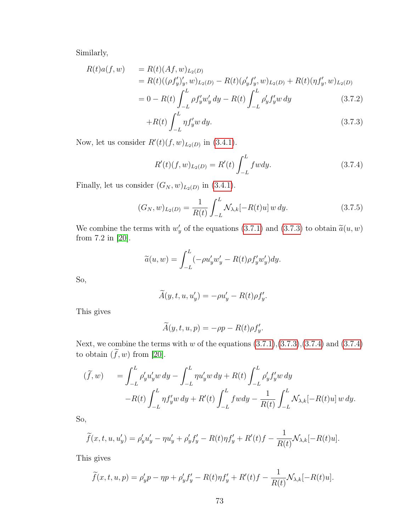Similarly,

<span id="page-72-0"></span>
$$
R(t)a(f, w) = R(t)(Af, w)_{L_2(D)}
$$
  
=  $R(t)((\rho f'_y)'_y, w)_{L_2(D)} - R(t)(\rho'_y f'_y, w)_{L_2(D)} + R(t)(\eta f'_y, w)_{L_2(D)}$   
=  $0 - R(t) \int_{-L}^{L} \rho f'_y w'_y dy - R(t) \int_{-L}^{L} \rho'_y f'_y w dy$  (3.7.2)

$$
+R(t)\int_{-L}^{L} \eta f'_{y} w \, dy. \tag{3.7.3}
$$

Now, let us consider  $R'(t)(f, w)_{L_2(D)}$  in [\(3.4.1\)](#page-60-0).

<span id="page-72-1"></span>
$$
R'(t)(f, w)_{L_2(D)} = R'(t) \int_{-L}^{L} f w dy.
$$
 (3.7.4)

Finally, let us consider  $(G_N, w)_{L_2(D)}$  in  $(3.4.1)$ .

$$
(G_N, w)_{L_2(D)} = \frac{1}{R(t)} \int_{-L}^{L} \mathcal{N}_{\lambda, k}[-R(t)u] w \, dy. \tag{3.7.5}
$$

We combine the terms with  $w'_y$  of the equations [\(3.7.1\)](#page-71-0) and [\(3.7.3\)](#page-72-0) to obtain  $\tilde{a}(u, w)$ <br>from 7.2 in [20] from 7.2 in [\[20\]](#page-80-0).

$$
\widetilde{a}(u, w) = \int_{-L}^{L} (-\rho u_y' w_y' - R(t)\rho f_y' w_y') dy.
$$

So,

$$
\widetilde{A}(y, t, u, u'_y) = -\rho u'_y - R(t)\rho f'_y.
$$

This gives

$$
\widetilde{A}(y,t,u,p) = -\rho p - R(t)\rho f_y'.
$$

Next, we combine the terms with  $w$  of the equations  $(3.7.1),(3.7.3),(3.7.4)$  $(3.7.1),(3.7.3),(3.7.4)$  $(3.7.1),(3.7.3),(3.7.4)$  $(3.7.1),(3.7.3),(3.7.4)$  $(3.7.1),(3.7.3),(3.7.4)$  and  $(3.7.4)$ to obtain  $(\tilde{f}, w)$  from [\[20\]](#page-80-0).

$$
(\widetilde{f}, w) = \int_{-L}^{L} \rho'_y u'_y w \, dy - \int_{-L}^{L} \eta u'_y w \, dy + R(t) \int_{-L}^{L} \rho'_y f'_y w \, dy -R(t) \int_{-L}^{L} \eta f'_y w \, dy + R'(t) \int_{-L}^{L} f w dy - \frac{1}{R(t)} \int_{-L}^{L} \mathcal{N}_{\lambda, k}[-R(t)u] w \, dy.
$$

So,

$$
\widetilde{f}(x,t,u,u'_y) = \rho'_y u'_y - \eta u'_y + \rho'_y f'_y - R(t)\eta f'_y + R'(t)f - \frac{1}{R(t)}\mathcal{N}_{\lambda,k}[-R(t)u].
$$

This gives

$$
\widetilde{f}(x,t,u,p) = \rho'_y p - \eta p + \rho'_y f'_y - R(t)\eta f'_y + R'(t)f - \frac{1}{R(t)}\mathcal{N}_{\lambda,k}[-R(t)u].
$$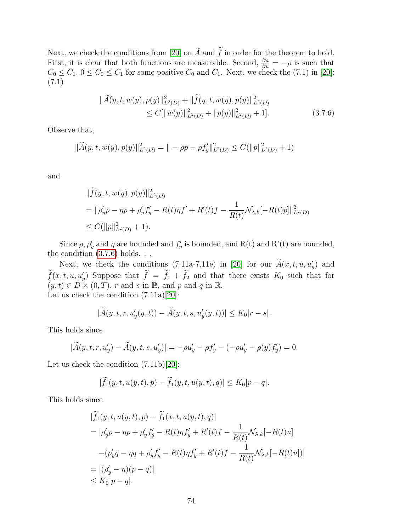Next, we check the conditions from [\[20\]](#page-80-0) on  $\widetilde{A}$  and  $\widetilde{f}$  in order for the theorem to hold. First, it is clear that both functions are measurable. Second,  $\frac{\partial a}{\partial u} = -\rho$  is such that  $C_0 \leq C_1$ ,  $0 \leq C_0 \leq C_1$  for some positive  $C_0$  and  $C_1$ . Next, we check the (7.1) in [\[20\]](#page-80-0): (7.1)

<span id="page-73-0"></span>
$$
\|\widetilde{A}(y,t,w(y),p(y)\|_{L^2(D)}^2 + \|\widetilde{f}(y,t,w(y),p(y)\|_{L^2(D)}^2)
$$
  
\n
$$
\leq C[\|w(y)\|_{L^2(D)}^2 + \|p(y)\|_{L^2(D)}^2 + 1].
$$
\n(3.7.6)

Observe that,

$$
\|\widetilde{A}(y,t,w(y),p(y)\|_{L^2(D)}^2 = \| -\rho p - \rho f'_y\|_{L^2(D)}^2 \le C(\|p\|_{L^2(D)}^2 + 1)
$$

and

$$
\begin{aligned} &\|\widetilde{f}(y,t,w(y),p(y)\|_{L^2(D)}^2) \\ &= \|\rho'_yp - \eta p + \rho'_y f'_y - R(t)\eta f' + R'(t)f - \frac{1}{R(t)}\mathcal{N}_{\lambda,k}[-R(t)p]\|_{L^2(D)}^2 \\ &\leq C(\|p\|_{L^2(D)}^2 + 1). \end{aligned}
$$

Since  $\rho$ ,  $\rho'_{y}$  and  $\eta$  are bounded and  $f'_{y}$  is bounded, and R(t) and R'(t) are bounded, the condition  $(3.7.6)$  holds. : .

Next, we check the conditions (7.11a-7.11e) in [\[20\]](#page-80-0) for our  $\tilde{A}(x, t, u, u'_y)$  and  $f(x, t, u, u'_y)$  Suppose that  $f = f_1 + f_2$  and that there exists  $K_0$  such that for  $(y, t) \in D \times (0, T), r$  and s in R, and p and q in R. Let us check the condition (7.11a)[\[20\]](#page-80-0):

$$
|\widetilde{A}(y,t,r,u'_y(y,t)) - \widetilde{A}(y,t,s,u'_y(y,t))| \le K_0|r-s|.
$$

This holds since

$$
|\widetilde{A}(y, t, r, u'_y) - \widetilde{A}(y, t, s, u'_y)| = -\rho u'_y - \rho f'_y - (-\rho u'_y - \rho(y)f'_y) = 0.
$$

Let us check the condition (7.11b)[\[20\]](#page-80-0):

$$
|\widetilde{f}_1(y,t,u(y,t),p)-\widetilde{f}_1(y,t,u(y,t),q)|\leq K_0|p-q|.
$$

This holds since

$$
|\tilde{f}_1(y, t, u(y, t), p) - \tilde{f}_1(x, t, u(y, t), q)|
$$
  
=  $|\rho'_y p - \eta p + \rho'_y f'_y - R(t)\eta f'_y + R'(t)f - \frac{1}{R(t)}\mathcal{N}_{\lambda, k}[-R(t)u]$   
 $-(\rho'_y q - \eta q + \rho'_y f'_y - R(t)\eta f'_y + R'(t)f - \frac{1}{R(t)}\mathcal{N}_{\lambda, k}[-R(t)u])|$   
=  $|(\rho'_y - \eta)(p - q)|$   
 $\leq K_0|p - q|$ .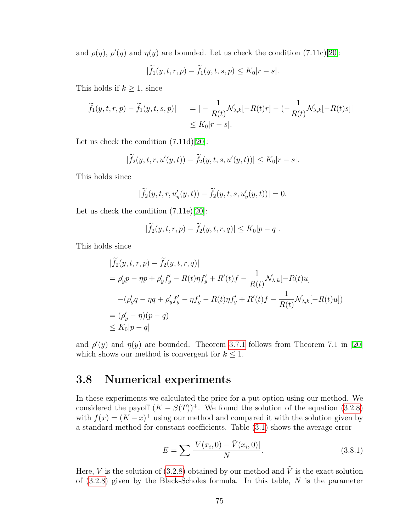and  $\rho(y)$ ,  $\rho'(y)$  and  $\eta(y)$  are bounded. Let us check the condition (7.11c)[\[20\]](#page-80-0):

$$
|\widetilde{f}_1(y,t,r,p) - \widetilde{f}_1(y,t,s,p) \le K_0 |r-s|.
$$

This holds if  $k \geq 1$ , since

$$
|\widetilde{f}_1(y,t,r,p) - \widetilde{f}_1(y,t,s,p)| = | -\frac{1}{R(t)} \mathcal{N}_{\lambda,k}[-R(t)r] - (-\frac{1}{R(t)} \mathcal{N}_{\lambda,k}[-R(t)s] |\leq K_0|r-s|.
$$

Let us check the condition  $(7.11d)$ [\[20\]](#page-80-0):

$$
|\widetilde{f}_2(y,t,r,u'(y,t)) - \widetilde{f}_2(y,t,s,u'(y,t))| \leq K_0|r-s|.
$$

This holds since

$$
|\widetilde{f}_2(y,t,r,u'_y(y,t)) - \widetilde{f}_2(y,t,s,u'_y(y,t))| = 0.
$$

Let us check the condition  $(7.11e)|20|$ :

$$
|\widetilde{f}_2(y,t,r,p) - \widetilde{f}_2(y,t,r,q)| \leq K_0|p-q|.
$$

This holds since

$$
\begin{aligned}\n|\tilde{f}_2(y,t,r,p) - \tilde{f}_2(y,t,r,q)| \\
&= \rho'_y p - \eta p + \rho'_y f'_y - R(t)\eta f'_y + R'(t)f - \frac{1}{R(t)} \mathcal{N}_{\lambda,k}[-R(t)u] \\
&\quad -(\rho'_y q - \eta q + \rho'_y f'_y - \eta f'_y - R(t)\eta f'_y + R'(t)f - \frac{1}{R(t)} \mathcal{N}_{\lambda,k}[-R(t)u]) \\
&= (\rho'_y - \eta)(p - q) \\
&\le K_0|p - q|\n\end{aligned}
$$

and  $\rho'(y)$  and  $\eta(y)$  are bounded. Theorem [3.7.1](#page-71-1) follows from Theorem 7.1 in [\[20\]](#page-80-0) which shows our method is convergent for  $k \leq 1$ .

### 3.8 Numerical experiments

In these experiments we calculated the price for a put option using our method. We considered the payoff  $(K - S(T))$ <sup>+</sup>. We found the solution of the equation [\(3.2.8\)](#page-56-0) with  $f(x) = (K - x)^{+}$  using our method and compared it with the solution given by a standard method for constant coefficients. Table [\(3.1\)](#page-75-0) shows the average error

$$
E = \sum \frac{|V(x_i, 0) - \tilde{V}(x_i, 0)|}{N}.
$$
\n(3.8.1)

Here, V is the solution of [\(3.2.8\)](#page-56-0) obtained by our method and  $\tilde{V}$  is the exact solution of  $(3.2.8)$  given by the Black-Scholes formula. In this table, N is the parameter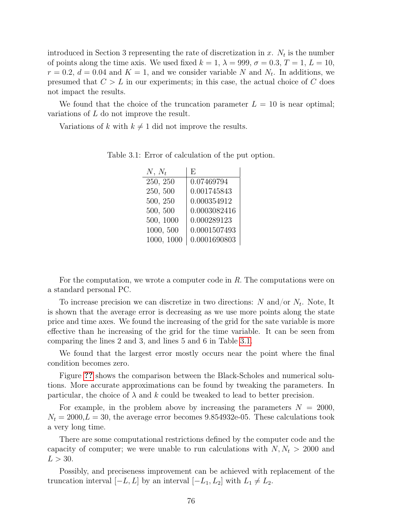introduced in Section 3 representing the rate of discretization in  $x$ .  $N_t$  is the number of points along the time axis. We used fixed  $k = 1$ ,  $\lambda = 999$ ,  $\sigma = 0.3$ ,  $T = 1$ ,  $L = 10$ ,  $r = 0.2, d = 0.04$  and  $K = 1$ , and we consider variable N and  $N_t$ . In additions, we presumed that  $C > L$  in our experiments; in this case, the actual choice of C does not impact the results.

We found that the choice of the truncation parameter  $L = 10$  is near optimal; variations of  $L$  do not improve the result.

<span id="page-75-0"></span>Variations of k with  $k \neq 1$  did not improve the results.

| $N, N_t$   | F.           |
|------------|--------------|
| 250, 250   | 0.07469794   |
| 250, 500   | 0.001745843  |
| 500, 250   | 0.000354912  |
| 500, 500   | 0.0003082416 |
| 500, 1000  | 0.000289123  |
| 1000, 500  | 0.0001507493 |
| 1000, 1000 | 0.0001690803 |
|            |              |

Table 3.1: Error of calculation of the put option.

For the computation, we wrote a computer code in R. The computations were on a standard personal PC.

To increase precision we can discretize in two directions: N and/or  $N_t$ . Note, It is shown that the average error is decreasing as we use more points along the state price and time axes. We found the increasing of the grid for the sate variable is more effective than he increasing of the grid for the time variable. It can be seen from comparing the lines 2 and 3, and lines 5 and 6 in Table [3.1.](#page-75-0)

We found that the largest error mostly occurs near the point where the final condition becomes zero.

Figure [??](#page-76-0) shows the comparison between the Black-Scholes and numerical solutions. More accurate approximations can be found by tweaking the parameters. In particular, the choice of  $\lambda$  and  $k$  could be tweaked to lead to better precision.

For example, in the problem above by increasing the parameters  $N = 2000$ ,  $N_t = 2000, L = 30$ , the average error becomes 9.854932e-05. These calculations took a very long time.

There are some computational restrictions defined by the computer code and the capacity of computer; we were unable to run calculations with  $N, N_t > 2000$  and  $L > 30$ .

Possibly, and preciseness improvement can be achieved with replacement of the truncation interval  $[-L, L]$  by an interval  $[-L_1, L_2]$  with  $L_1 \neq L_2$ .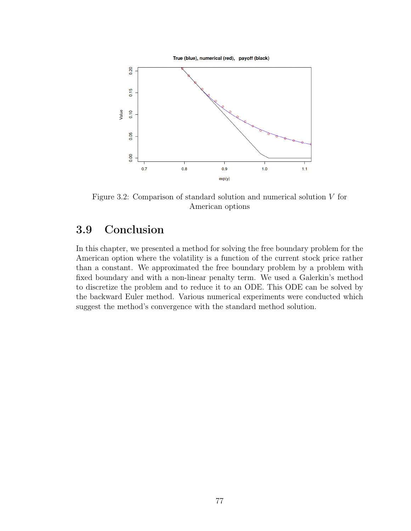<span id="page-76-0"></span>

Figure 3.2: Comparison of standard solution and numerical solution  $V$  for American options

## 3.9 Conclusion

In this chapter, we presented a method for solving the free boundary problem for the American option where the volatility is a function of the current stock price rather than a constant. We approximated the free boundary problem by a problem with fixed boundary and with a non-linear penalty term. We used a Galerkin's method to discretize the problem and to reduce it to an ODE. This ODE can be solved by the backward Euler method. Various numerical experiments were conducted which suggest the method's convergence with the standard method solution.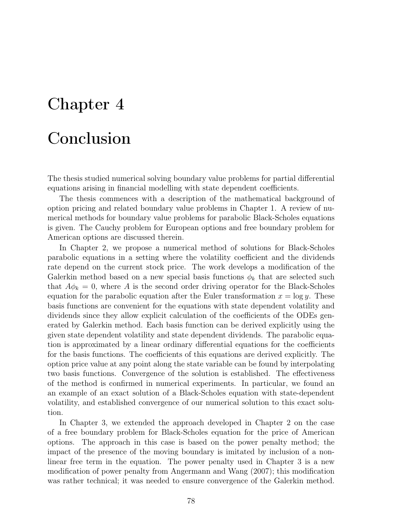# Chapter 4

## Conclusion

The thesis studied numerical solving boundary value problems for partial differential equations arising in financial modelling with state dependent coefficients.

The thesis commences with a description of the mathematical background of option pricing and related boundary value problems in Chapter 1. A review of numerical methods for boundary value problems for parabolic Black-Scholes equations is given. The Cauchy problem for European options and free boundary problem for American options are discussed therein.

In Chapter 2, we propose a numerical method of solutions for Black-Scholes parabolic equations in a setting where the volatility coefficient and the dividends rate depend on the current stock price. The work develops a modification of the Galerkin method based on a new special basis functions  $\phi_k$  that are selected such that  $A\phi_k = 0$ , where A is the second order driving operator for the Black-Scholes equation for the parabolic equation after the Euler transformation  $x = \log y$ . These basis functions are convenient for the equations with state dependent volatility and dividends since they allow explicit calculation of the coefficients of the ODEs generated by Galerkin method. Each basis function can be derived explicitly using the given state dependent volatility and state dependent dividends. The parabolic equation is approximated by a linear ordinary differential equations for the coefficients for the basis functions. The coefficients of this equations are derived explicitly. The option price value at any point along the state variable can be found by interpolating two basis functions. Convergence of the solution is established. The effectiveness of the method is confirmed in numerical experiments. In particular, we found an an example of an exact solution of a Black-Scholes equation with state-dependent volatility, and established convergence of our numerical solution to this exact solution.

In Chapter 3, we extended the approach developed in Chapter 2 on the case of a free boundary problem for Black-Scholes equation for the price of American options. The approach in this case is based on the power penalty method; the impact of the presence of the moving boundary is imitated by inclusion of a nonlinear free term in the equation. The power penalty used in Chapter 3 is a new modification of power penalty from Angermann and Wang (2007); this modification was rather technical; it was needed to ensure convergence of the Galerkin method.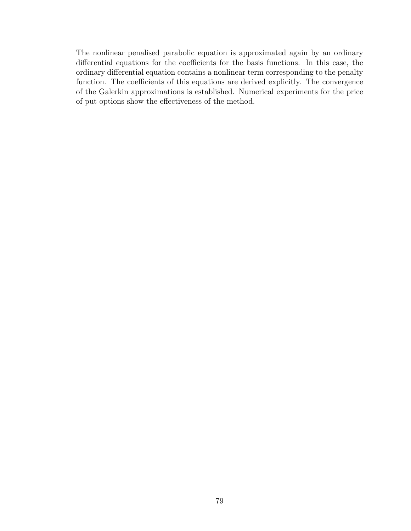The nonlinear penalised parabolic equation is approximated again by an ordinary differential equations for the coefficients for the basis functions. In this case, the ordinary differential equation contains a nonlinear term corresponding to the penalty function. The coefficients of this equations are derived explicitly. The convergence of the Galerkin approximations is established. Numerical experiments for the price of put options show the effectiveness of the method.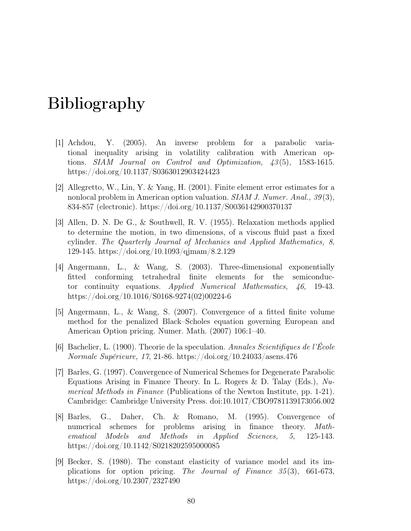# Bibliography

- [1] Achdou, Y. (2005). An inverse problem for a parabolic variational inequality arising in volatility calibration with American options. SIAM Journal on Control and Optimization, 43 (5), 1583-1615. https://doi.org/10.1137/S0363012903424423
- [2] Allegretto, W., Lin, Y. & Yang, H. (2001). Finite element error estimates for a nonlocal problem in American option valuation. SIAM J. Numer. Anal., 39(3), 834-857 (electronic). https://doi.org/10.1137/S0036142900370137
- [3] Allen, D. N. De G., & Southwell, R. V. (1955). Relaxation methods applied to determine the motion, in two dimensions, of a viscous fluid past a fixed cylinder. The Quarterly Journal of Mechanics and Applied Mathematics, 8, 129-145. https://doi.org/10.1093/qjmam/8.2.129
- [4] Angermann, L., & Wang, S. (2003). Three-dimensional exponentially fitted conforming tetrahedral finite elements for the semiconductor continuity equations. Applied Numerical Mathematics, 46, 19-43. https://doi.org/10.1016/S0168-9274(02)00224-6
- [5] Angermann, L., & Wang, S. (2007). Convergence of a fitted finite volume method for the penalized Black–Scholes equation governing European and American Option pricing. Numer. Math. (2007) 106:1–40.
- [6] Bachelier, L. (1900). Theorie de la speculation. Annales Scientifiques de l'École Normale Supérieure, 17, 21-86. https://doi.org/10.24033/asens.476
- [7] Barles, G. (1997). Convergence of Numerical Schemes for Degenerate Parabolic Equations Arising in Finance Theory. In L. Rogers & D. Talay (Eds.),  $Nu$ merical Methods in Finance (Publications of the Newton Institute, pp. 1-21). Cambridge: Cambridge University Press. doi:10.1017/CBO9781139173056.002
- [8] Barles, G., Daher, Ch. & Romano, M. (1995). Convergence of numerical schemes for problems arising in finance theory. Mathematical Models and Methods in Applied Sciences, 5, 125-143. https://doi.org/10.1142/S0218202595000085
- [9] Becker, S. (1980). The constant elasticity of variance model and its implications for option pricing. The Journal of Finance 35 (3), 661-673, https://doi.org/10.2307/2327490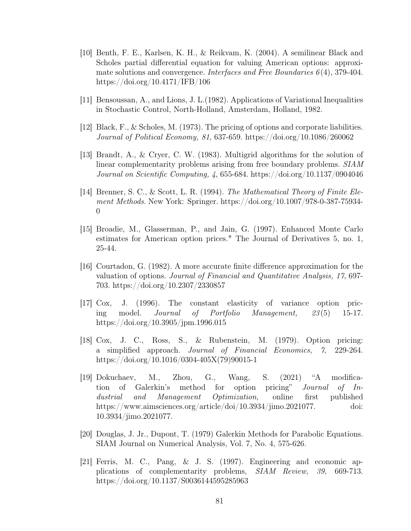- [10] Benth, F. E., Karlsen, K. H., & Reikvam, K. (2004). A semilinear Black and Scholes partial differential equation for valuing American options: approximate solutions and convergence. Interfaces and Free Boundaries  $6(4)$ , 379-404. https://doi.org/10.4171/IFB/106
- [11] Bensoussan, A., and Lions, J. L.(1982). Applications of Variational Inequalities in Stochastic Control, North-Holland, Amsterdam, Holland, 1982.
- [12] Black, F., & Scholes, M. (1973). The pricing of options and corporate liabilities. Journal of Political Economy, 81, 637-659. https://doi.org/10.1086/260062
- [13] Brandt, A., & Cryer, C. W. (1983). Multigrid algorithms for the solution of linear complementarity problems arising from free boundary problems. SIAM Journal on Scientific Computing,  $\lambda$ , 655-684. https://doi.org/10.1137/0904046
- [14] Brenner, S. C., & Scott, L. R. (1994). The Mathematical Theory of Finite Element Methods. New York: Springer. https://doi.org/10.1007/978-0-387-75934- 0
- [15] Broadie, M., Glasserman, P., and Jain, G. (1997). Enhanced Monte Carlo estimates for American option prices." The Journal of Derivatives 5, no. 1, 25-44.
- [16] Courtadon, G. (1982). A more accurate finite difference approximation for the valuation of options. Journal of Financial and Quantitative Analysis, 17, 697- 703. https://doi.org/10.2307/2330857
- [17] Cox, J. (1996). The constant elasticity of variance option pricing model. Journal of Portfolio Management, 23 (5) 15-17. https://doi.org/10.3905/jpm.1996.015
- [18] Cox, J. C., Ross, S., & Rubenstein, M. (1979). Option pricing: a simplified approach. Journal of Financial Economics, 7, 229-264. https://doi.org/10.1016/0304-405X(79)90015-1
- [19] Dokuchaev, M., Zhou, G., Wang, S. (2021) "A modification of Galerkin's method for option pricing" Journal of Industrial and Management Optimization, online first published https://www.aimsciences.org/article/doi/10.3934/jimo.2021077. doi: 10.3934/jimo.2021077.
- <span id="page-80-0"></span>[20] Douglas, J. Jr., Dupont, T. (1979) Galerkin Methods for Parabolic Equations. SIAM Journal on Numerical Analysis, Vol. 7, No. 4, 575-626.
- [21] Ferris, M. C., Pang, & J. S. (1997). Engineering and economic applications of complementarity problems, SIAM Review, 39, 669-713. https://doi.org/10.1137/S0036144595285963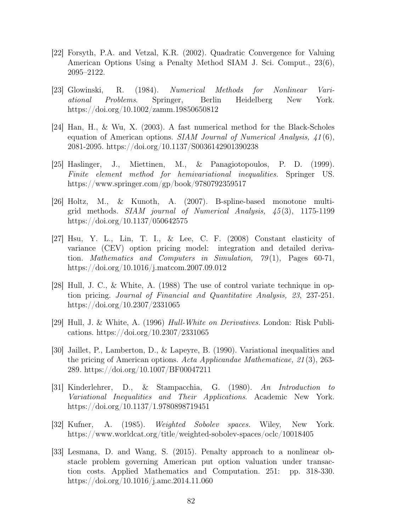- [22] Forsyth, P.A. and Vetzal, K.R. (2002). Quadratic Convergence for Valuing American Options Using a Penalty Method SIAM J. Sci. Comput., 23(6), 2095–2122.
- [23] Glowinski, R. (1984). Numerical Methods for Nonlinear Variational Problems. Springer, Berlin Heidelberg New York. https://doi.org/10.1002/zamm.19850650812
- [24] Han, H., & Wu, X. (2003). A fast numerical method for the Black-Scholes equation of American options. SIAM Journal of Numerical Analysis,  $\angle 41(6)$ , 2081-2095. https://doi.org/10.1137/S0036142901390238
- [25] Haslinger, J., Miettinen, M., & Panagiotopoulos, P. D. (1999). Finite element method for hemivariational inequalities. Springer US. https://www.springer.com/gp/book/9780792359517
- [26] Holtz, M., & Kunoth, A. (2007). B-spline-based monotone multigrid methods.  $SIAM$  journal of Numerical Analysis,  $45(3)$ , 1175-1199 https://doi.org/10.1137/050642575
- [27] Hsu, Y. L., Lin, T. I., & Lee, C. F. (2008) Constant elasticity of variance (CEV) option pricing model: integration and detailed derivation. Mathematics and Computers in Simulation,  $79(1)$ , Pages 60-71, https://doi.org/10.1016/j.matcom.2007.09.012
- [28] Hull, J. C., & White, A. (1988) The use of control variate technique in option pricing. Journal of Financial and Quantitative Analysis, 23, 237-251. https://doi.org/10.2307/2331065
- [29] Hull, J. & White, A. (1996) Hull-White on Derivatives. London: Risk Publications. https://doi.org/10.2307/2331065
- [30] Jaillet, P., Lamberton, D., & Lapeyre, B. (1990). Variational inequalities and the pricing of American options. Acta Applicandae Mathematicae, 21 (3), 263- 289. https://doi.org/10.1007/BF00047211
- [31] Kinderlehrer, D., & Stampacchia, G. (1980). An Introduction to Variational Inequalities and Their Applications. Academic New York. https://doi.org/10.1137/1.9780898719451
- [32] Kufner, A. (1985). Weighted Sobolev spaces. Wiley, New York. https://www.worldcat.org/title/weighted-sobolev-spaces/oclc/10018405
- [33] Lesmana, D. and Wang, S. (2015). Penalty approach to a nonlinear obstacle problem governing American put option valuation under transaction costs. Applied Mathematics and Computation. 251: pp. 318-330. https://doi.org/10.1016/j.amc.2014.11.060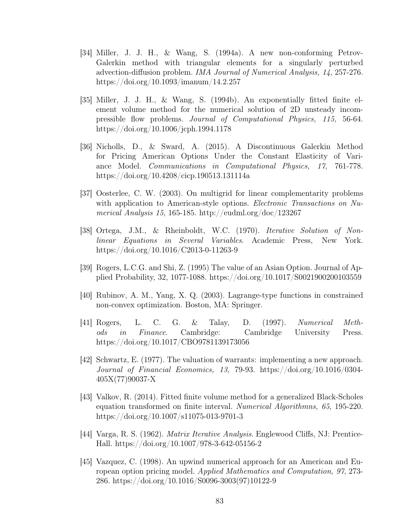- [34] Miller, J. J. H., & Wang, S. (1994a). A new non-conforming Petrov-Galerkin method with triangular elements for a singularly perturbed advection-diffusion problem. IMA Journal of Numerical Analysis, 14, 257-276. https://doi.org/10.1093/imanum/14.2.257
- [35] Miller, J. J. H., & Wang, S. (1994b). An exponentially fitted finite element volume method for the numerical solution of 2D unsteady incompressible flow problems. Journal of Computational Physics, 115, 56-64. https://doi.org/10.1006/jcph.1994.1178
- [36] Nicholls, D., & Sward, A. (2015). A Discontinuous Galerkin Method for Pricing American Options Under the Constant Elasticity of Variance Model. Communications in Computational Physics, 17, 761-778. https://doi.org/10.4208/cicp.190513.131114a
- [37] Oosterlee, C. W. (2003). On multigrid for linear complementarity problems with application to American-style options. Electronic Transactions on Numerical Analysis 15, 165-185. http://eudml.org/doc/123267
- [38] Ortega, J.M., & Rheinboldt, W.C. (1970). Iterative Solution of Nonlinear Equations in Several Variables. Academic Press, New York. https://doi.org/10.1016/C2013-0-11263-9
- [39] Rogers, L.C.G. and Shi, Z. (1995) The value of an Asian Option. Journal of Applied Probability, 32, 1077-1088. https://doi.org/10.1017/S0021900200103559
- [40] Rubinov, A. M., Yang, X. Q. (2003). Lagrange-type functions in constrained non-convex optimization. Boston, MA: Springer.
- [41] Rogers, L. C. G. & Talay, D. (1997). Numerical Methods in Finance. Cambridge: Cambridge University Press. https://doi.org/10.1017/CBO9781139173056
- [42] Schwartz, E. (1977). The valuation of warrants: implementing a new approach. Journal of Financial Economics, 13, 79-93. https://doi.org/10.1016/0304- 405X(77)90037-X
- [43] Valkov, R. (2014). Fitted finite volume method for a generalized Black-Scholes equation transformed on finite interval. Numerical Algorithmns, 65, 195-220. https://doi.org/10.1007/s11075-013-9701-3
- [44] Varga, R. S. (1962). Matrix Iterative Analysis. Englewood Cliffs, NJ: Prentice-Hall. https://doi.org/10.1007/978-3-642-05156-2
- [45] Vazquez, C. (1998). An upwind numerical approach for an American and European option pricing model. Applied Mathematics and Computation, 97, 273- 286. https://doi.org/10.1016/S0096-3003(97)10122-9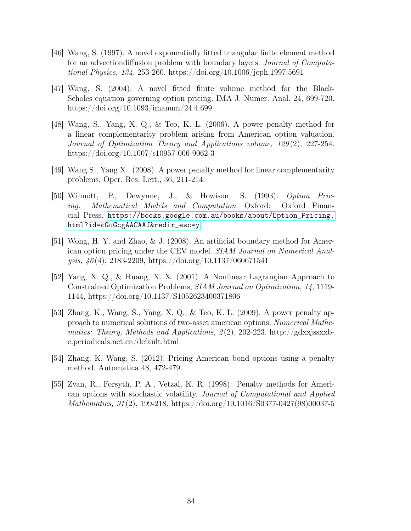- [46] Wang, S. (1997). A novel exponentially fitted triangular finite element method for an advectiondiffusion problem with boundary layers. Journal of Computational Physics, 134, 253-260. https://doi.org/10.1006/jcph.1997.5691
- [47] Wang, S. (2004). A novel fitted finite volume method for the Black-Scholes equation governing option pricing. IMA J. Numer. Anal. 24, 699-720. https://doi.org/10.1093/imanum/24.4.699
- [48] Wang, S., Yang, X. Q., & Teo, K. L. (2006). A power penalty method for a linear complementarity problem arising from American option valuation. Journal of Optimization Theory and Applications volume, 129 (2), 227-254. https://doi.org/10.1007/s10957-006-9062-3
- [49] Wang S., Yang X., (2008). A power penalty method for linear complementarity problems, Oper. Res. Lett., 36, 211-214.
- [50] Wilmott, P., Dewynne, J., & Howison, S. (1993). Option Pricing: Mathematical Models and Computation. Oxford: Oxford Financial Press. [https://books.google.com.au/books/about/Option\\_Pricing.](https://books.google.com.au/books/about/Option_Pricing.html?id=cGuGcgAACAAJ&redir_esc=y) [html?id=cGuGcgAACAAJ&redir\\_esc=y](https://books.google.com.au/books/about/Option_Pricing.html?id=cGuGcgAACAAJ&redir_esc=y)
- [51] Wong, H. Y. and Zhao, & J. (2008). An artificial boundary method for American option pricing under the CEV model. SIAM Journal on Numerical Analysis, 46 (4), 2183-2209, https://doi.org/10.1137/060671541
- [52] Yang, X. Q., & Huang, X. X. (2001). A Nonlinear Lagrangian Approach to Constrained Optimization Problems, SIAM Journal on Optimization, 14, 1119- 1144, https://doi.org/10.1137/S1052623400371806
- [53] Zhang, K., Wang, S., Yang, X. Q., & Teo, K. L. (2009). A power penalty approach to numerical solutions of two-asset american options. Numerical Mathematics: Theory, Methods and Applications,  $2(2)$ ,  $202-223$ . http://gdxxjssxxbe.periodicals.net.cn/default.html
- [54] Zhang, K, Wang, S. (2012). Pricing American bond options using a penalty method. Automatica 48, 472-479.
- [55] Zvan, R., Forsyth, P. A., Vetzal, K. R. (1998): Penalty methods for American options with stochastic volatility. Journal of Computational and Applied Mathematics, 91 (2), 199-218. https://doi.org/10.1016/S0377-0427(98)00037-5